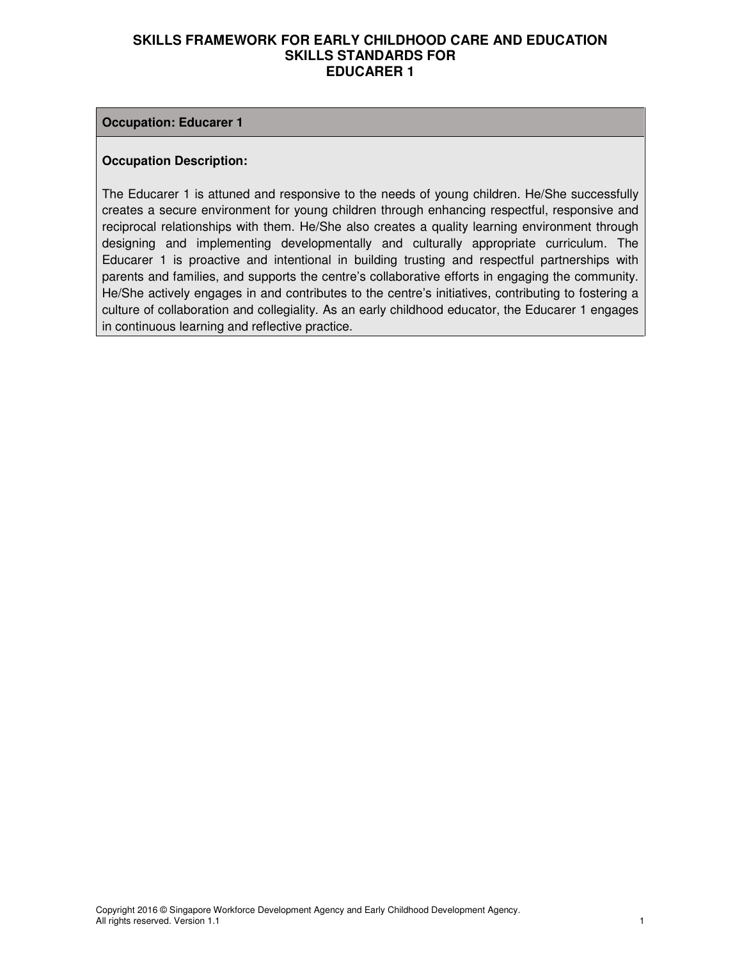#### **Occupation: Educarer 1**

#### **Occupation Description:**

The Educarer 1 is attuned and responsive to the needs of young children. He/She successfully creates a secure environment for young children through enhancing respectful, responsive and reciprocal relationships with them. He/She also creates a quality learning environment through designing and implementing developmentally and culturally appropriate curriculum. The Educarer 1 is proactive and intentional in building trusting and respectful partnerships with parents and families, and supports the centre's collaborative efforts in engaging the community. He/She actively engages in and contributes to the centre's initiatives, contributing to fostering a culture of collaboration and collegiality. As an early childhood educator, the Educarer 1 engages in continuous learning and reflective practice.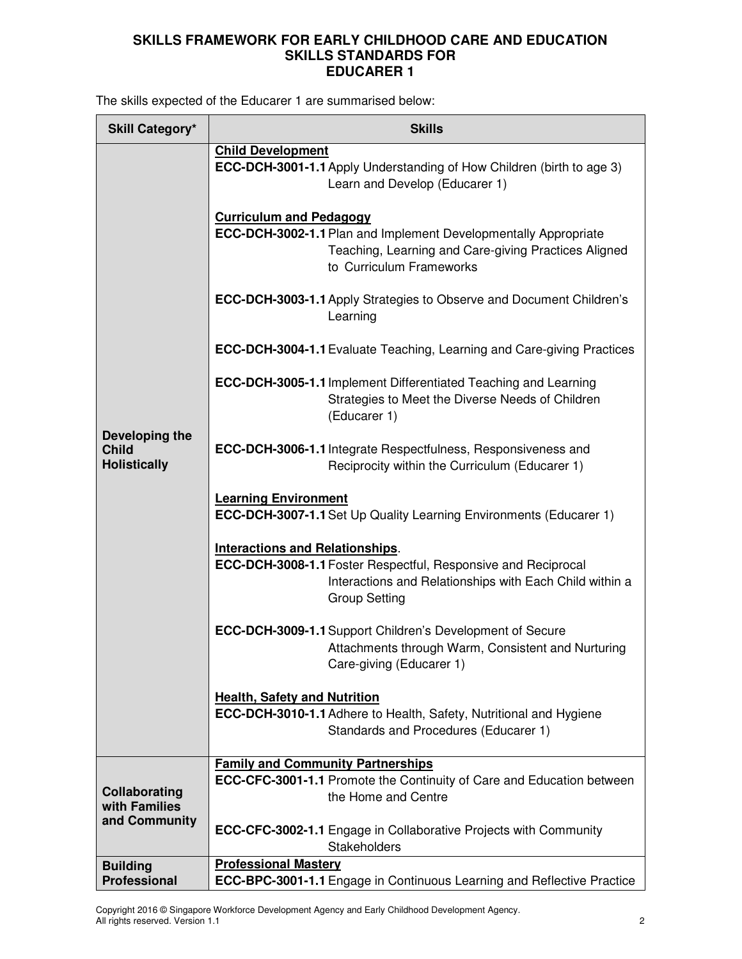The skills expected of the Educarer 1 are summarised below:

| <b>Skill Category*</b>                                | <b>Skills</b>                                                                                                                                                                                     |  |  |  |
|-------------------------------------------------------|---------------------------------------------------------------------------------------------------------------------------------------------------------------------------------------------------|--|--|--|
|                                                       | <b>Child Development</b>                                                                                                                                                                          |  |  |  |
|                                                       | <b>ECC-DCH-3001-1.1 Apply Understanding of How Children (birth to age 3)</b><br>Learn and Develop (Educarer 1)                                                                                    |  |  |  |
|                                                       | <b>Curriculum and Pedagogy</b><br><b>ECC-DCH-3002-1.1 Plan and Implement Developmentally Appropriate</b><br>Teaching, Learning and Care-giving Practices Aligned<br>to Curriculum Frameworks      |  |  |  |
|                                                       | ECC-DCH-3003-1.1 Apply Strategies to Observe and Document Children's<br>Learning                                                                                                                  |  |  |  |
|                                                       | <b>ECC-DCH-3004-1.1</b> Evaluate Teaching, Learning and Care-giving Practices                                                                                                                     |  |  |  |
|                                                       | <b>ECC-DCH-3005-1.1 Implement Differentiated Teaching and Learning</b><br>Strategies to Meet the Diverse Needs of Children<br>(Educarer 1)                                                        |  |  |  |
| Developing the<br><b>Child</b><br><b>Holistically</b> | <b>ECC-DCH-3006-1.1</b> Integrate Respectfulness, Responsiveness and<br>Reciprocity within the Curriculum (Educarer 1)                                                                            |  |  |  |
|                                                       | <b>Learning Environment</b><br><b>ECC-DCH-3007-1.1 Set Up Quality Learning Environments (Educarer 1)</b>                                                                                          |  |  |  |
|                                                       | <b>Interactions and Relationships.</b><br><b>ECC-DCH-3008-1.1 Foster Respectful, Responsive and Reciprocal</b><br>Interactions and Relationships with Each Child within a<br><b>Group Setting</b> |  |  |  |
|                                                       | ECC-DCH-3009-1.1 Support Children's Development of Secure<br>Attachments through Warm, Consistent and Nurturing<br>Care-giving (Educarer 1)                                                       |  |  |  |
|                                                       | <b>Health, Safety and Nutrition</b>                                                                                                                                                               |  |  |  |
|                                                       | ECC-DCH-3010-1.1 Adhere to Health, Safety, Nutritional and Hygiene<br>Standards and Procedures (Educarer 1)                                                                                       |  |  |  |
|                                                       | <b>Family and Community Partnerships</b>                                                                                                                                                          |  |  |  |
| Collaborating<br>with Families<br>and Community       | <b>ECC-CFC-3001-1.1</b> Promote the Continuity of Care and Education between<br>the Home and Centre                                                                                               |  |  |  |
|                                                       | <b>ECC-CFC-3002-1.1</b> Engage in Collaborative Projects with Community<br><b>Stakeholders</b>                                                                                                    |  |  |  |
| <b>Building</b>                                       | <b>Professional Mastery</b>                                                                                                                                                                       |  |  |  |
| <b>Professional</b>                                   | <b>ECC-BPC-3001-1.1</b> Engage in Continuous Learning and Reflective Practice                                                                                                                     |  |  |  |

Copyright 2016 © Singapore Workforce Development Agency and Early Childhood Development Agency. All rights reserved. Version 1.1 2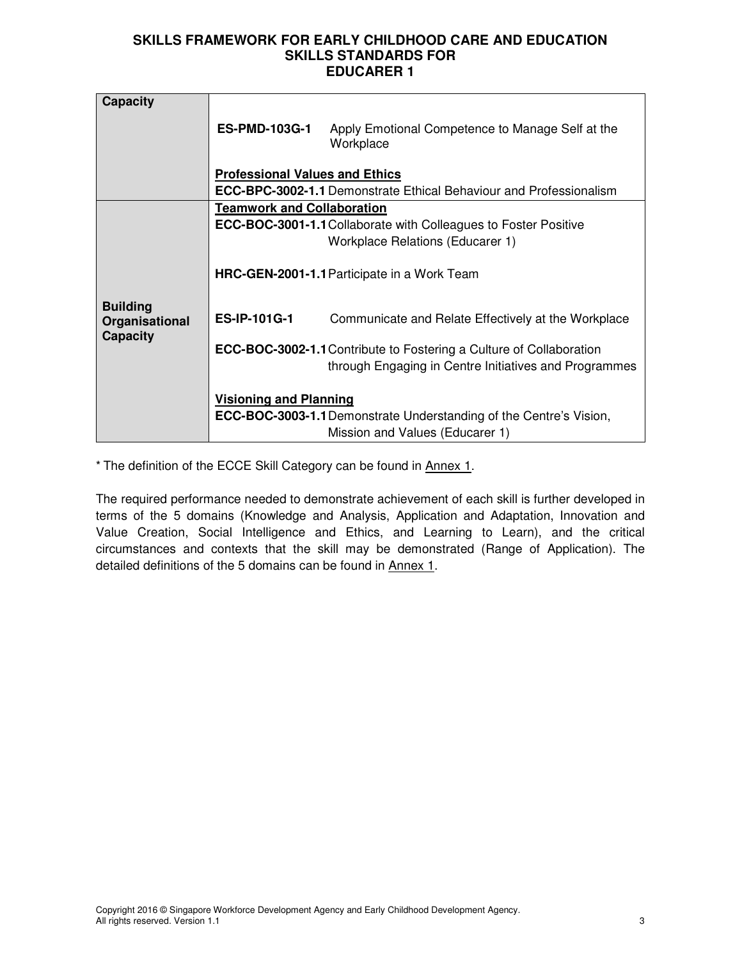| <b>Capacity</b><br><b>ES-PMD-103G-1</b><br>Apply Emotional Competence to Manage Self at the<br>Workplace<br><b>Professional Values and Ethics</b><br><b>ECC-BPC-3002-1.1</b> Demonstrate Ethical Behaviour and Professionalism<br><b>Teamwork and Collaboration</b><br><b>ECC-BOC-3001-1.1 Collaborate with Colleagues to Foster Positive</b><br><b>Workplace Relations (Educarer 1)</b><br>HRC-GEN-2001-1.1 Participate in a Work Team<br><b>Building</b><br><b>ES-IP-101G-1</b><br>Communicate and Relate Effectively at the Workplace<br>Organisational<br><b>Capacity</b><br>ECC-BOC-3002-1.1 Contribute to Fostering a Culture of Collaboration<br>through Engaging in Centre Initiatives and Programmes |  |                               |  |  |
|---------------------------------------------------------------------------------------------------------------------------------------------------------------------------------------------------------------------------------------------------------------------------------------------------------------------------------------------------------------------------------------------------------------------------------------------------------------------------------------------------------------------------------------------------------------------------------------------------------------------------------------------------------------------------------------------------------------|--|-------------------------------|--|--|
|                                                                                                                                                                                                                                                                                                                                                                                                                                                                                                                                                                                                                                                                                                               |  |                               |  |  |
|                                                                                                                                                                                                                                                                                                                                                                                                                                                                                                                                                                                                                                                                                                               |  |                               |  |  |
|                                                                                                                                                                                                                                                                                                                                                                                                                                                                                                                                                                                                                                                                                                               |  |                               |  |  |
|                                                                                                                                                                                                                                                                                                                                                                                                                                                                                                                                                                                                                                                                                                               |  |                               |  |  |
|                                                                                                                                                                                                                                                                                                                                                                                                                                                                                                                                                                                                                                                                                                               |  |                               |  |  |
|                                                                                                                                                                                                                                                                                                                                                                                                                                                                                                                                                                                                                                                                                                               |  |                               |  |  |
|                                                                                                                                                                                                                                                                                                                                                                                                                                                                                                                                                                                                                                                                                                               |  |                               |  |  |
|                                                                                                                                                                                                                                                                                                                                                                                                                                                                                                                                                                                                                                                                                                               |  |                               |  |  |
|                                                                                                                                                                                                                                                                                                                                                                                                                                                                                                                                                                                                                                                                                                               |  |                               |  |  |
|                                                                                                                                                                                                                                                                                                                                                                                                                                                                                                                                                                                                                                                                                                               |  |                               |  |  |
|                                                                                                                                                                                                                                                                                                                                                                                                                                                                                                                                                                                                                                                                                                               |  |                               |  |  |
|                                                                                                                                                                                                                                                                                                                                                                                                                                                                                                                                                                                                                                                                                                               |  |                               |  |  |
|                                                                                                                                                                                                                                                                                                                                                                                                                                                                                                                                                                                                                                                                                                               |  |                               |  |  |
|                                                                                                                                                                                                                                                                                                                                                                                                                                                                                                                                                                                                                                                                                                               |  |                               |  |  |
|                                                                                                                                                                                                                                                                                                                                                                                                                                                                                                                                                                                                                                                                                                               |  |                               |  |  |
|                                                                                                                                                                                                                                                                                                                                                                                                                                                                                                                                                                                                                                                                                                               |  | <b>Visioning and Planning</b> |  |  |
| <b>ECC-BOC-3003-1.1</b> Demonstrate Understanding of the Centre's Vision,                                                                                                                                                                                                                                                                                                                                                                                                                                                                                                                                                                                                                                     |  |                               |  |  |
| Mission and Values (Educarer 1)                                                                                                                                                                                                                                                                                                                                                                                                                                                                                                                                                                                                                                                                               |  |                               |  |  |

\* The definition of the ECCE Skill Category can be found in Annex 1.

The required performance needed to demonstrate achievement of each skill is further developed in terms of the 5 domains (Knowledge and Analysis, Application and Adaptation, Innovation and Value Creation, Social Intelligence and Ethics, and Learning to Learn), and the critical circumstances and contexts that the skill may be demonstrated (Range of Application). The detailed definitions of the 5 domains can be found in Annex 1.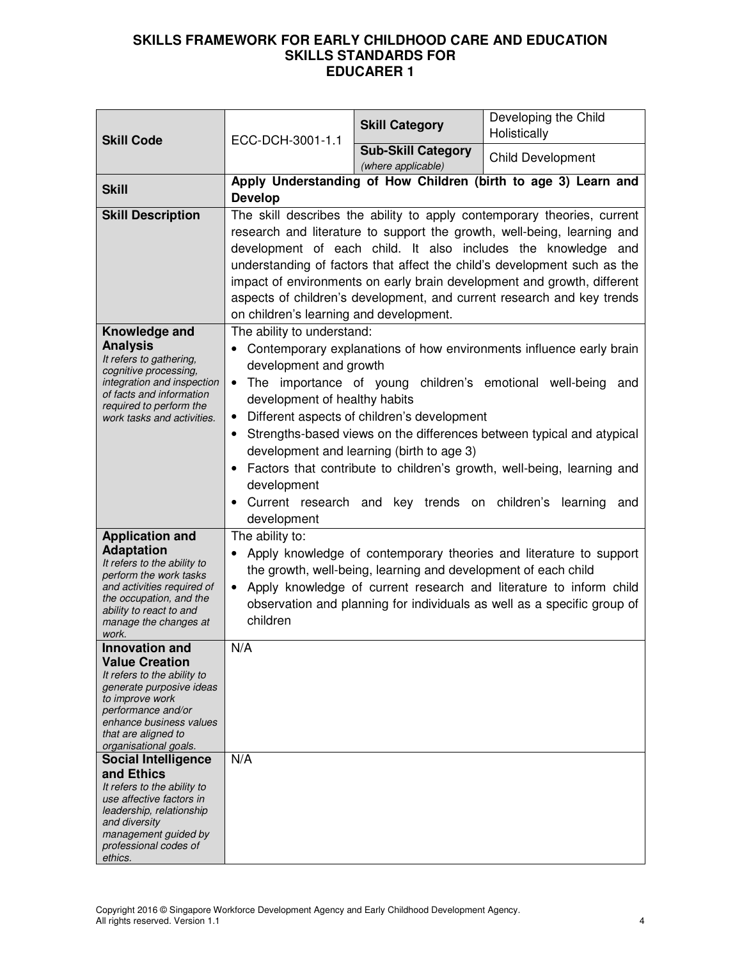| <b>Skill Code</b>                                                                                                                                                                                                                                           | ECC-DCH-3001-1.1                                                                                                                                           | <b>Skill Category</b>                                                                                                                     | Developing the Child<br>Holistically                                                                                                                                                                                                                                                                                                                                                                                                                 |
|-------------------------------------------------------------------------------------------------------------------------------------------------------------------------------------------------------------------------------------------------------------|------------------------------------------------------------------------------------------------------------------------------------------------------------|-------------------------------------------------------------------------------------------------------------------------------------------|------------------------------------------------------------------------------------------------------------------------------------------------------------------------------------------------------------------------------------------------------------------------------------------------------------------------------------------------------------------------------------------------------------------------------------------------------|
|                                                                                                                                                                                                                                                             |                                                                                                                                                            | <b>Sub-Skill Category</b><br>(where applicable)                                                                                           | <b>Child Development</b>                                                                                                                                                                                                                                                                                                                                                                                                                             |
| <b>Skill</b>                                                                                                                                                                                                                                                | <b>Develop</b>                                                                                                                                             |                                                                                                                                           | Apply Understanding of How Children (birth to age 3) Learn and                                                                                                                                                                                                                                                                                                                                                                                       |
| <b>Skill Description</b>                                                                                                                                                                                                                                    | on children's learning and development.                                                                                                                    |                                                                                                                                           | The skill describes the ability to apply contemporary theories, current<br>research and literature to support the growth, well-being, learning and<br>development of each child. It also includes the knowledge and<br>understanding of factors that affect the child's development such as the<br>impact of environments on early brain development and growth, different<br>aspects of children's development, and current research and key trends |
| Knowledge and<br><b>Analysis</b><br>It refers to gathering,<br>cognitive processing,<br>integration and inspection<br>of facts and information<br>required to perform the<br>work tasks and activities.                                                     | The ability to understand:<br>development and growth<br>$\bullet$<br>development of healthy habits<br>$\bullet$<br>$\bullet$<br>development<br>development | Different aspects of children's development<br>development and learning (birth to age 3)<br>Current research and key trends on children's | Contemporary explanations of how environments influence early brain<br>The importance of young children's emotional well-being and<br>Strengths-based views on the differences between typical and atypical<br>Factors that contribute to children's growth, well-being, learning and<br>learning and                                                                                                                                                |
| <b>Application and</b><br><b>Adaptation</b><br>It refers to the ability to<br>perform the work tasks<br>and activities required of<br>the occupation, and the<br>ability to react to and<br>manage the changes at<br>work.                                  | The ability to:<br>$\bullet$<br>children                                                                                                                   | the growth, well-being, learning and development of each child                                                                            | Apply knowledge of contemporary theories and literature to support<br>Apply knowledge of current research and literature to inform child<br>observation and planning for individuals as well as a specific group of                                                                                                                                                                                                                                  |
| <b>Innovation and</b><br><b>Value Creation</b><br>It refers to the ability to<br>generate purposive ideas<br>to improve work<br>performance and/or<br>enhance business values<br>that are aligned to<br>organisational goals.<br><b>Social Intelligence</b> | N/A<br>N/A                                                                                                                                                 |                                                                                                                                           |                                                                                                                                                                                                                                                                                                                                                                                                                                                      |
| and Ethics<br>It refers to the ability to<br>use affective factors in<br>leadership, relationship<br>and diversity<br>management guided by<br>professional codes of<br>ethics.                                                                              |                                                                                                                                                            |                                                                                                                                           |                                                                                                                                                                                                                                                                                                                                                                                                                                                      |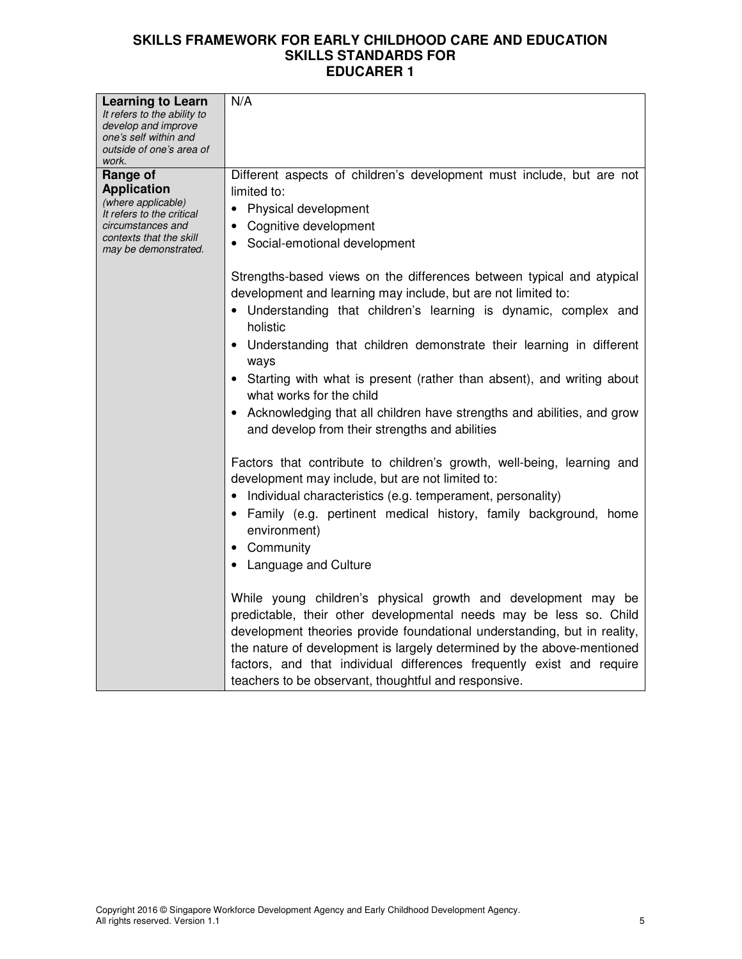|                                                         | N/A                                                                      |
|---------------------------------------------------------|--------------------------------------------------------------------------|
| <b>Learning to Learn</b><br>It refers to the ability to |                                                                          |
| develop and improve                                     |                                                                          |
| one's self within and<br>outside of one's area of       |                                                                          |
| work.                                                   |                                                                          |
| Range of                                                | Different aspects of children's development must include, but are not    |
| <b>Application</b>                                      | limited to:                                                              |
| (where applicable)<br>It refers to the critical         | Physical development                                                     |
| circumstances and                                       | Cognitive development                                                    |
| contexts that the skill<br>may be demonstrated.         | Social-emotional development                                             |
|                                                         |                                                                          |
|                                                         | Strengths-based views on the differences between typical and atypical    |
|                                                         | development and learning may include, but are not limited to:            |
|                                                         | • Understanding that children's learning is dynamic, complex and         |
|                                                         | holistic                                                                 |
|                                                         | Understanding that children demonstrate their learning in different      |
|                                                         | ways                                                                     |
|                                                         | Starting with what is present (rather than absent), and writing about    |
|                                                         | what works for the child                                                 |
|                                                         | Acknowledging that all children have strengths and abilities, and grow   |
|                                                         | and develop from their strengths and abilities                           |
|                                                         |                                                                          |
|                                                         | Factors that contribute to children's growth, well-being, learning and   |
|                                                         | development may include, but are not limited to:                         |
|                                                         | Individual characteristics (e.g. temperament, personality)               |
|                                                         | • Family (e.g. pertinent medical history, family background, home        |
|                                                         | environment)                                                             |
|                                                         | • Community                                                              |
|                                                         | <b>Language and Culture</b>                                              |
|                                                         |                                                                          |
|                                                         | While young children's physical growth and development may be            |
|                                                         | predictable, their other developmental needs may be less so. Child       |
|                                                         | development theories provide foundational understanding, but in reality, |
|                                                         | the nature of development is largely determined by the above-mentioned   |
|                                                         | factors, and that individual differences frequently exist and require    |
|                                                         | teachers to be observant, thoughtful and responsive.                     |
|                                                         |                                                                          |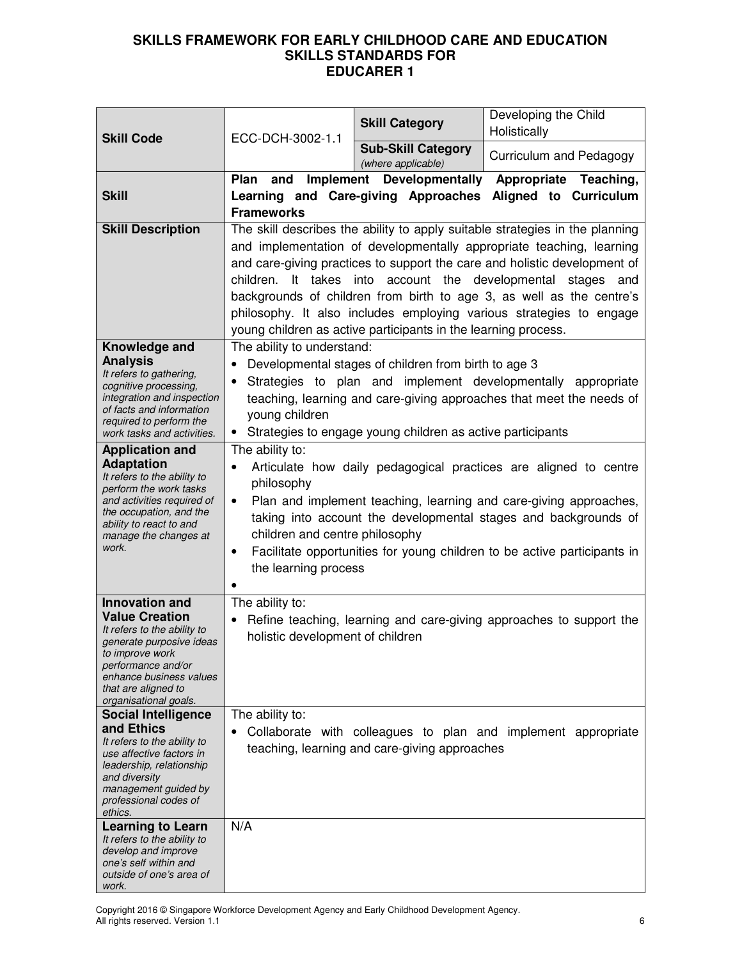| <b>Skill Code</b>                                                                                                                                                                                                             | ECC-DCH-3002-1.1                                                                                                           | <b>Skill Category</b>                                                                                                | Developing the Child<br>Holistically                                                                                                                                                                                                                                                                                                                                                                                                             |
|-------------------------------------------------------------------------------------------------------------------------------------------------------------------------------------------------------------------------------|----------------------------------------------------------------------------------------------------------------------------|----------------------------------------------------------------------------------------------------------------------|--------------------------------------------------------------------------------------------------------------------------------------------------------------------------------------------------------------------------------------------------------------------------------------------------------------------------------------------------------------------------------------------------------------------------------------------------|
|                                                                                                                                                                                                                               |                                                                                                                            | <b>Sub-Skill Category</b><br>(where applicable)                                                                      | Curriculum and Pedagogy                                                                                                                                                                                                                                                                                                                                                                                                                          |
| <b>Skill</b>                                                                                                                                                                                                                  | Plan<br>and<br><b>Frameworks</b>                                                                                           | <b>Implement Developmentally</b><br>Learning and Care-giving Approaches                                              | Appropriate Teaching,<br>Aligned to Curriculum                                                                                                                                                                                                                                                                                                                                                                                                   |
| <b>Skill Description</b>                                                                                                                                                                                                      |                                                                                                                            | young children as active participants in the learning process.                                                       | The skill describes the ability to apply suitable strategies in the planning<br>and implementation of developmentally appropriate teaching, learning<br>and care-giving practices to support the care and holistic development of<br>children. It takes into account the developmental stages and<br>backgrounds of children from birth to age 3, as well as the centre's<br>philosophy. It also includes employing various strategies to engage |
| Knowledge and<br><b>Analysis</b><br>It refers to gathering,<br>cognitive processing,<br>integration and inspection<br>of facts and information<br>required to perform the<br>work tasks and activities.                       | The ability to understand:<br>young children                                                                               | Developmental stages of children from birth to age 3<br>• Strategies to engage young children as active participants | Strategies to plan and implement developmentally appropriate<br>teaching, learning and care-giving approaches that meet the needs of                                                                                                                                                                                                                                                                                                             |
| <b>Application and</b><br><b>Adaptation</b><br>It refers to the ability to<br>perform the work tasks<br>and activities required of<br>the occupation, and the<br>ability to react to and<br>manage the changes at<br>work.    | The ability to:<br>philosophy<br>٠<br>children and centre philosophy<br>$\bullet$<br>the learning process                  |                                                                                                                      | Articulate how daily pedagogical practices are aligned to centre<br>Plan and implement teaching, learning and care-giving approaches,<br>taking into account the developmental stages and backgrounds of<br>Facilitate opportunities for young children to be active participants in                                                                                                                                                             |
| <b>Innovation and</b><br><b>Value Creation</b><br>It refers to the ability to<br>generate purposive ideas<br>to improve work<br>performance and/or<br>enhance business values<br>that are aligned to<br>organisational goals. | The ability to:<br>Refine teaching, learning and care-giving approaches to support the<br>holistic development of children |                                                                                                                      |                                                                                                                                                                                                                                                                                                                                                                                                                                                  |
| <b>Social Intelligence</b><br>and Ethics<br>It refers to the ability to<br>use affective factors in<br>leadership, relationship<br>and diversity<br>management guided by<br>professional codes of<br>ethics.                  | The ability to:                                                                                                            | teaching, learning and care-giving approaches                                                                        | Collaborate with colleagues to plan and implement appropriate                                                                                                                                                                                                                                                                                                                                                                                    |
| <b>Learning to Learn</b><br>It refers to the ability to<br>develop and improve<br>one's self within and<br>outside of one's area of<br>work.                                                                                  | N/A                                                                                                                        |                                                                                                                      |                                                                                                                                                                                                                                                                                                                                                                                                                                                  |

Copyright 2016 © Singapore Workforce Development Agency and Early Childhood Development Agency. All rights reserved. Version 1.1 6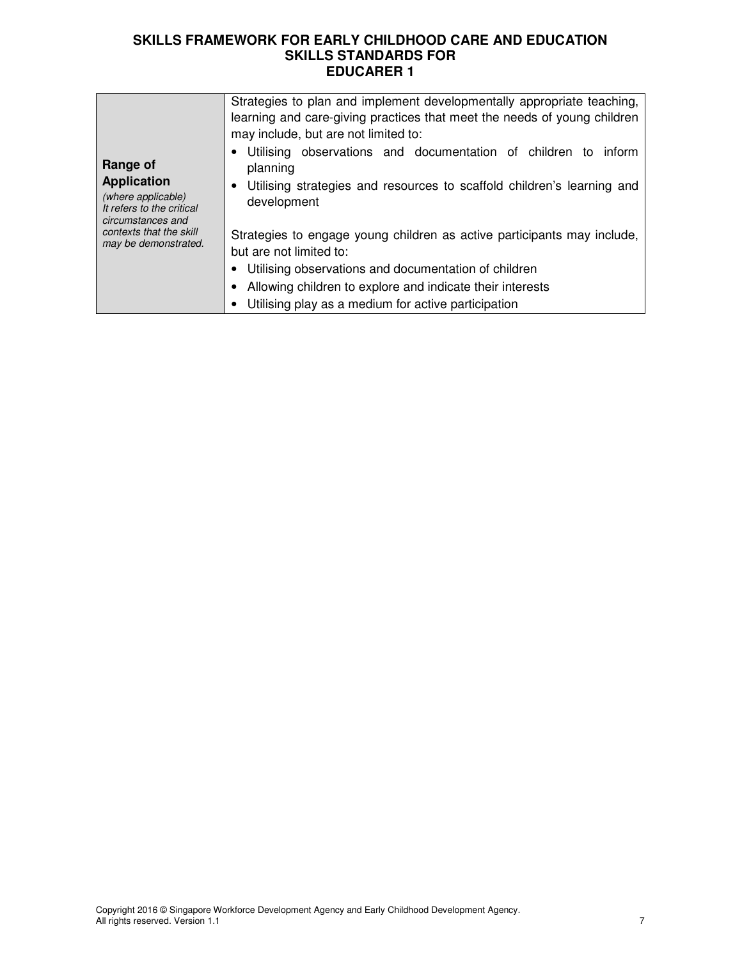| Range of<br><b>Application</b><br>(where applicable)<br>It refers to the critical<br>circumstances and<br>contexts that the skill<br>may be demonstrated. | Strategies to plan and implement developmentally appropriate teaching,<br>learning and care-giving practices that meet the needs of young children<br>may include, but are not limited to:<br>Utilising observations and documentation of children to<br>inform      |
|-----------------------------------------------------------------------------------------------------------------------------------------------------------|----------------------------------------------------------------------------------------------------------------------------------------------------------------------------------------------------------------------------------------------------------------------|
|                                                                                                                                                           | planning<br>Utilising strategies and resources to scaffold children's learning and<br>٠<br>development<br>Strategies to engage young children as active participants may include,<br>but are not limited to:<br>Utilising observations and documentation of children |
|                                                                                                                                                           | Allowing children to explore and indicate their interests<br>Utilising play as a medium for active participation                                                                                                                                                     |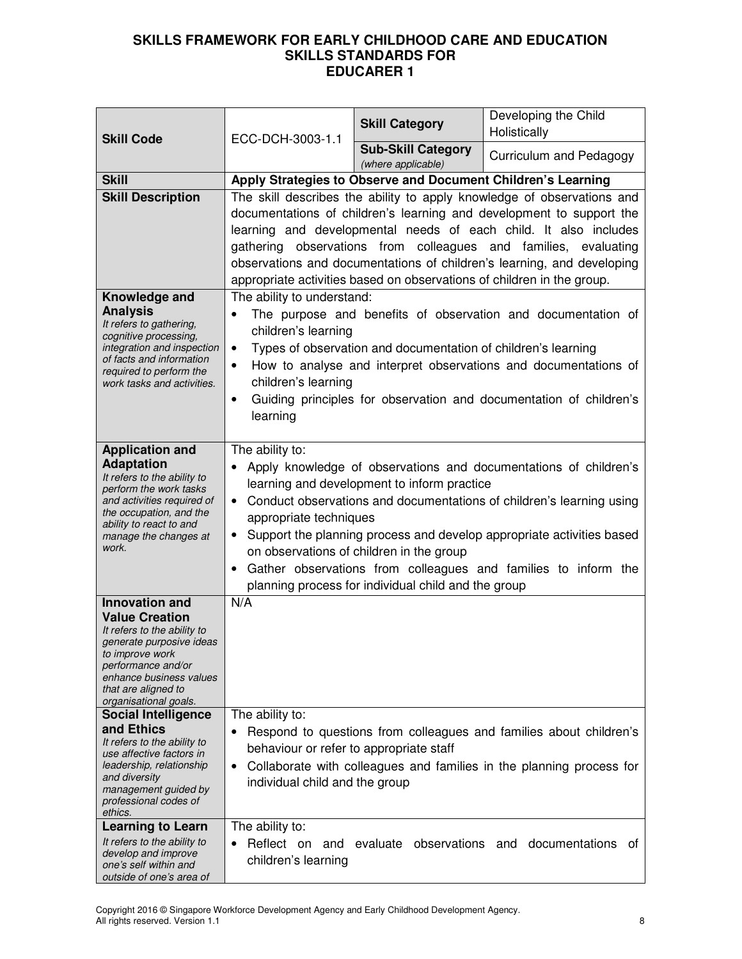| ECC-DCH-3003-1.1<br><b>Skill Code</b>                                                                                                                                                                                                                                                                                                                                                                                                         |                                                                                                                                                                                                                                                                                                                                                                                                                                                                                                                           | <b>Skill Category</b>                                         | Developing the Child<br>Holistically                                                                                                                                                                  |
|-----------------------------------------------------------------------------------------------------------------------------------------------------------------------------------------------------------------------------------------------------------------------------------------------------------------------------------------------------------------------------------------------------------------------------------------------|---------------------------------------------------------------------------------------------------------------------------------------------------------------------------------------------------------------------------------------------------------------------------------------------------------------------------------------------------------------------------------------------------------------------------------------------------------------------------------------------------------------------------|---------------------------------------------------------------|-------------------------------------------------------------------------------------------------------------------------------------------------------------------------------------------------------|
|                                                                                                                                                                                                                                                                                                                                                                                                                                               | <b>Sub-Skill Category</b><br>(where applicable)                                                                                                                                                                                                                                                                                                                                                                                                                                                                           | Curriculum and Pedagogy                                       |                                                                                                                                                                                                       |
| <b>Skill</b>                                                                                                                                                                                                                                                                                                                                                                                                                                  | Apply Strategies to Observe and Document Children's Learning                                                                                                                                                                                                                                                                                                                                                                                                                                                              |                                                               |                                                                                                                                                                                                       |
| <b>Skill Description</b>                                                                                                                                                                                                                                                                                                                                                                                                                      | The skill describes the ability to apply knowledge of observations and<br>documentations of children's learning and development to support the<br>learning and developmental needs of each child. It also includes<br>gathering observations from colleagues and families, evaluating<br>observations and documentations of children's learning, and developing<br>appropriate activities based on observations of children in the group.                                                                                 |                                                               |                                                                                                                                                                                                       |
| Knowledge and<br><b>Analysis</b><br>It refers to gathering,<br>cognitive processing,<br>integration and inspection<br>of facts and information<br>required to perform the<br>work tasks and activities.                                                                                                                                                                                                                                       | The ability to understand:<br>$\bullet$<br>children's learning<br>$\bullet$<br>$\bullet$<br>children's learning<br>$\bullet$<br>learning                                                                                                                                                                                                                                                                                                                                                                                  | Types of observation and documentation of children's learning | The purpose and benefits of observation and documentation of<br>How to analyse and interpret observations and documentations of<br>Guiding principles for observation and documentation of children's |
| <b>Application and</b><br><b>Adaptation</b><br>It refers to the ability to<br>perform the work tasks<br>and activities required of<br>the occupation, and the<br>ability to react to and<br>manage the changes at<br>work.                                                                                                                                                                                                                    | The ability to:<br>Apply knowledge of observations and documentations of children's<br>learning and development to inform practice<br>Conduct observations and documentations of children's learning using<br>$\bullet$<br>appropriate techniques<br>Support the planning process and develop appropriate activities based<br>$\bullet$<br>on observations of children in the group<br>Gather observations from colleagues and families to inform the<br>$\bullet$<br>planning process for individual child and the group |                                                               |                                                                                                                                                                                                       |
| <b>Innovation and</b><br><b>Value Creation</b><br>It refers to the ability to<br>generate purposive ideas<br>to improve work<br>performance and/or<br>enhance business values<br>that are aligned to<br>organisational goals.<br><b>Social Intelligence</b><br>and Ethics<br>It refers to the ability to<br>use affective factors in<br>leadership, relationship<br>and diversity<br>management guided by<br>professional codes of<br>ethics. | N/A<br>The ability to:<br>behaviour or refer to appropriate staff<br>$\bullet$<br>individual child and the group                                                                                                                                                                                                                                                                                                                                                                                                          |                                                               | Respond to questions from colleagues and families about children's<br>Collaborate with colleagues and families in the planning process for                                                            |
| <b>Learning to Learn</b><br>It refers to the ability to<br>develop and improve<br>one's self within and<br>outside of one's area of                                                                                                                                                                                                                                                                                                           | The ability to:<br>Reflect on and<br>$\bullet$<br>children's learning                                                                                                                                                                                                                                                                                                                                                                                                                                                     | evaluate                                                      | observations and documentations<br>0t                                                                                                                                                                 |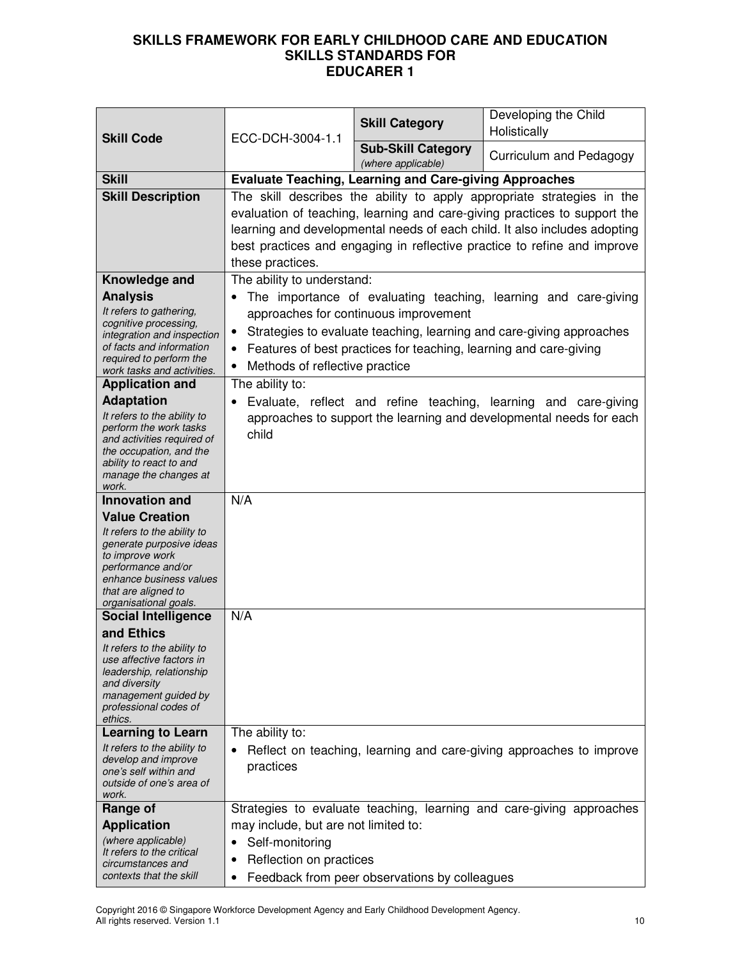|                                                       |                                                                        |                                                                   | Developing the Child                                                      |
|-------------------------------------------------------|------------------------------------------------------------------------|-------------------------------------------------------------------|---------------------------------------------------------------------------|
| <b>Skill Code</b>                                     | ECC-DCH-3004-1.1                                                       | <b>Skill Category</b>                                             | Holistically                                                              |
|                                                       |                                                                        | <b>Sub-Skill Category</b><br>(where applicable)                   | Curriculum and Pedagogy                                                   |
| <b>Skill</b>                                          | <b>Evaluate Teaching, Learning and Care-giving Approaches</b>          |                                                                   |                                                                           |
| <b>Skill Description</b>                              | The skill describes the ability to apply appropriate strategies in the |                                                                   |                                                                           |
|                                                       |                                                                        |                                                                   | evaluation of teaching, learning and care-giving practices to support the |
|                                                       |                                                                        |                                                                   | learning and developmental needs of each child. It also includes adopting |
|                                                       |                                                                        |                                                                   | best practices and engaging in reflective practice to refine and improve  |
|                                                       | these practices.                                                       |                                                                   |                                                                           |
| Knowledge and                                         | The ability to understand:                                             |                                                                   |                                                                           |
| <b>Analysis</b>                                       |                                                                        |                                                                   | The importance of evaluating teaching, learning and care-giving           |
| It refers to gathering,                               |                                                                        | approaches for continuous improvement                             |                                                                           |
| cognitive processing,<br>integration and inspection   |                                                                        |                                                                   | Strategies to evaluate teaching, learning and care-giving approaches      |
| of facts and information                              |                                                                        | Features of best practices for teaching, learning and care-giving |                                                                           |
| required to perform the                               | Methods of reflective practice<br>$\bullet$                            |                                                                   |                                                                           |
| work tasks and activities.<br><b>Application and</b>  | The ability to:                                                        |                                                                   |                                                                           |
| <b>Adaptation</b>                                     | $\bullet$                                                              | Evaluate, reflect and refine teaching, learning                   | and care-giving                                                           |
| It refers to the ability to                           |                                                                        |                                                                   | approaches to support the learning and developmental needs for each       |
| perform the work tasks                                | child                                                                  |                                                                   |                                                                           |
| and activities required of<br>the occupation, and the |                                                                        |                                                                   |                                                                           |
| ability to react to and                               |                                                                        |                                                                   |                                                                           |
| manage the changes at                                 |                                                                        |                                                                   |                                                                           |
| work.<br><b>Innovation and</b>                        | N/A                                                                    |                                                                   |                                                                           |
| <b>Value Creation</b>                                 |                                                                        |                                                                   |                                                                           |
| It refers to the ability to                           |                                                                        |                                                                   |                                                                           |
| generate purposive ideas                              |                                                                        |                                                                   |                                                                           |
| to improve work<br>performance and/or                 |                                                                        |                                                                   |                                                                           |
| enhance business values                               |                                                                        |                                                                   |                                                                           |
| that are aligned to<br>organisational goals.          |                                                                        |                                                                   |                                                                           |
| <b>Social Intelligence</b>                            | N/A                                                                    |                                                                   |                                                                           |
| and Ethics                                            |                                                                        |                                                                   |                                                                           |
| It refers to the ability to                           |                                                                        |                                                                   |                                                                           |
| use affective factors in<br>leadership, relationship  |                                                                        |                                                                   |                                                                           |
| and diversity                                         |                                                                        |                                                                   |                                                                           |
| management guided by<br>professional codes of         |                                                                        |                                                                   |                                                                           |
| ethics.                                               |                                                                        |                                                                   |                                                                           |
| <b>Learning to Learn</b>                              | The ability to:                                                        |                                                                   |                                                                           |
| It refers to the ability to                           | ٠                                                                      |                                                                   | Reflect on teaching, learning and care-giving approaches to improve       |
| develop and improve<br>one's self within and          | practices                                                              |                                                                   |                                                                           |
| outside of one's area of                              |                                                                        |                                                                   |                                                                           |
| work.                                                 |                                                                        |                                                                   |                                                                           |
| Range of                                              |                                                                        |                                                                   | Strategies to evaluate teaching, learning and care-giving approaches      |
| <b>Application</b><br>(where applicable)              | may include, but are not limited to:                                   |                                                                   |                                                                           |
| It refers to the critical                             | Self-monitoring<br>٠                                                   |                                                                   |                                                                           |
| Reflection on practices<br>circumstances and          |                                                                        |                                                                   |                                                                           |
| contexts that the skill                               |                                                                        | Feedback from peer observations by colleagues                     |                                                                           |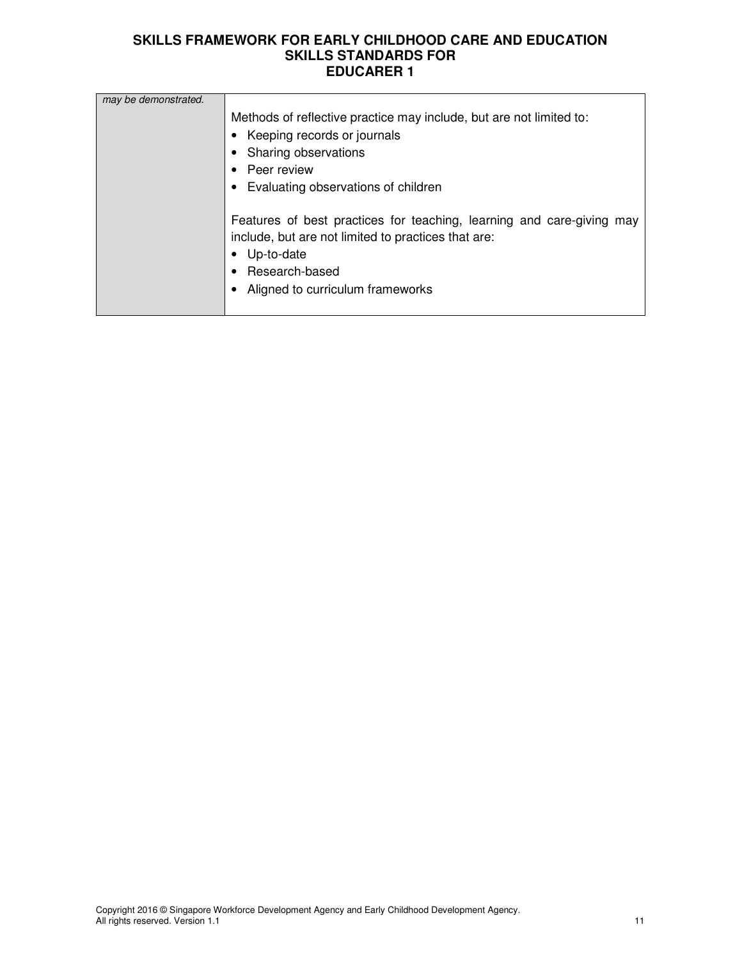| may be demonstrated. |                                                                       |
|----------------------|-----------------------------------------------------------------------|
|                      | Methods of reflective practice may include, but are not limited to:   |
|                      | Keeping records or journals                                           |
|                      | Sharing observations                                                  |
|                      | Peer review                                                           |
|                      | Evaluating observations of children                                   |
|                      |                                                                       |
|                      | Features of best practices for teaching, learning and care-giving may |
|                      | include, but are not limited to practices that are:                   |
|                      | Up-to-date                                                            |
|                      | Research-based                                                        |
|                      | Aligned to curriculum frameworks                                      |
|                      |                                                                       |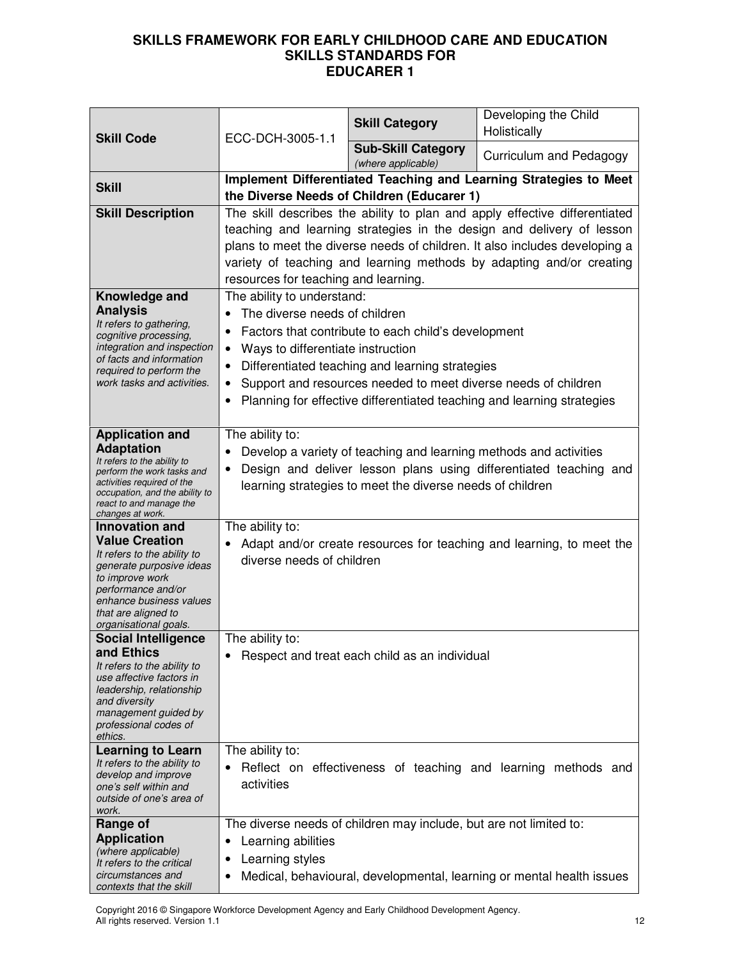| <b>Skill Code</b>                                            | ECC-DCH-3005-1.1                                                                                                                       | <b>Skill Category</b>                                              | Developing the Child<br>Holistically                                       |
|--------------------------------------------------------------|----------------------------------------------------------------------------------------------------------------------------------------|--------------------------------------------------------------------|----------------------------------------------------------------------------|
|                                                              |                                                                                                                                        | <b>Sub-Skill Category</b><br>(where applicable)                    | Curriculum and Pedagogy                                                    |
| <b>Skill</b>                                                 |                                                                                                                                        |                                                                    | Implement Differentiated Teaching and Learning Strategies to Meet          |
| <b>Skill Description</b>                                     |                                                                                                                                        | the Diverse Needs of Children (Educarer 1)                         | The skill describes the ability to plan and apply effective differentiated |
|                                                              |                                                                                                                                        |                                                                    | teaching and learning strategies in the design and delivery of lesson      |
|                                                              |                                                                                                                                        |                                                                    | plans to meet the diverse needs of children. It also includes developing a |
|                                                              | variety of teaching and learning methods by adapting and/or creating                                                                   |                                                                    |                                                                            |
|                                                              | resources for teaching and learning.                                                                                                   |                                                                    |                                                                            |
| Knowledge and<br><b>Analysis</b>                             | The ability to understand:<br>The diverse needs of children                                                                            |                                                                    |                                                                            |
| It refers to gathering,                                      | $\bullet$                                                                                                                              | Factors that contribute to each child's development                |                                                                            |
| cognitive processing,<br>integration and inspection          | Ways to differentiate instruction<br>٠                                                                                                 |                                                                    |                                                                            |
| of facts and information<br>required to perform the          |                                                                                                                                        | Differentiated teaching and learning strategies                    |                                                                            |
| work tasks and activities.                                   | ٠                                                                                                                                      | Support and resources needed to meet diverse needs of children     |                                                                            |
|                                                              |                                                                                                                                        |                                                                    | Planning for effective differentiated teaching and learning strategies     |
| <b>Application and</b>                                       | The ability to:                                                                                                                        |                                                                    |                                                                            |
| <b>Adaptation</b>                                            |                                                                                                                                        |                                                                    |                                                                            |
| It refers to the ability to<br>perform the work tasks and    | Develop a variety of teaching and learning methods and activities<br>Design and deliver lesson plans using differentiated teaching and |                                                                    |                                                                            |
| activities required of the<br>occupation, and the ability to | learning strategies to meet the diverse needs of children                                                                              |                                                                    |                                                                            |
| react to and manage the<br>changes at work.                  |                                                                                                                                        |                                                                    |                                                                            |
| <b>Innovation and</b>                                        | The ability to:                                                                                                                        |                                                                    |                                                                            |
| <b>Value Creation</b><br>It refers to the ability to         |                                                                                                                                        |                                                                    | Adapt and/or create resources for teaching and learning, to meet the       |
| generate purposive ideas<br>to improve work                  | diverse needs of children                                                                                                              |                                                                    |                                                                            |
| performance and/or                                           |                                                                                                                                        |                                                                    |                                                                            |
| enhance business values<br>that are aligned to               |                                                                                                                                        |                                                                    |                                                                            |
| organisational goals.<br><b>Social Intelligence</b>          | The ability to:                                                                                                                        |                                                                    |                                                                            |
| and Ethics                                                   |                                                                                                                                        | Respect and treat each child as an individual                      |                                                                            |
| It refers to the ability to<br>use affective factors in      |                                                                                                                                        |                                                                    |                                                                            |
| leadership, relationship<br>and diversity                    |                                                                                                                                        |                                                                    |                                                                            |
| management guided by                                         |                                                                                                                                        |                                                                    |                                                                            |
| professional codes of<br>ethics.                             |                                                                                                                                        |                                                                    |                                                                            |
| <b>Learning to Learn</b><br>It refers to the ability to      | The ability to:                                                                                                                        |                                                                    |                                                                            |
| develop and improve                                          |                                                                                                                                        |                                                                    | Reflect on effectiveness of teaching and learning methods and              |
| one's self within and<br>outside of one's area of            | activities                                                                                                                             |                                                                    |                                                                            |
| work.<br>Range of                                            |                                                                                                                                        | The diverse needs of children may include, but are not limited to: |                                                                            |
| <b>Application</b>                                           | Learning abilities                                                                                                                     |                                                                    |                                                                            |
| (where applicable)<br>It refers to the critical              | Learning styles                                                                                                                        |                                                                    |                                                                            |
| circumstances and<br>contexts that the skill                 |                                                                                                                                        |                                                                    | Medical, behavioural, developmental, learning or mental health issues      |

Copyright 2016 © Singapore Workforce Development Agency and Early Childhood Development Agency. All rights reserved. Version 1.1 12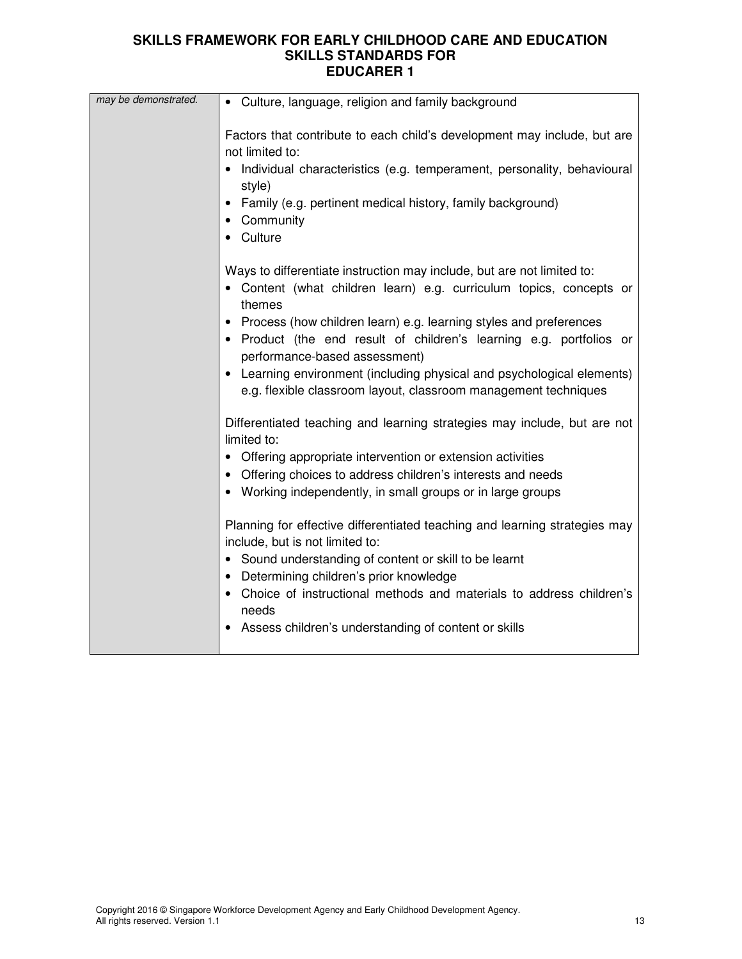| may be demonstrated. | • Culture, language, religion and family background                                                                                                                                                                                                                                                                                                                                                                                                                                                                                                                                                                                                                                                                                                                                                                                                                                                                                                                                                                                                                                                                                         |
|----------------------|---------------------------------------------------------------------------------------------------------------------------------------------------------------------------------------------------------------------------------------------------------------------------------------------------------------------------------------------------------------------------------------------------------------------------------------------------------------------------------------------------------------------------------------------------------------------------------------------------------------------------------------------------------------------------------------------------------------------------------------------------------------------------------------------------------------------------------------------------------------------------------------------------------------------------------------------------------------------------------------------------------------------------------------------------------------------------------------------------------------------------------------------|
|                      | Factors that contribute to each child's development may include, but are<br>not limited to:<br>Individual characteristics (e.g. temperament, personality, behavioural<br>style)<br>Family (e.g. pertinent medical history, family background)<br>Community<br>• Culture                                                                                                                                                                                                                                                                                                                                                                                                                                                                                                                                                                                                                                                                                                                                                                                                                                                                     |
|                      | Ways to differentiate instruction may include, but are not limited to:<br>• Content (what children learn) e.g. curriculum topics, concepts or<br>themes<br>• Process (how children learn) e.g. learning styles and preferences<br>Product (the end result of children's learning e.g. portfolios or<br>performance-based assessment)<br>• Learning environment (including physical and psychological elements)<br>e.g. flexible classroom layout, classroom management techniques<br>Differentiated teaching and learning strategies may include, but are not<br>limited to:<br>• Offering appropriate intervention or extension activities<br>• Offering choices to address children's interests and needs<br>• Working independently, in small groups or in large groups<br>Planning for effective differentiated teaching and learning strategies may<br>include, but is not limited to:<br>• Sound understanding of content or skill to be learnt<br>• Determining children's prior knowledge<br>• Choice of instructional methods and materials to address children's<br>needs<br>Assess children's understanding of content or skills |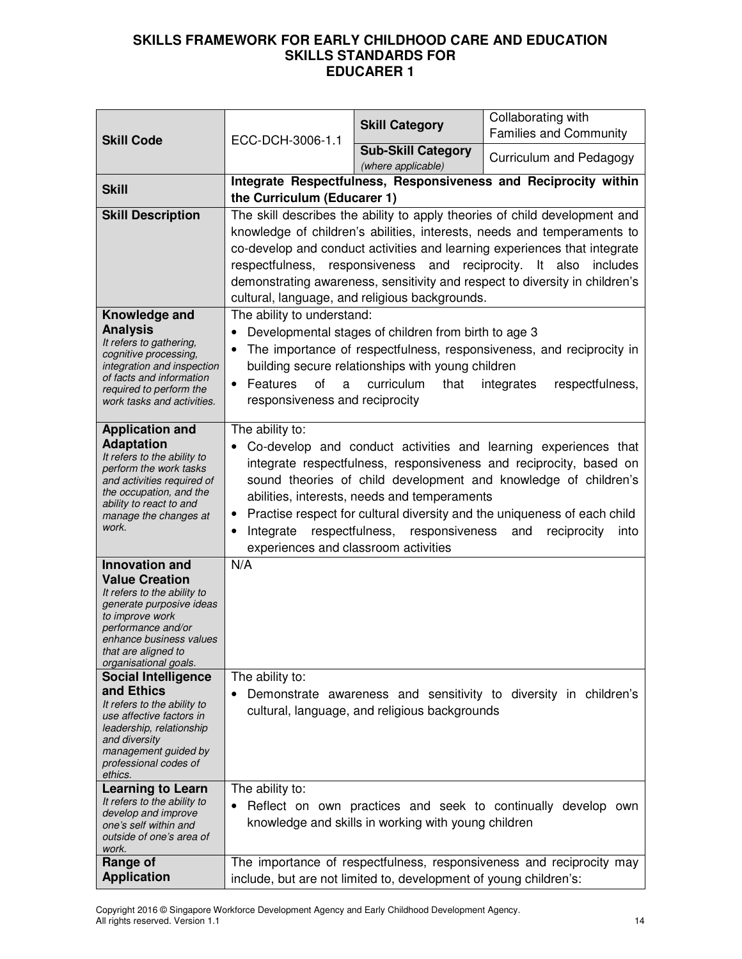| <b>Skill Code</b>                                                                                                                                                                                                                                                                                                                                                                                                                  | ECC-DCH-3006-1.1                                                                                                                                                                                                                                                                                                                                                                                                                                                                | <b>Skill Category</b>                                             | Collaborating with<br><b>Families and Community</b>                  |
|------------------------------------------------------------------------------------------------------------------------------------------------------------------------------------------------------------------------------------------------------------------------------------------------------------------------------------------------------------------------------------------------------------------------------------|---------------------------------------------------------------------------------------------------------------------------------------------------------------------------------------------------------------------------------------------------------------------------------------------------------------------------------------------------------------------------------------------------------------------------------------------------------------------------------|-------------------------------------------------------------------|----------------------------------------------------------------------|
|                                                                                                                                                                                                                                                                                                                                                                                                                                    |                                                                                                                                                                                                                                                                                                                                                                                                                                                                                 | <b>Sub-Skill Category</b><br>(where applicable)                   | Curriculum and Pedagogy                                              |
| <b>Skill</b>                                                                                                                                                                                                                                                                                                                                                                                                                       | Integrate Respectfulness, Responsiveness and Reciprocity within<br>the Curriculum (Educarer 1)                                                                                                                                                                                                                                                                                                                                                                                  |                                                                   |                                                                      |
| <b>Skill Description</b>                                                                                                                                                                                                                                                                                                                                                                                                           | The skill describes the ability to apply theories of child development and<br>knowledge of children's abilities, interests, needs and temperaments to<br>co-develop and conduct activities and learning experiences that integrate<br>respectfulness, responsiveness and reciprocity. It also<br>includes<br>demonstrating awareness, sensitivity and respect to diversity in children's<br>cultural, language, and religious backgrounds.                                      |                                                                   |                                                                      |
| Knowledge and<br><b>Analysis</b><br>It refers to gathering,<br>cognitive processing,<br>integration and inspection<br>of facts and information<br>required to perform the<br>work tasks and activities.                                                                                                                                                                                                                            | The ability to understand:<br>Developmental stages of children from birth to age 3<br>The importance of respectfulness, responsiveness, and reciprocity in<br>building secure relationships with young children<br>of<br>Features<br>curriculum<br>respectfulness,<br>that<br>a<br>integrates<br>responsiveness and reciprocity                                                                                                                                                 |                                                                   |                                                                      |
| <b>Application and</b><br><b>Adaptation</b><br>It refers to the ability to<br>perform the work tasks<br>and activities required of<br>the occupation, and the<br>ability to react to and<br>manage the changes at<br>work.                                                                                                                                                                                                         | The ability to:<br>Co-develop and conduct activities and learning experiences that<br>integrate respectfulness, responsiveness and reciprocity, based on<br>sound theories of child development and knowledge of children's<br>abilities, interests, needs and temperaments<br>Practise respect for cultural diversity and the uniqueness of each child<br>Integrate<br>respectfulness,<br>responsiveness<br>reciprocity<br>and<br>into<br>experiences and classroom activities |                                                                   |                                                                      |
| <b>Innovation and</b><br><b>Value Creation</b><br>It refers to the ability to<br>generate purposive ideas<br>to improve work<br>performance and/or<br>enhance business values<br>that are aligned to<br>organisational goals.<br><b>Social Intelligence</b><br>and Ethics<br>It refers to the ability to<br>use affective factors in<br>leadership, relationship<br>and diversity<br>management guided by<br>professional codes of | N/A<br>The ability to:                                                                                                                                                                                                                                                                                                                                                                                                                                                          | cultural, language, and religious backgrounds                     | Demonstrate awareness and sensitivity to diversity in children's     |
| ethics.<br><b>Learning to Learn</b><br>It refers to the ability to<br>develop and improve<br>one's self within and<br>outside of one's area of<br>work.                                                                                                                                                                                                                                                                            | The ability to:                                                                                                                                                                                                                                                                                                                                                                                                                                                                 | knowledge and skills in working with young children               | Reflect on own practices and seek to continually develop own         |
| Range of<br><b>Application</b>                                                                                                                                                                                                                                                                                                                                                                                                     |                                                                                                                                                                                                                                                                                                                                                                                                                                                                                 | include, but are not limited to, development of young children's: | The importance of respectfulness, responsiveness and reciprocity may |

Copyright 2016 © Singapore Workforce Development Agency and Early Childhood Development Agency. All rights reserved. Version 1.1 14 and 2012 12:00 12:00 12:00 12:00 14:00 14:00 14:00 14:00 14:00 14:00 14:00 14:00 14:00 14:00 14:00 14:00 14:00 14:00 14:00 14:00 14:00 14:00 14:00 14:00 14:00 14:00 14:00 14:00 14:00 14: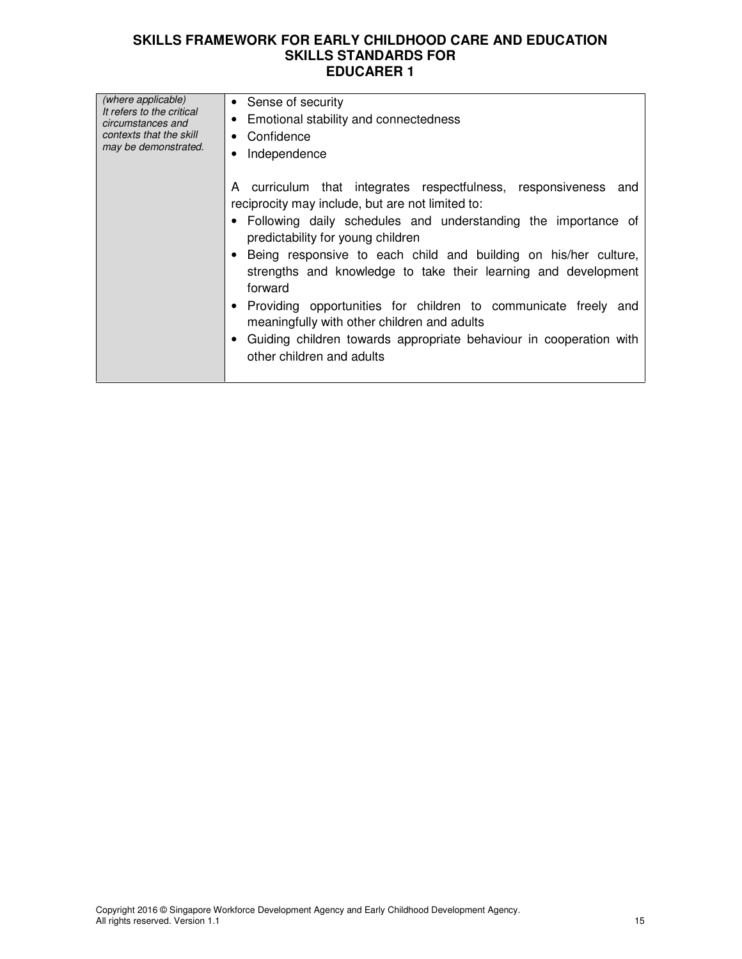| (where applicable)<br>It refers to the critical<br>circumstances and<br>contexts that the skill<br>may be demonstrated. | • Sense of security<br>Emotional stability and connectedness<br>$\bullet$ Confidence<br>Independence                                                                                                                                                                                                                                                                                                                                                                                                                                                                                            |  |  |
|-------------------------------------------------------------------------------------------------------------------------|-------------------------------------------------------------------------------------------------------------------------------------------------------------------------------------------------------------------------------------------------------------------------------------------------------------------------------------------------------------------------------------------------------------------------------------------------------------------------------------------------------------------------------------------------------------------------------------------------|--|--|
|                                                                                                                         | A curriculum that integrates respectfulness, responsiveness and<br>reciprocity may include, but are not limited to:<br>• Following daily schedules and understanding the importance of<br>predictability for young children<br>Being responsive to each child and building on his/her culture,<br>strengths and knowledge to take their learning and development<br>forward<br>Providing opportunities for children to communicate freely and<br>meaningfully with other children and adults<br>Guiding children towards appropriate behaviour in cooperation with<br>other children and adults |  |  |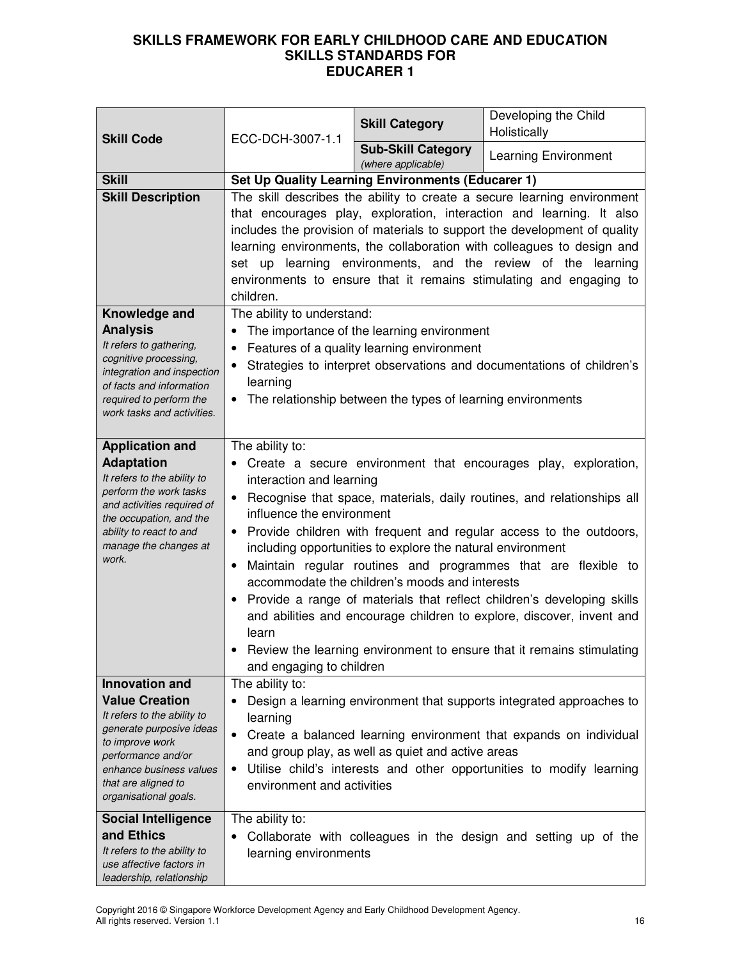| <b>Skill Code</b>                                                                                                                                                                                                          | ECC-DCH-3007-1.1                                                                                                                                                                                                                                                                                                                                                                                                                                                                                                                                                                                                                                                                                                                                                                         | <b>Skill Category</b>                                                                                                                                   | Developing the Child<br>Holistically                                                                                                                                                                              |
|----------------------------------------------------------------------------------------------------------------------------------------------------------------------------------------------------------------------------|------------------------------------------------------------------------------------------------------------------------------------------------------------------------------------------------------------------------------------------------------------------------------------------------------------------------------------------------------------------------------------------------------------------------------------------------------------------------------------------------------------------------------------------------------------------------------------------------------------------------------------------------------------------------------------------------------------------------------------------------------------------------------------------|---------------------------------------------------------------------------------------------------------------------------------------------------------|-------------------------------------------------------------------------------------------------------------------------------------------------------------------------------------------------------------------|
|                                                                                                                                                                                                                            |                                                                                                                                                                                                                                                                                                                                                                                                                                                                                                                                                                                                                                                                                                                                                                                          | <b>Sub-Skill Category</b><br>(where applicable)                                                                                                         | <b>Learning Environment</b>                                                                                                                                                                                       |
| <b>Skill</b>                                                                                                                                                                                                               | <b>Set Up Quality Learning Environments (Educarer 1)</b>                                                                                                                                                                                                                                                                                                                                                                                                                                                                                                                                                                                                                                                                                                                                 |                                                                                                                                                         |                                                                                                                                                                                                                   |
| <b>Skill Description</b>                                                                                                                                                                                                   | The skill describes the ability to create a secure learning environment<br>that encourages play, exploration, interaction and learning. It also<br>includes the provision of materials to support the development of quality<br>learning environments, the collaboration with colleagues to design and<br>set up learning environments, and the review of the learning<br>environments to ensure that it remains stimulating and engaging to<br>children.                                                                                                                                                                                                                                                                                                                                |                                                                                                                                                         |                                                                                                                                                                                                                   |
| Knowledge and<br><b>Analysis</b><br>It refers to gathering,<br>cognitive processing,<br>integration and inspection<br>of facts and information<br>required to perform the<br>work tasks and activities.                    | The ability to understand:<br>$\bullet$<br>learning                                                                                                                                                                                                                                                                                                                                                                                                                                                                                                                                                                                                                                                                                                                                      | The importance of the learning environment<br>Features of a quality learning environment<br>The relationship between the types of learning environments | Strategies to interpret observations and documentations of children's                                                                                                                                             |
| <b>Application and</b><br><b>Adaptation</b><br>It refers to the ability to<br>perform the work tasks<br>and activities required of<br>the occupation, and the<br>ability to react to and<br>manage the changes at<br>work. | The ability to:<br>Create a secure environment that encourages play, exploration,<br>interaction and learning<br>Recognise that space, materials, daily routines, and relationships all<br>$\bullet$<br>influence the environment<br>Provide children with frequent and regular access to the outdoors,<br>$\bullet$<br>including opportunities to explore the natural environment<br>Maintain regular routines and programmes that are flexible to<br>$\bullet$<br>accommodate the children's moods and interests<br>Provide a range of materials that reflect children's developing skills<br>٠<br>and abilities and encourage children to explore, discover, invent and<br>learn<br>Review the learning environment to ensure that it remains stimulating<br>and engaging to children |                                                                                                                                                         |                                                                                                                                                                                                                   |
| <b>Innovation and</b>                                                                                                                                                                                                      | The ability to:                                                                                                                                                                                                                                                                                                                                                                                                                                                                                                                                                                                                                                                                                                                                                                          |                                                                                                                                                         |                                                                                                                                                                                                                   |
| <b>Value Creation</b><br>It refers to the ability to<br>generate purposive ideas<br>to improve work<br>performance and/or<br>enhance business values<br>that are aligned to<br>organisational goals.                       | learning<br>$\bullet$<br>$\bullet$<br>environment and activities                                                                                                                                                                                                                                                                                                                                                                                                                                                                                                                                                                                                                                                                                                                         | and group play, as well as quiet and active areas                                                                                                       | Design a learning environment that supports integrated approaches to<br>Create a balanced learning environment that expands on individual<br>Utilise child's interests and other opportunities to modify learning |
| <b>Social Intelligence</b><br>and Ethics<br>It refers to the ability to<br>use affective factors in<br>leadership, relationship                                                                                            | The ability to:<br>$\bullet$<br>learning environments                                                                                                                                                                                                                                                                                                                                                                                                                                                                                                                                                                                                                                                                                                                                    |                                                                                                                                                         | Collaborate with colleagues in the design and setting up of the                                                                                                                                                   |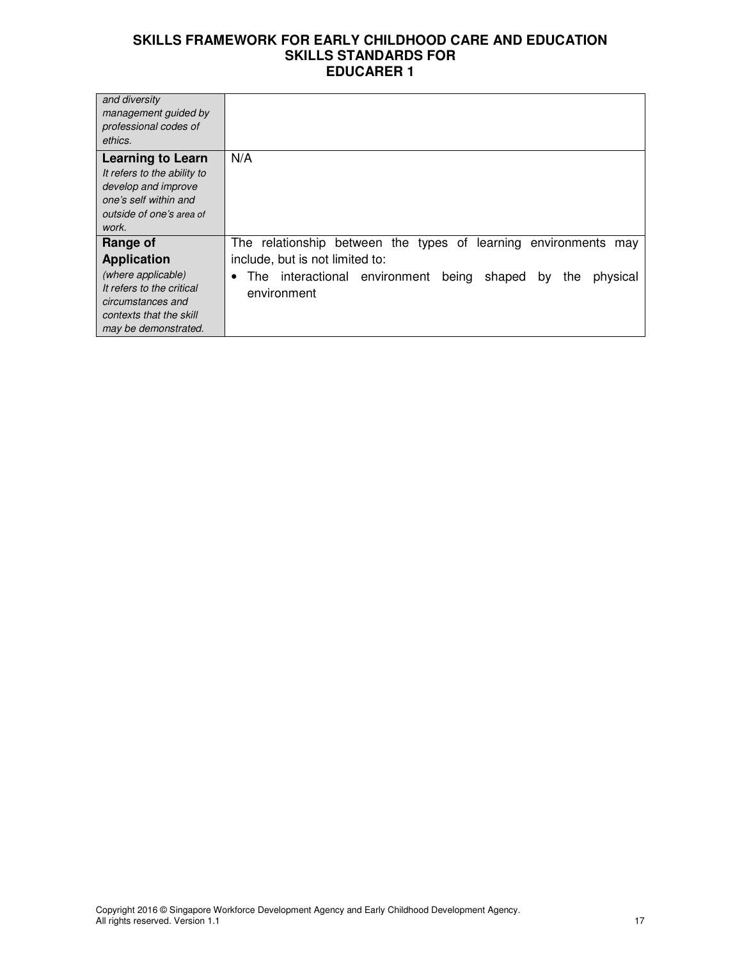| and diversity               |                                                                                |
|-----------------------------|--------------------------------------------------------------------------------|
| management guided by        |                                                                                |
| professional codes of       |                                                                                |
| ethics.                     |                                                                                |
|                             |                                                                                |
| <b>Learning to Learn</b>    | N/A                                                                            |
| It refers to the ability to |                                                                                |
| develop and improve         |                                                                                |
| one's self within and       |                                                                                |
|                             |                                                                                |
| outside of one's area of    |                                                                                |
| work.                       |                                                                                |
| Range of                    | The relationship between the types of learning environments<br>may             |
| <b>Application</b>          | include, but is not limited to:                                                |
| (where applicable)          | The interactional environment<br>being<br>shaped<br>physical<br>the<br>by<br>٠ |
| It refers to the critical   |                                                                                |
| circumstances and           | environment                                                                    |
|                             |                                                                                |
| contexts that the skill     |                                                                                |
| may be demonstrated.        |                                                                                |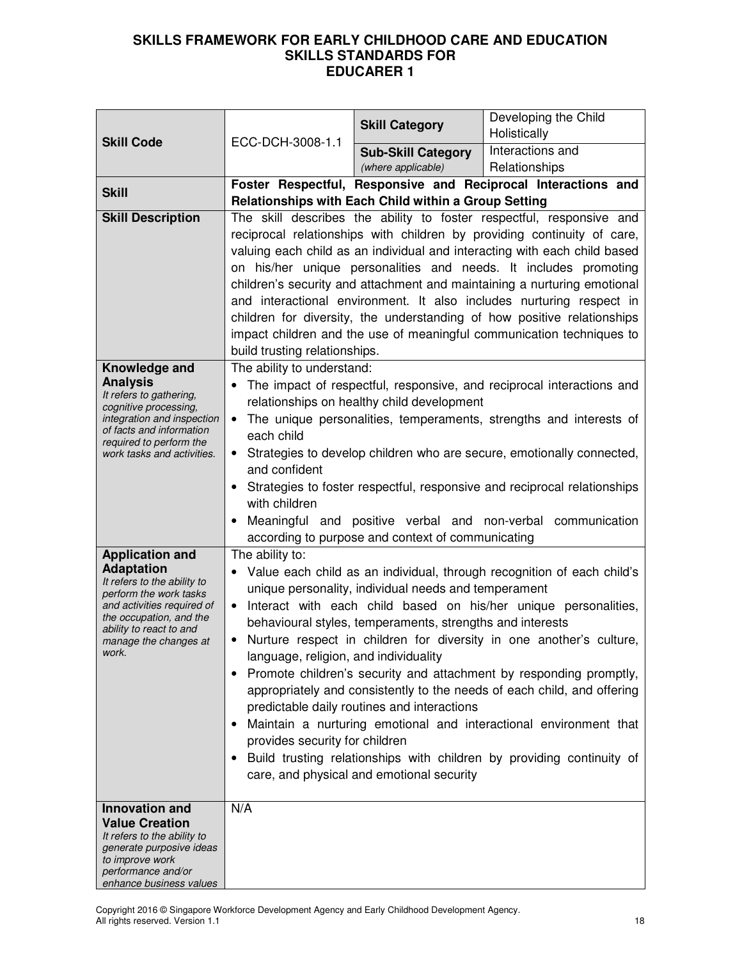|                                                                                                     |                                                                                                                                | <b>Skill Category</b>                                                                                                                           | Developing the Child<br>Holistically                                    |  |
|-----------------------------------------------------------------------------------------------------|--------------------------------------------------------------------------------------------------------------------------------|-------------------------------------------------------------------------------------------------------------------------------------------------|-------------------------------------------------------------------------|--|
| <b>Skill Code</b>                                                                                   | ECC-DCH-3008-1.1                                                                                                               | <b>Sub-Skill Category</b>                                                                                                                       | Interactions and                                                        |  |
|                                                                                                     |                                                                                                                                | (where applicable)                                                                                                                              | Relationships                                                           |  |
| <b>Skill</b>                                                                                        | Foster Respectful, Responsive and Reciprocal Interactions and<br>Relationships with Each Child within a Group Setting          |                                                                                                                                                 |                                                                         |  |
| <b>Skill Description</b>                                                                            | The skill describes the ability to foster respectful, responsive and                                                           |                                                                                                                                                 |                                                                         |  |
|                                                                                                     | reciprocal relationships with children by providing continuity of care,                                                        |                                                                                                                                                 |                                                                         |  |
|                                                                                                     | valuing each child as an individual and interacting with each child based                                                      |                                                                                                                                                 |                                                                         |  |
|                                                                                                     | on his/her unique personalities and needs. It includes promoting                                                               |                                                                                                                                                 |                                                                         |  |
|                                                                                                     | children's security and attachment and maintaining a nurturing emotional                                                       |                                                                                                                                                 |                                                                         |  |
|                                                                                                     |                                                                                                                                | and interactional environment. It also includes nurturing respect in<br>children for diversity, the understanding of how positive relationships |                                                                         |  |
|                                                                                                     |                                                                                                                                |                                                                                                                                                 | impact children and the use of meaningful communication techniques to   |  |
|                                                                                                     | build trusting relationships.                                                                                                  |                                                                                                                                                 |                                                                         |  |
| Knowledge and                                                                                       | The ability to understand:                                                                                                     |                                                                                                                                                 |                                                                         |  |
| <b>Analysis</b><br>It refers to gathering,                                                          |                                                                                                                                |                                                                                                                                                 | The impact of respectful, responsive, and reciprocal interactions and   |  |
| cognitive processing,                                                                               |                                                                                                                                | relationships on healthy child development                                                                                                      |                                                                         |  |
| integration and inspection<br>of facts and information                                              | each child                                                                                                                     |                                                                                                                                                 | The unique personalities, temperaments, strengths and interests of      |  |
| required to perform the<br>work tasks and activities.                                               |                                                                                                                                |                                                                                                                                                 |                                                                         |  |
| Strategies to develop children who are secure, emotionally connected,<br>$\bullet$<br>and confident |                                                                                                                                |                                                                                                                                                 |                                                                         |  |
|                                                                                                     | Strategies to foster respectful, responsive and reciprocal relationships<br>with children                                      |                                                                                                                                                 |                                                                         |  |
|                                                                                                     |                                                                                                                                |                                                                                                                                                 |                                                                         |  |
|                                                                                                     |                                                                                                                                |                                                                                                                                                 | Meaningful and positive verbal and non-verbal communication             |  |
|                                                                                                     |                                                                                                                                | according to purpose and context of communicating                                                                                               |                                                                         |  |
| <b>Application and</b><br><b>Adaptation</b>                                                         | The ability to:                                                                                                                |                                                                                                                                                 |                                                                         |  |
| It refers to the ability to                                                                         | Value each child as an individual, through recognition of each child's<br>unique personality, individual needs and temperament |                                                                                                                                                 |                                                                         |  |
| perform the work tasks<br>and activities required of                                                | Interact with each child based on his/her unique personalities,<br>$\bullet$                                                   |                                                                                                                                                 |                                                                         |  |
| the occupation, and the<br>ability to react to and                                                  | behavioural styles, temperaments, strengths and interests                                                                      |                                                                                                                                                 |                                                                         |  |
| manage the changes at                                                                               |                                                                                                                                |                                                                                                                                                 | Nurture respect in children for diversity in one another's culture,     |  |
| work.                                                                                               | language, religion, and individuality                                                                                          |                                                                                                                                                 |                                                                         |  |
|                                                                                                     | $\bullet$                                                                                                                      |                                                                                                                                                 | Promote children's security and attachment by responding promptly,      |  |
|                                                                                                     |                                                                                                                                | predictable daily routines and interactions                                                                                                     | appropriately and consistently to the needs of each child, and offering |  |
|                                                                                                     |                                                                                                                                |                                                                                                                                                 | Maintain a nurturing emotional and interactional environment that       |  |
|                                                                                                     | provides security for children                                                                                                 |                                                                                                                                                 |                                                                         |  |
|                                                                                                     |                                                                                                                                |                                                                                                                                                 | Build trusting relationships with children by providing continuity of   |  |
|                                                                                                     |                                                                                                                                | care, and physical and emotional security                                                                                                       |                                                                         |  |
| <b>Innovation and</b>                                                                               | N/A                                                                                                                            |                                                                                                                                                 |                                                                         |  |
| <b>Value Creation</b>                                                                               |                                                                                                                                |                                                                                                                                                 |                                                                         |  |
| It refers to the ability to<br>generate purposive ideas                                             |                                                                                                                                |                                                                                                                                                 |                                                                         |  |
| to improve work                                                                                     |                                                                                                                                |                                                                                                                                                 |                                                                         |  |
| performance and/or<br>enhance business values                                                       |                                                                                                                                |                                                                                                                                                 |                                                                         |  |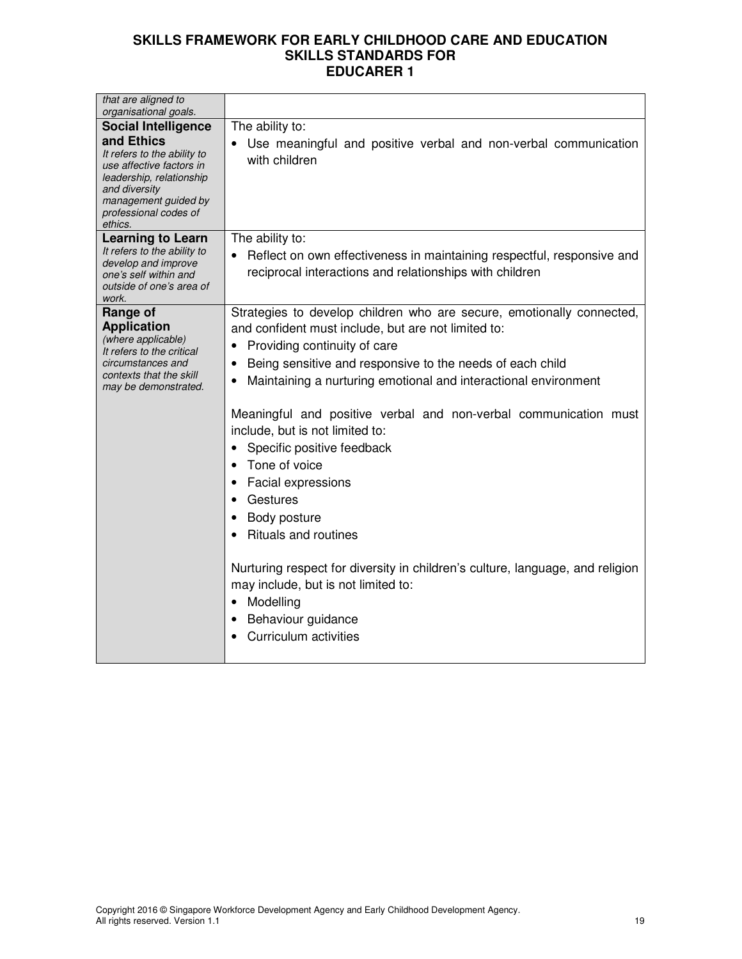| that are aligned to<br>organisational goals.                                                                                                                                                                 |                                                                                                                                                                                                                                                                                                                                                                                                                                                                                                                                                                                                                                                                                                                                                                                                                                        |
|--------------------------------------------------------------------------------------------------------------------------------------------------------------------------------------------------------------|----------------------------------------------------------------------------------------------------------------------------------------------------------------------------------------------------------------------------------------------------------------------------------------------------------------------------------------------------------------------------------------------------------------------------------------------------------------------------------------------------------------------------------------------------------------------------------------------------------------------------------------------------------------------------------------------------------------------------------------------------------------------------------------------------------------------------------------|
| <b>Social Intelligence</b><br>and Ethics<br>It refers to the ability to<br>use affective factors in<br>leadership, relationship<br>and diversity<br>management guided by<br>professional codes of<br>ethics. | The ability to:<br>Use meaningful and positive verbal and non-verbal communication<br>with children                                                                                                                                                                                                                                                                                                                                                                                                                                                                                                                                                                                                                                                                                                                                    |
| <b>Learning to Learn</b><br>It refers to the ability to<br>develop and improve<br>one's self within and<br>outside of one's area of<br>work.                                                                 | The ability to:<br>Reflect on own effectiveness in maintaining respectful, responsive and<br>reciprocal interactions and relationships with children                                                                                                                                                                                                                                                                                                                                                                                                                                                                                                                                                                                                                                                                                   |
| Range of<br><b>Application</b><br>(where applicable)<br>It refers to the critical<br>circumstances and<br>contexts that the skill<br>may be demonstrated.                                                    | Strategies to develop children who are secure, emotionally connected,<br>and confident must include, but are not limited to:<br>Providing continuity of care<br>$\bullet$<br>Being sensitive and responsive to the needs of each child<br>$\bullet$<br>Maintaining a nurturing emotional and interactional environment<br>$\bullet$<br>Meaningful and positive verbal and non-verbal communication must<br>include, but is not limited to:<br>Specific positive feedback<br>$\bullet$<br>Tone of voice<br>$\bullet$<br><b>Facial expressions</b><br>$\bullet$<br>Gestures<br>Body posture<br>$\bullet$<br><b>Rituals and routines</b><br>Nurturing respect for diversity in children's culture, language, and religion<br>may include, but is not limited to:<br>Modelling<br>$\bullet$<br>Behaviour guidance<br>Curriculum activities |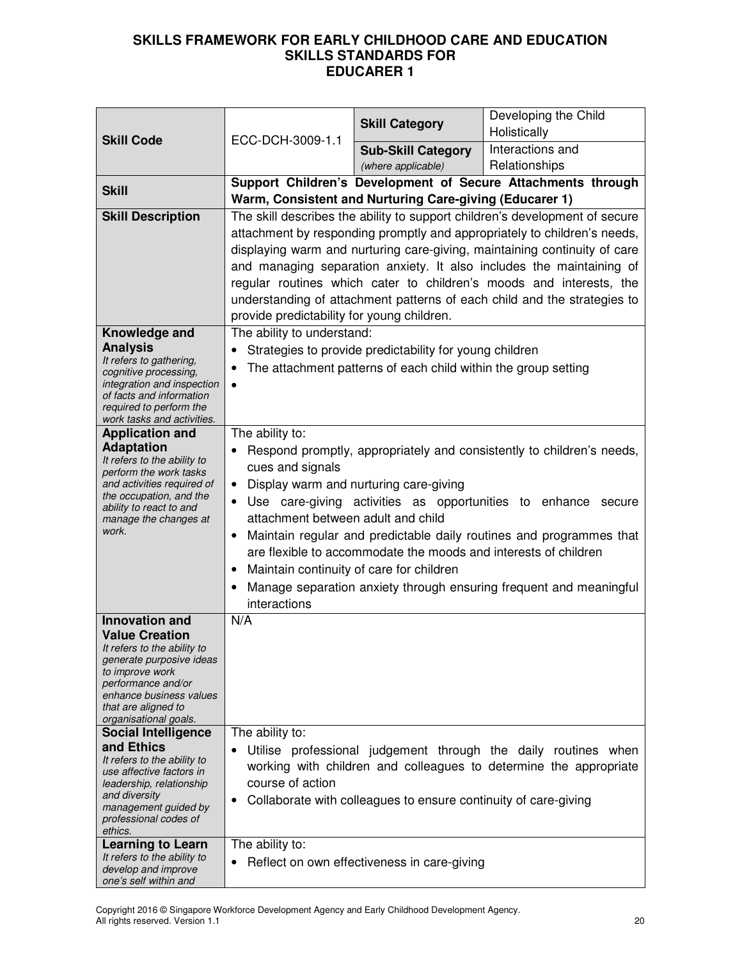| <b>Skill Code</b>                                      | ECC-DCH-3009-1.1                                                                                                                                      | <b>Skill Category</b>                                           | Developing the Child<br>Holistically                                      |  |
|--------------------------------------------------------|-------------------------------------------------------------------------------------------------------------------------------------------------------|-----------------------------------------------------------------|---------------------------------------------------------------------------|--|
|                                                        |                                                                                                                                                       | <b>Sub-Skill Category</b>                                       | Interactions and                                                          |  |
|                                                        |                                                                                                                                                       | (where applicable)                                              | Relationships                                                             |  |
| <b>Skill</b>                                           | Support Children's Development of Secure Attachments through                                                                                          |                                                                 |                                                                           |  |
|                                                        | Warm, Consistent and Nurturing Care-giving (Educarer 1)<br>The skill describes the ability to support children's development of secure                |                                                                 |                                                                           |  |
| <b>Skill Description</b>                               |                                                                                                                                                       |                                                                 | attachment by responding promptly and appropriately to children's needs,  |  |
|                                                        |                                                                                                                                                       |                                                                 | displaying warm and nurturing care-giving, maintaining continuity of care |  |
|                                                        |                                                                                                                                                       |                                                                 | and managing separation anxiety. It also includes the maintaining of      |  |
|                                                        |                                                                                                                                                       |                                                                 | regular routines which cater to children's moods and interests, the       |  |
|                                                        |                                                                                                                                                       |                                                                 | understanding of attachment patterns of each child and the strategies to  |  |
|                                                        | provide predictability for young children.                                                                                                            |                                                                 |                                                                           |  |
| Knowledge and                                          | The ability to understand:                                                                                                                            |                                                                 |                                                                           |  |
| <b>Analysis</b>                                        | $\bullet$                                                                                                                                             | Strategies to provide predictability for young children         |                                                                           |  |
| It refers to gathering,<br>cognitive processing,       | ٠                                                                                                                                                     | The attachment patterns of each child within the group setting  |                                                                           |  |
| integration and inspection<br>of facts and information |                                                                                                                                                       |                                                                 |                                                                           |  |
| required to perform the                                |                                                                                                                                                       |                                                                 |                                                                           |  |
| work tasks and activities.                             |                                                                                                                                                       |                                                                 |                                                                           |  |
| <b>Application and</b><br><b>Adaptation</b>            | The ability to:                                                                                                                                       |                                                                 |                                                                           |  |
| It refers to the ability to                            |                                                                                                                                                       |                                                                 | Respond promptly, appropriately and consistently to children's needs,     |  |
| perform the work tasks<br>and activities required of   | cues and signals<br>Display warm and nurturing care-giving<br>$\bullet$<br>Use care-giving activities as opportunities to enhance secure<br>$\bullet$ |                                                                 |                                                                           |  |
| the occupation, and the                                |                                                                                                                                                       |                                                                 |                                                                           |  |
| ability to react to and<br>manage the changes at       | attachment between adult and child                                                                                                                    |                                                                 |                                                                           |  |
| work.                                                  | Maintain regular and predictable daily routines and programmes that<br>$\bullet$                                                                      |                                                                 |                                                                           |  |
|                                                        |                                                                                                                                                       | are flexible to accommodate the moods and interests of children |                                                                           |  |
|                                                        | Maintain continuity of care for children<br>٠                                                                                                         |                                                                 |                                                                           |  |
|                                                        | ٠                                                                                                                                                     |                                                                 | Manage separation anxiety through ensuring frequent and meaningful        |  |
|                                                        | interactions                                                                                                                                          |                                                                 |                                                                           |  |
| <b>Innovation and</b>                                  | N/A                                                                                                                                                   |                                                                 |                                                                           |  |
| <b>Value Creation</b><br>It refers to the ability to   |                                                                                                                                                       |                                                                 |                                                                           |  |
| generate purposive ideas                               |                                                                                                                                                       |                                                                 |                                                                           |  |
| to improve work<br>performance and/or                  |                                                                                                                                                       |                                                                 |                                                                           |  |
| enhance business values                                |                                                                                                                                                       |                                                                 |                                                                           |  |
| that are aligned to<br>organisational goals.           |                                                                                                                                                       |                                                                 |                                                                           |  |
| <b>Social Intelligence</b>                             | The ability to:                                                                                                                                       |                                                                 |                                                                           |  |
| and Ethics<br>It refers to the ability to              |                                                                                                                                                       |                                                                 | Utilise professional judgement through the daily routines when            |  |
| use affective factors in                               | working with children and colleagues to determine the appropriate                                                                                     |                                                                 |                                                                           |  |
| leadership, relationship<br>and diversity              |                                                                                                                                                       | course of action                                                |                                                                           |  |
| management guided by                                   | ٠                                                                                                                                                     | Collaborate with colleagues to ensure continuity of care-giving |                                                                           |  |
| professional codes of<br>ethics.                       |                                                                                                                                                       |                                                                 |                                                                           |  |
| <b>Learning to Learn</b>                               | The ability to:                                                                                                                                       |                                                                 |                                                                           |  |
| It refers to the ability to<br>develop and improve     |                                                                                                                                                       | Reflect on own effectiveness in care-giving                     |                                                                           |  |
| one's self within and                                  |                                                                                                                                                       |                                                                 |                                                                           |  |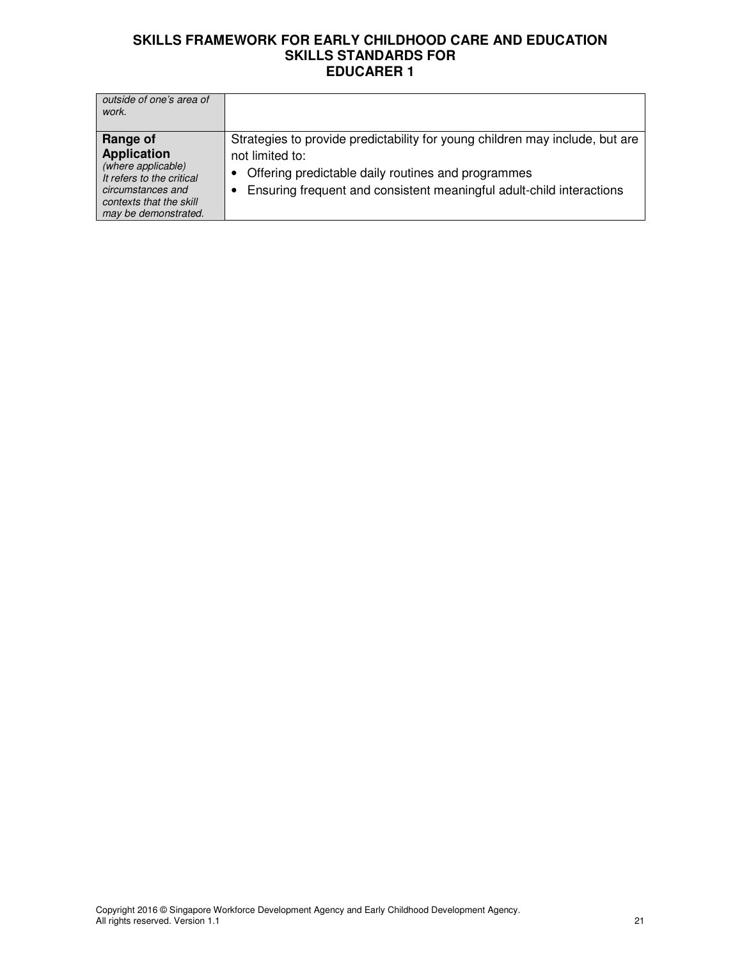| outside of one's area of<br>work.                                                                                                                         |                                                                                                                                                                                                                               |
|-----------------------------------------------------------------------------------------------------------------------------------------------------------|-------------------------------------------------------------------------------------------------------------------------------------------------------------------------------------------------------------------------------|
| Range of<br><b>Application</b><br>(where applicable)<br>It refers to the critical<br>circumstances and<br>contexts that the skill<br>may be demonstrated. | Strategies to provide predictability for young children may include, but are<br>not limited to:<br>Offering predictable daily routines and programmes<br>Ensuring frequent and consistent meaningful adult-child interactions |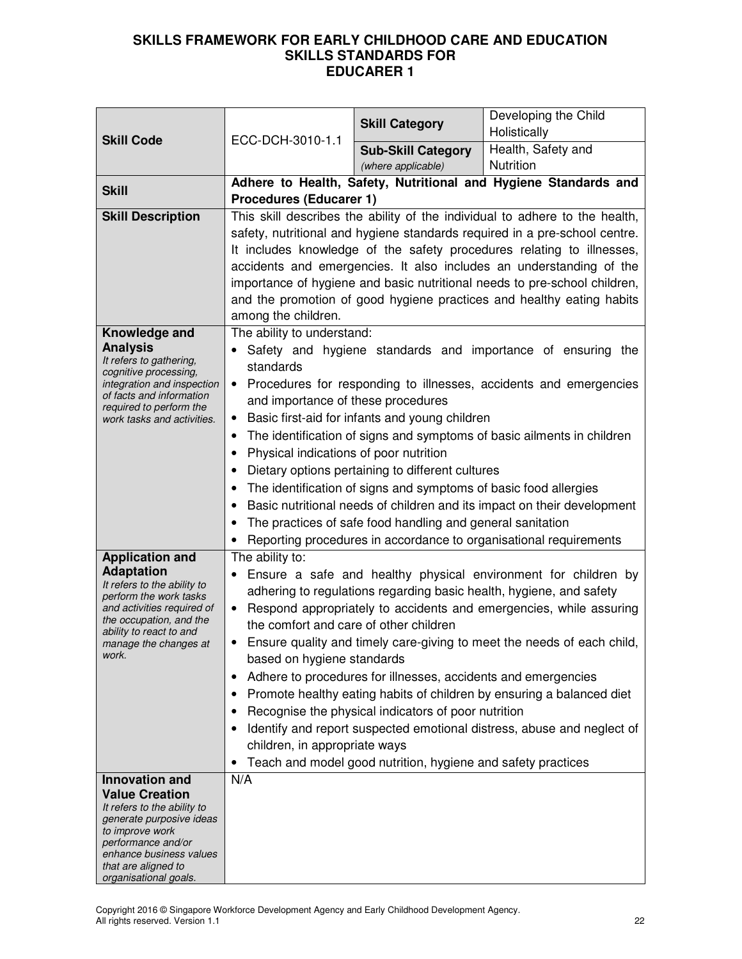| <b>Skill Code</b>                                                   | ECC-DCH-3010-1.1                                                                                                                                                                                                                                                | <b>Skill Category</b>                                        | Developing the Child<br>Holistically                                   |  |
|---------------------------------------------------------------------|-----------------------------------------------------------------------------------------------------------------------------------------------------------------------------------------------------------------------------------------------------------------|--------------------------------------------------------------|------------------------------------------------------------------------|--|
|                                                                     |                                                                                                                                                                                                                                                                 | <b>Sub-Skill Category</b>                                    | Health, Safety and                                                     |  |
|                                                                     |                                                                                                                                                                                                                                                                 | (where applicable)                                           | Nutrition                                                              |  |
| <b>Skill</b>                                                        |                                                                                                                                                                                                                                                                 |                                                              | Adhere to Health, Safety, Nutritional and Hygiene Standards and        |  |
| <b>Skill Description</b>                                            | <b>Procedures (Educarer 1)</b>                                                                                                                                                                                                                                  |                                                              |                                                                        |  |
|                                                                     | This skill describes the ability of the individual to adhere to the health,<br>safety, nutritional and hygiene standards required in a pre-school centre.                                                                                                       |                                                              |                                                                        |  |
|                                                                     |                                                                                                                                                                                                                                                                 |                                                              |                                                                        |  |
|                                                                     | It includes knowledge of the safety procedures relating to illnesses,<br>accidents and emergencies. It also includes an understanding of the                                                                                                                    |                                                              |                                                                        |  |
|                                                                     | importance of hygiene and basic nutritional needs to pre-school children,                                                                                                                                                                                       |                                                              |                                                                        |  |
|                                                                     | and the promotion of good hygiene practices and healthy eating habits                                                                                                                                                                                           |                                                              |                                                                        |  |
|                                                                     | among the children.                                                                                                                                                                                                                                             |                                                              |                                                                        |  |
| Knowledge and                                                       | The ability to understand:                                                                                                                                                                                                                                      |                                                              |                                                                        |  |
| <b>Analysis</b><br>It refers to gathering,<br>cognitive processing, | standards                                                                                                                                                                                                                                                       |                                                              | Safety and hygiene standards and importance of ensuring the            |  |
| integration and inspection<br>of facts and information              | $\bullet$<br>and importance of these procedures                                                                                                                                                                                                                 |                                                              | Procedures for responding to illnesses, accidents and emergencies      |  |
| required to perform the<br>work tasks and activities.               | ٠                                                                                                                                                                                                                                                               | Basic first-aid for infants and young children               |                                                                        |  |
|                                                                     | ٠                                                                                                                                                                                                                                                               |                                                              |                                                                        |  |
|                                                                     | The identification of signs and symptoms of basic ailments in children<br>Physical indications of poor nutrition<br>٠<br>Dietary options pertaining to different cultures<br>٠<br>The identification of signs and symptoms of basic food allergies<br>$\bullet$ |                                                              |                                                                        |  |
|                                                                     |                                                                                                                                                                                                                                                                 |                                                              |                                                                        |  |
|                                                                     |                                                                                                                                                                                                                                                                 |                                                              |                                                                        |  |
|                                                                     | Basic nutritional needs of children and its impact on their development<br>٠                                                                                                                                                                                    |                                                              |                                                                        |  |
|                                                                     | The practices of safe food handling and general sanitation                                                                                                                                                                                                      |                                                              |                                                                        |  |
|                                                                     |                                                                                                                                                                                                                                                                 |                                                              | Reporting procedures in accordance to organisational requirements      |  |
| <b>Application and</b><br><b>Adaptation</b>                         | The ability to:                                                                                                                                                                                                                                                 |                                                              |                                                                        |  |
| It refers to the ability to                                         | ٠                                                                                                                                                                                                                                                               |                                                              | Ensure a safe and healthy physical environment for children by         |  |
| perform the work tasks<br>and activities required of                | adhering to regulations regarding basic health, hygiene, and safety<br>Respond appropriately to accidents and emergencies, while assuring                                                                                                                       |                                                              |                                                                        |  |
| the occupation, and the                                             | $\bullet$<br>the comfort and care of other children                                                                                                                                                                                                             |                                                              |                                                                        |  |
| ability to react to and<br>manage the changes at                    | Ensure quality and timely care-giving to meet the needs of each child,                                                                                                                                                                                          |                                                              |                                                                        |  |
| work.                                                               | based on hygiene standards                                                                                                                                                                                                                                      |                                                              |                                                                        |  |
|                                                                     | Adhere to procedures for illnesses, accidents and emergencies<br>$\bullet$                                                                                                                                                                                      |                                                              |                                                                        |  |
|                                                                     | ٠                                                                                                                                                                                                                                                               |                                                              | Promote healthy eating habits of children by ensuring a balanced diet  |  |
|                                                                     |                                                                                                                                                                                                                                                                 | Recognise the physical indicators of poor nutrition          |                                                                        |  |
|                                                                     | $\bullet$                                                                                                                                                                                                                                                       |                                                              | Identify and report suspected emotional distress, abuse and neglect of |  |
|                                                                     | children, in appropriate ways                                                                                                                                                                                                                                   |                                                              |                                                                        |  |
| Innovation and                                                      | $\bullet$<br>N/A                                                                                                                                                                                                                                                | Teach and model good nutrition, hygiene and safety practices |                                                                        |  |
| <b>Value Creation</b>                                               |                                                                                                                                                                                                                                                                 |                                                              |                                                                        |  |
| It refers to the ability to                                         |                                                                                                                                                                                                                                                                 |                                                              |                                                                        |  |
| generate purposive ideas<br>to improve work                         |                                                                                                                                                                                                                                                                 |                                                              |                                                                        |  |
| performance and/or<br>enhance business values                       |                                                                                                                                                                                                                                                                 |                                                              |                                                                        |  |
| that are aligned to                                                 |                                                                                                                                                                                                                                                                 |                                                              |                                                                        |  |
| organisational goals.                                               |                                                                                                                                                                                                                                                                 |                                                              |                                                                        |  |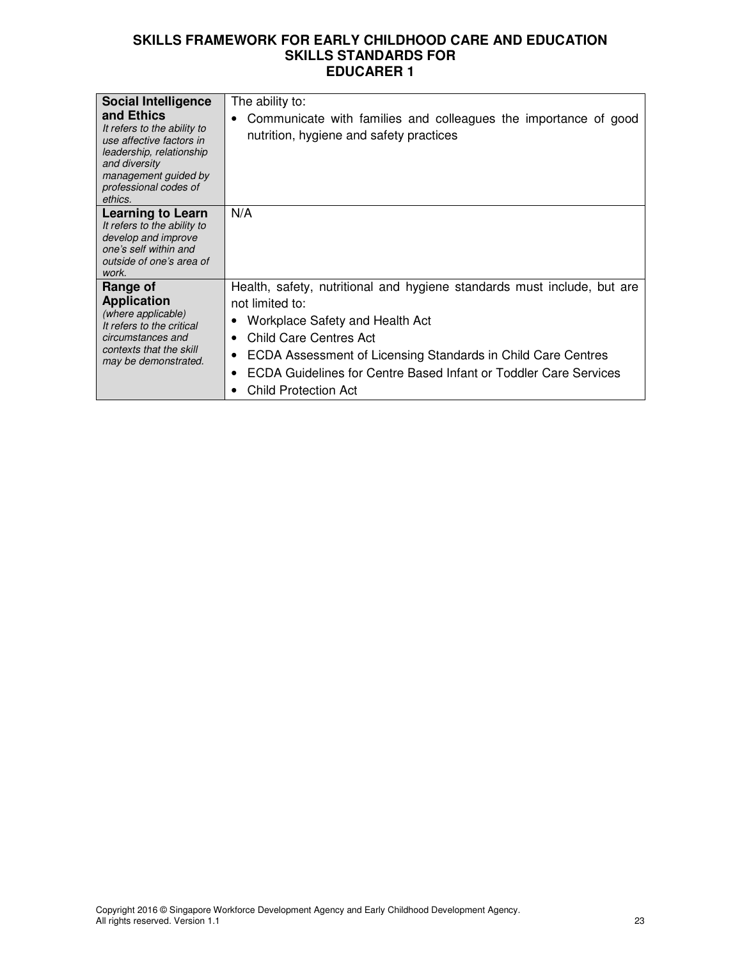| <b>Social Intelligence</b><br>and Ethics<br>It refers to the ability to<br>use affective factors in<br>leadership, relationship<br>and diversity<br>management guided by<br>professional codes of<br>ethics. | The ability to:<br>Communicate with families and colleagues the importance of good<br>nutrition, hygiene and safety practices                                                                                                                                                                                            |
|--------------------------------------------------------------------------------------------------------------------------------------------------------------------------------------------------------------|--------------------------------------------------------------------------------------------------------------------------------------------------------------------------------------------------------------------------------------------------------------------------------------------------------------------------|
| <b>Learning to Learn</b><br>It refers to the ability to<br>develop and improve<br>one's self within and<br>outside of one's area of<br>work.                                                                 | N/A                                                                                                                                                                                                                                                                                                                      |
| Range of<br><b>Application</b><br>(where applicable)<br>It refers to the critical<br>circumstances and<br>contexts that the skill<br>may be demonstrated.                                                    | Health, safety, nutritional and hygiene standards must include, but are<br>not limited to:<br>Workplace Safety and Health Act<br>Child Care Centres Act<br>ECDA Assessment of Licensing Standards in Child Care Centres<br>٠<br>ECDA Guidelines for Centre Based Infant or Toddler Care Services<br>Child Protection Act |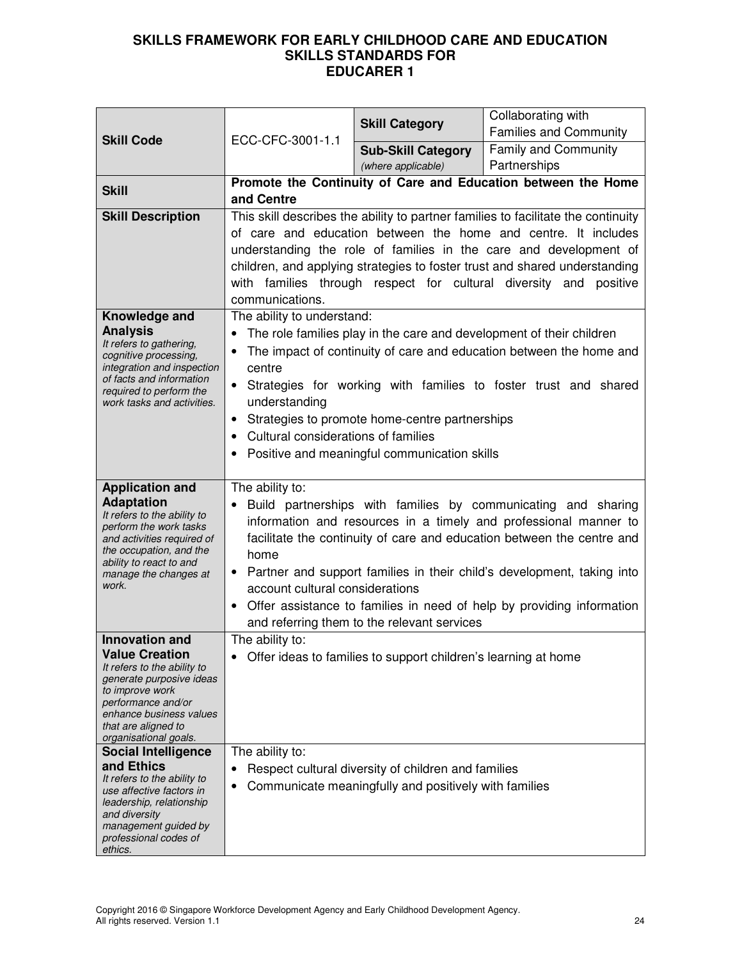|                                                                                                                                                                                                                               | ECC-CFC-3001-1.1                                                                                                                                                                                                                                                                                                                                                                                                                                                                         | <b>Skill Category</b>                                                                                        | Collaborating with<br><b>Families and Community</b>           |
|-------------------------------------------------------------------------------------------------------------------------------------------------------------------------------------------------------------------------------|------------------------------------------------------------------------------------------------------------------------------------------------------------------------------------------------------------------------------------------------------------------------------------------------------------------------------------------------------------------------------------------------------------------------------------------------------------------------------------------|--------------------------------------------------------------------------------------------------------------|---------------------------------------------------------------|
| <b>Skill Code</b>                                                                                                                                                                                                             |                                                                                                                                                                                                                                                                                                                                                                                                                                                                                          | <b>Sub-Skill Category</b><br>(where applicable)                                                              | <b>Family and Community</b><br>Partnerships                   |
| <b>Skill</b>                                                                                                                                                                                                                  | and Centre                                                                                                                                                                                                                                                                                                                                                                                                                                                                               |                                                                                                              | Promote the Continuity of Care and Education between the Home |
| <b>Skill Description</b>                                                                                                                                                                                                      | This skill describes the ability to partner families to facilitate the continuity<br>of care and education between the home and centre. It includes<br>understanding the role of families in the care and development of<br>children, and applying strategies to foster trust and shared understanding<br>with families through respect for cultural diversity and positive<br>communications.                                                                                           |                                                                                                              |                                                               |
| Knowledge and<br><b>Analysis</b><br>It refers to gathering,<br>cognitive processing,<br>integration and inspection<br>of facts and information<br>required to perform the<br>work tasks and activities.                       | The ability to understand:<br>The role families play in the care and development of their children<br>$\bullet$<br>The impact of continuity of care and education between the home and<br>$\bullet$<br>centre<br>Strategies for working with families to foster trust and shared<br>$\bullet$<br>understanding<br>Strategies to promote home-centre partnerships<br>$\bullet$<br>Cultural considerations of families<br>Positive and meaningful communication skills                     |                                                                                                              |                                                               |
| <b>Application and</b><br><b>Adaptation</b><br>It refers to the ability to<br>perform the work tasks<br>and activities required of<br>the occupation, and the<br>ability to react to and<br>manage the changes at<br>work.    | The ability to:<br>Build partnerships with families by communicating and sharing<br>information and resources in a timely and professional manner to<br>facilitate the continuity of care and education between the centre and<br>home<br>Partner and support families in their child's development, taking into<br>account cultural considerations<br>Offer assistance to families in need of help by providing information<br>$\bullet$<br>and referring them to the relevant services |                                                                                                              |                                                               |
| <b>Innovation and</b><br><b>Value Creation</b><br>It refers to the ability to<br>generate purposive ideas<br>to improve work<br>performance and/or<br>enhance business values<br>that are aligned to<br>organisational goals. | The ability to:<br>Offer ideas to families to support children's learning at home<br>$\bullet$                                                                                                                                                                                                                                                                                                                                                                                           |                                                                                                              |                                                               |
| <b>Social Intelligence</b><br>and Ethics<br>It refers to the ability to<br>use affective factors in<br>leadership, relationship<br>and diversity<br>management guided by<br>professional codes of<br>ethics.                  | The ability to:<br>$\bullet$<br>٠                                                                                                                                                                                                                                                                                                                                                                                                                                                        | Respect cultural diversity of children and families<br>Communicate meaningfully and positively with families |                                                               |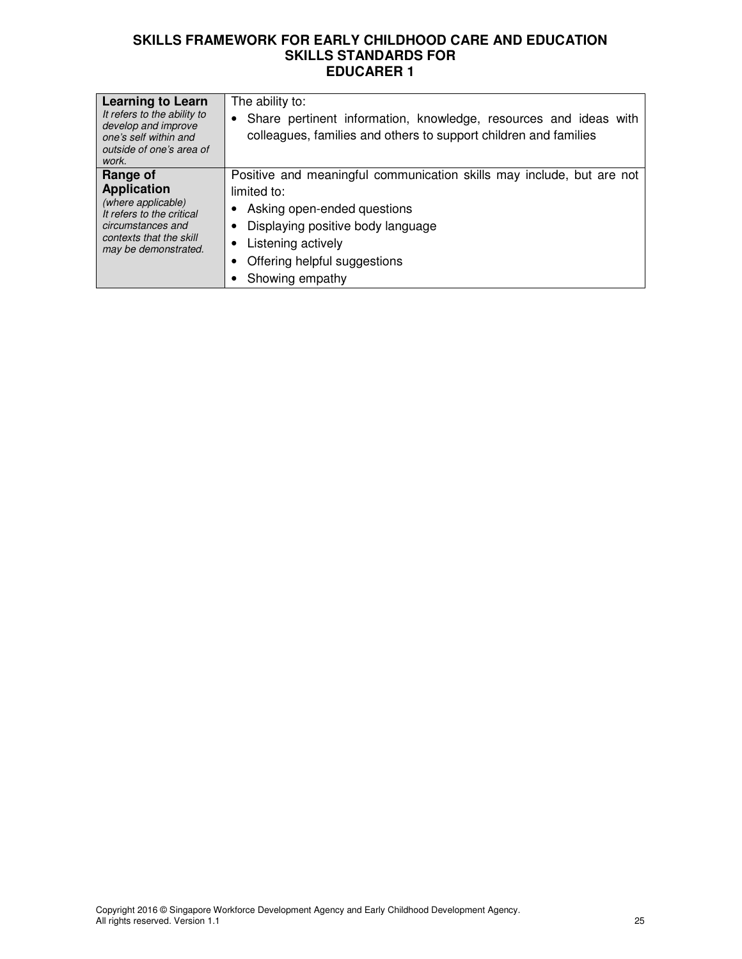| <b>Learning to Learn</b><br>It refers to the ability to<br>develop and improve<br>one's self within and<br>outside of one's area of<br>work.              | The ability to:<br>Share pertinent information, knowledge, resources and ideas with<br>٠<br>colleagues, families and others to support children and families                                                                           |
|-----------------------------------------------------------------------------------------------------------------------------------------------------------|----------------------------------------------------------------------------------------------------------------------------------------------------------------------------------------------------------------------------------------|
| Range of<br><b>Application</b><br>(where applicable)<br>It refers to the critical<br>circumstances and<br>contexts that the skill<br>may be demonstrated. | Positive and meaningful communication skills may include, but are not<br>limited to:<br>Asking open-ended questions<br>Displaying positive body language<br>Listening actively<br>٠<br>Offering helpful suggestions<br>Showing empathy |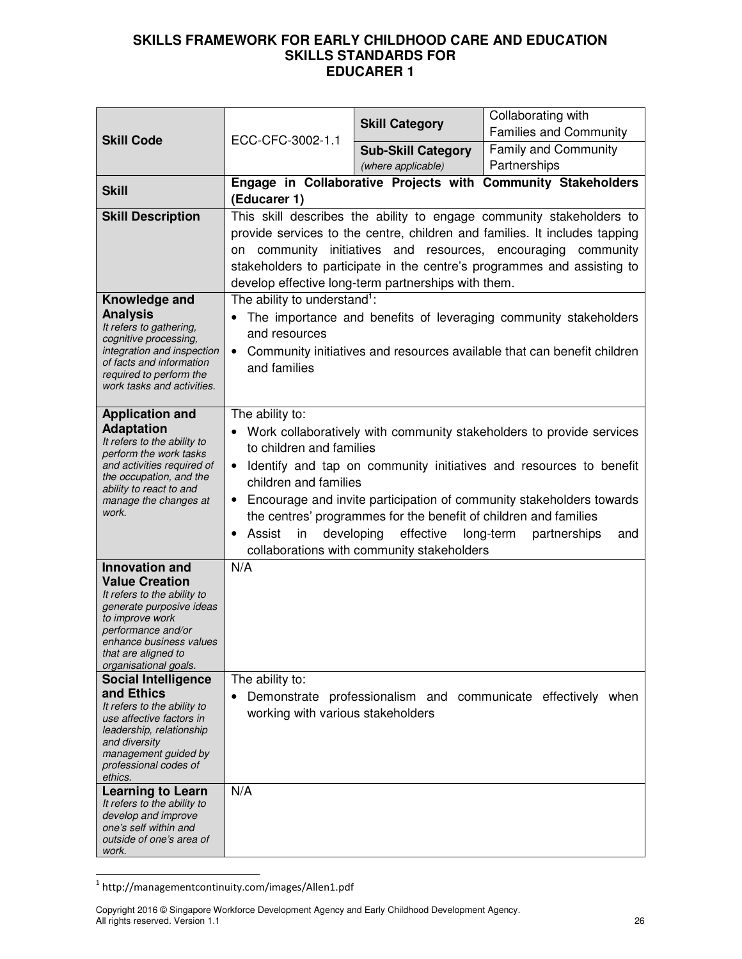|                                                                                                                                                                                                                                                                                                                                                                                                                                    | ECC-CFC-3002-1.1                                                                                                                                                                                                                                                                                                                                                                                                                                                                           | <b>Skill Category</b>     | Collaborating with<br><b>Families and Community</b>                                                                                         |
|------------------------------------------------------------------------------------------------------------------------------------------------------------------------------------------------------------------------------------------------------------------------------------------------------------------------------------------------------------------------------------------------------------------------------------|--------------------------------------------------------------------------------------------------------------------------------------------------------------------------------------------------------------------------------------------------------------------------------------------------------------------------------------------------------------------------------------------------------------------------------------------------------------------------------------------|---------------------------|---------------------------------------------------------------------------------------------------------------------------------------------|
| <b>Skill Code</b>                                                                                                                                                                                                                                                                                                                                                                                                                  |                                                                                                                                                                                                                                                                                                                                                                                                                                                                                            | <b>Sub-Skill Category</b> | Family and Community                                                                                                                        |
|                                                                                                                                                                                                                                                                                                                                                                                                                                    |                                                                                                                                                                                                                                                                                                                                                                                                                                                                                            | (where applicable)        | Partnerships                                                                                                                                |
| <b>Skill</b>                                                                                                                                                                                                                                                                                                                                                                                                                       | (Educarer 1)                                                                                                                                                                                                                                                                                                                                                                                                                                                                               |                           | Engage in Collaborative Projects with Community Stakeholders                                                                                |
| <b>Skill Description</b>                                                                                                                                                                                                                                                                                                                                                                                                           | This skill describes the ability to engage community stakeholders to<br>provide services to the centre, children and families. It includes tapping<br>community initiatives and resources, encouraging community<br>on<br>stakeholders to participate in the centre's programmes and assisting to<br>develop effective long-term partnerships with them.                                                                                                                                   |                           |                                                                                                                                             |
| Knowledge and<br><b>Analysis</b><br>It refers to gathering,<br>cognitive processing,<br>integration and inspection<br>of facts and information<br>required to perform the<br>work tasks and activities.                                                                                                                                                                                                                            | The ability to understand <sup>1</sup> :<br>and resources<br>and families                                                                                                                                                                                                                                                                                                                                                                                                                  |                           | The importance and benefits of leveraging community stakeholders<br>Community initiatives and resources available that can benefit children |
| <b>Application and</b><br><b>Adaptation</b><br>It refers to the ability to<br>perform the work tasks<br>and activities required of<br>the occupation, and the<br>ability to react to and<br>manage the changes at<br>work.                                                                                                                                                                                                         | The ability to:<br>Work collaboratively with community stakeholders to provide services<br>to children and families<br>Identify and tap on community initiatives and resources to benefit<br>children and families<br>• Encourage and invite participation of community stakeholders towards<br>the centres' programmes for the benefit of children and families<br>Assist<br>developing effective<br>long-term<br>in<br>partnerships<br>and<br>collaborations with community stakeholders |                           |                                                                                                                                             |
| <b>Innovation and</b><br><b>Value Creation</b><br>It refers to the ability to<br>generate purposive ideas<br>to improve work<br>performance and/or<br>enhance business values<br>that are aligned to<br>organisational goals.<br><b>Social Intelligence</b><br>and Ethics<br>It refers to the ability to<br>use affective factors in<br>leadership, relationship<br>and diversity<br>management guided by<br>professional codes of | N/A<br>The ability to:<br>$\bullet$<br>working with various stakeholders                                                                                                                                                                                                                                                                                                                                                                                                                   |                           | Demonstrate professionalism and communicate effectively when                                                                                |
| ethics.<br><b>Learning to Learn</b><br>It refers to the ability to<br>develop and improve<br>one's self within and<br>outside of one's area of<br>work.                                                                                                                                                                                                                                                                            | N/A                                                                                                                                                                                                                                                                                                                                                                                                                                                                                        |                           |                                                                                                                                             |

 1 http://managementcontinuity.com/images/Allen1.pdf

Copyright 2016 © Singapore Workforce Development Agency and Early Childhood Development Agency. All rights reserved. Version 1.1 26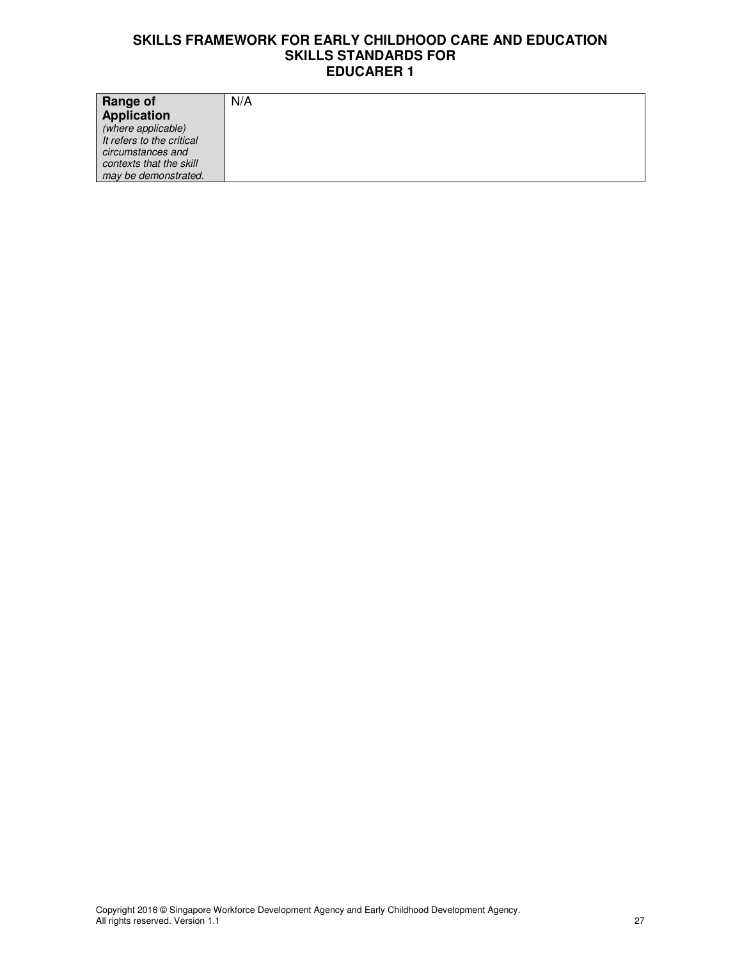| <b>Range of</b>           | N/A |
|---------------------------|-----|
| Application               |     |
| (where applicable)        |     |
| It refers to the critical |     |
| circumstances and         |     |
| contexts that the skill   |     |
| may be demonstrated.      |     |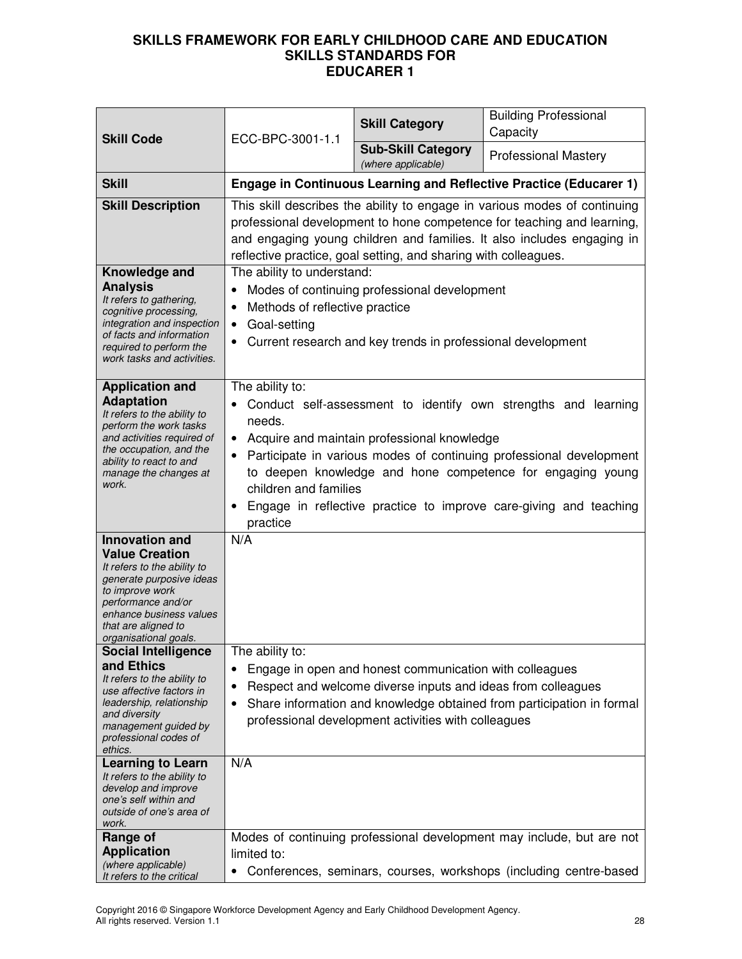| <b>Skill Code</b>                                                                                                                                                                                                                                                                                        | ECC-BPC-3001-1.1                                                                                                                                                                                                                                                                                                                                                                            | <b>Skill Category</b>                                   | <b>Building Professional</b><br>Capacity                                                                                                   |
|----------------------------------------------------------------------------------------------------------------------------------------------------------------------------------------------------------------------------------------------------------------------------------------------------------|---------------------------------------------------------------------------------------------------------------------------------------------------------------------------------------------------------------------------------------------------------------------------------------------------------------------------------------------------------------------------------------------|---------------------------------------------------------|--------------------------------------------------------------------------------------------------------------------------------------------|
|                                                                                                                                                                                                                                                                                                          |                                                                                                                                                                                                                                                                                                                                                                                             | <b>Sub-Skill Category</b><br>(where applicable)         | <b>Professional Mastery</b>                                                                                                                |
| <b>Skill</b>                                                                                                                                                                                                                                                                                             |                                                                                                                                                                                                                                                                                                                                                                                             |                                                         | <b>Engage in Continuous Learning and Reflective Practice (Educarer 1)</b>                                                                  |
| <b>Skill Description</b>                                                                                                                                                                                                                                                                                 | This skill describes the ability to engage in various modes of continuing<br>professional development to hone competence for teaching and learning,<br>and engaging young children and families. It also includes engaging in<br>reflective practice, goal setting, and sharing with colleagues.                                                                                            |                                                         |                                                                                                                                            |
| Knowledge and<br><b>Analysis</b><br>It refers to gathering,<br>cognitive processing,<br>integration and inspection<br>of facts and information<br>required to perform the<br>work tasks and activities.                                                                                                  | The ability to understand:<br>Modes of continuing professional development<br>Methods of reflective practice<br>Goal-setting<br>٠<br>Current research and key trends in professional development                                                                                                                                                                                            |                                                         |                                                                                                                                            |
| <b>Application and</b><br><b>Adaptation</b><br>It refers to the ability to<br>perform the work tasks<br>and activities required of<br>the occupation, and the<br>ability to react to and<br>manage the changes at<br>work.                                                                               | The ability to:<br>Conduct self-assessment to identify own strengths and learning<br>needs.<br>• Acquire and maintain professional knowledge<br>Participate in various modes of continuing professional development<br>to deepen knowledge and hone competence for engaging young<br>children and families<br>Engage in reflective practice to improve care-giving and teaching<br>practice |                                                         |                                                                                                                                            |
| <b>Innovation and</b><br><b>Value Creation</b><br>It refers to the ability to<br>generate purposive ideas<br>to improve work<br>performance and/or<br>enhance business values<br>that are aligned to<br>organisational goals.<br><b>Social Intelligence</b><br>and Ethics<br>It refers to the ability to | N/A<br>The ability to:<br>٠                                                                                                                                                                                                                                                                                                                                                                 | Engage in open and honest communication with colleagues |                                                                                                                                            |
| use affective factors in<br>leadership, relationship<br>and diversity<br>management guided by<br>professional codes of<br>ethics.                                                                                                                                                                        | Respect and welcome diverse inputs and ideas from colleagues<br>٠<br>Share information and knowledge obtained from participation in formal<br>٠<br>professional development activities with colleagues                                                                                                                                                                                      |                                                         |                                                                                                                                            |
| <b>Learning to Learn</b><br>It refers to the ability to<br>develop and improve<br>one's self within and<br>outside of one's area of<br>work.                                                                                                                                                             | N/A                                                                                                                                                                                                                                                                                                                                                                                         |                                                         |                                                                                                                                            |
| Range of<br><b>Application</b><br>(where applicable)<br>It refers to the critical                                                                                                                                                                                                                        | limited to:<br>٠                                                                                                                                                                                                                                                                                                                                                                            |                                                         | Modes of continuing professional development may include, but are not<br>Conferences, seminars, courses, workshops (including centre-based |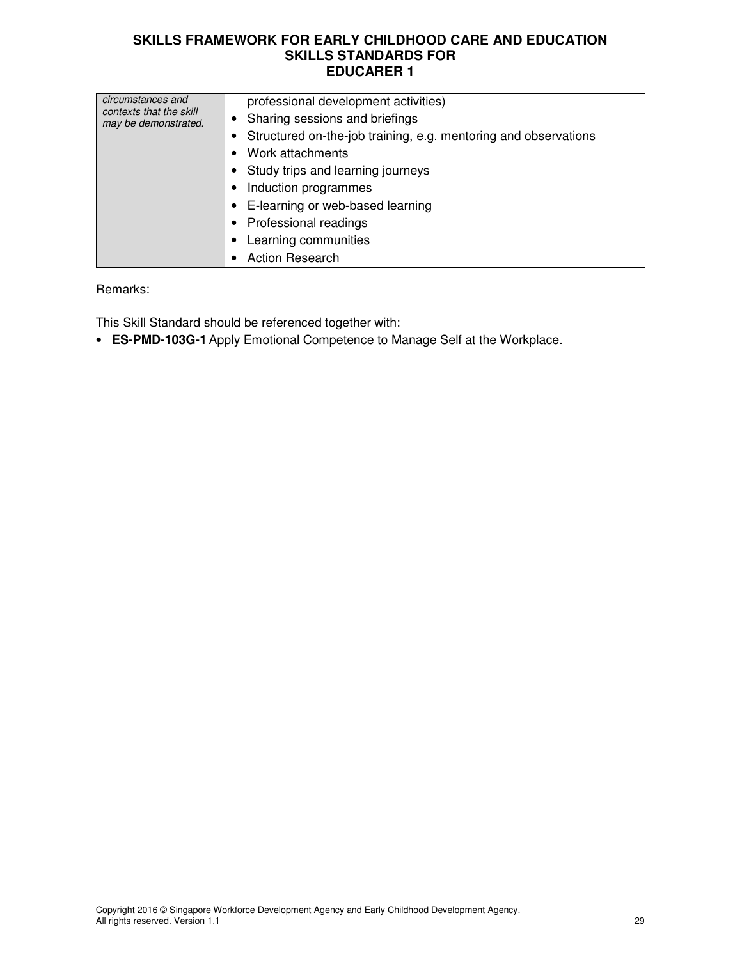| circumstances and<br>contexts that the skill<br>may be demonstrated. | professional development activities)<br>Sharing sessions and briefings<br>Structured on-the-job training, e.g. mentoring and observations<br>Work attachments<br>Study trips and learning journeys<br>Induction programmes<br>E-learning or web-based learning<br><b>Professional readings</b><br>Learning communities<br><b>Action Research</b> |
|----------------------------------------------------------------------|--------------------------------------------------------------------------------------------------------------------------------------------------------------------------------------------------------------------------------------------------------------------------------------------------------------------------------------------------|
|----------------------------------------------------------------------|--------------------------------------------------------------------------------------------------------------------------------------------------------------------------------------------------------------------------------------------------------------------------------------------------------------------------------------------------|

Remarks:

This Skill Standard should be referenced together with:

• **ES-PMD-103G-1** Apply Emotional Competence to Manage Self at the Workplace.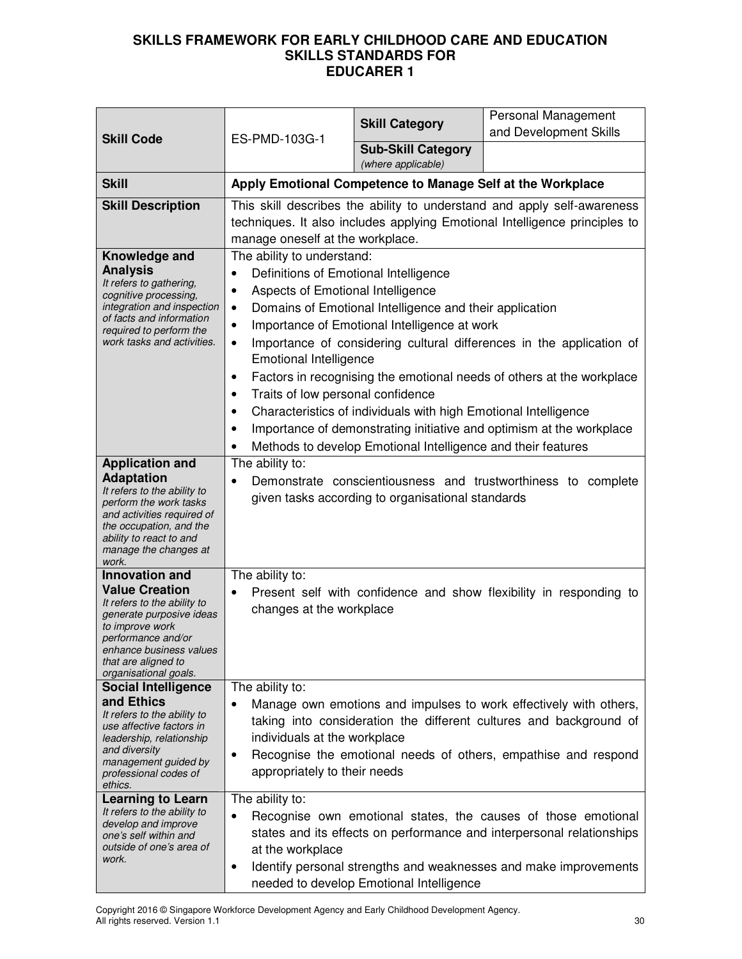| <b>Skill Code</b>                                                                                                                                                                                                                                                                                                       | ES-PMD-103G-1                                                                                                                                                                                                                                                                                                                                                                                                                                                                                                                                                                                                                                                                                                                                           | <b>Skill Category</b>                           | Personal Management<br>and Development Skills                      |
|-------------------------------------------------------------------------------------------------------------------------------------------------------------------------------------------------------------------------------------------------------------------------------------------------------------------------|---------------------------------------------------------------------------------------------------------------------------------------------------------------------------------------------------------------------------------------------------------------------------------------------------------------------------------------------------------------------------------------------------------------------------------------------------------------------------------------------------------------------------------------------------------------------------------------------------------------------------------------------------------------------------------------------------------------------------------------------------------|-------------------------------------------------|--------------------------------------------------------------------|
|                                                                                                                                                                                                                                                                                                                         |                                                                                                                                                                                                                                                                                                                                                                                                                                                                                                                                                                                                                                                                                                                                                         | <b>Sub-Skill Category</b><br>(where applicable) |                                                                    |
| <b>Skill</b>                                                                                                                                                                                                                                                                                                            | Apply Emotional Competence to Manage Self at the Workplace                                                                                                                                                                                                                                                                                                                                                                                                                                                                                                                                                                                                                                                                                              |                                                 |                                                                    |
| <b>Skill Description</b>                                                                                                                                                                                                                                                                                                | This skill describes the ability to understand and apply self-awareness<br>techniques. It also includes applying Emotional Intelligence principles to<br>manage oneself at the workplace.                                                                                                                                                                                                                                                                                                                                                                                                                                                                                                                                                               |                                                 |                                                                    |
| Knowledge and<br><b>Analysis</b><br>It refers to gathering,<br>cognitive processing,<br>integration and inspection<br>of facts and information<br>required to perform the<br>work tasks and activities.                                                                                                                 | The ability to understand:<br>Definitions of Emotional Intelligence<br>$\bullet$<br>Aspects of Emotional Intelligence<br>$\bullet$<br>Domains of Emotional Intelligence and their application<br>$\bullet$<br>Importance of Emotional Intelligence at work<br>٠<br>Importance of considering cultural differences in the application of<br>$\bullet$<br><b>Emotional Intelligence</b><br>Factors in recognising the emotional needs of others at the workplace<br>$\bullet$<br>Traits of low personal confidence<br>٠<br>Characteristics of individuals with high Emotional Intelligence<br>٠<br>Importance of demonstrating initiative and optimism at the workplace<br>٠<br>Methods to develop Emotional Intelligence and their features<br>$\bullet$ |                                                 |                                                                    |
| <b>Application and</b><br><b>Adaptation</b><br>It refers to the ability to<br>perform the work tasks<br>and activities required of<br>the occupation, and the<br>ability to react to and<br>manage the changes at<br>work.                                                                                              | The ability to:<br>Demonstrate conscientiousness and trustworthiness to complete<br>$\bullet$<br>given tasks according to organisational standards                                                                                                                                                                                                                                                                                                                                                                                                                                                                                                                                                                                                      |                                                 |                                                                    |
| <b>Innovation and</b><br><b>Value Creation</b><br>It refers to the ability to<br>generate purposive ideas<br>to improve work<br>performance and/or<br>enhance business values<br>that are aligned to<br>organisational goals.                                                                                           | The ability to:<br>$\bullet$<br>changes at the workplace                                                                                                                                                                                                                                                                                                                                                                                                                                                                                                                                                                                                                                                                                                |                                                 | Present self with confidence and show flexibility in responding to |
| <b>Social Intelligence</b><br>and Ethics<br>It refers to the ability to<br>use affective factors in<br>leadership, relationship<br>and diversity<br>management guided by<br>professional codes of<br>ethics.<br><b>Learning to Learn</b><br>It refers to the ability to<br>develop and improve<br>one's self within and | The ability to:<br>Manage own emotions and impulses to work effectively with others,<br>taking into consideration the different cultures and background of<br>individuals at the workplace<br>Recognise the emotional needs of others, empathise and respond<br>$\bullet$<br>appropriately to their needs<br>The ability to:<br>Recognise own emotional states, the causes of those emotional<br>$\bullet$<br>states and its effects on performance and interpersonal relationships                                                                                                                                                                                                                                                                     |                                                 |                                                                    |
| outside of one's area of<br>work.                                                                                                                                                                                                                                                                                       | at the workplace<br>٠                                                                                                                                                                                                                                                                                                                                                                                                                                                                                                                                                                                                                                                                                                                                   | needed to develop Emotional Intelligence        | Identify personal strengths and weaknesses and make improvements   |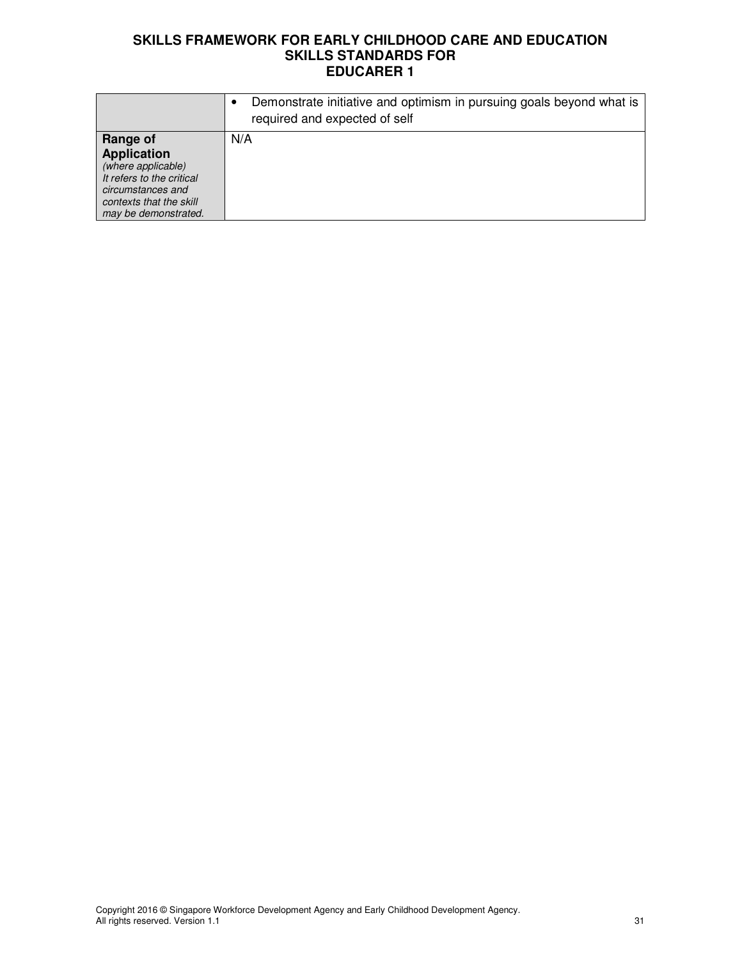|                                                                                                                                                           | Demonstrate initiative and optimism in pursuing goals beyond what is<br>required and expected of self |
|-----------------------------------------------------------------------------------------------------------------------------------------------------------|-------------------------------------------------------------------------------------------------------|
| Range of<br><b>Application</b><br>(where applicable)<br>It refers to the critical<br>circumstances and<br>contexts that the skill<br>may be demonstrated. | N/A                                                                                                   |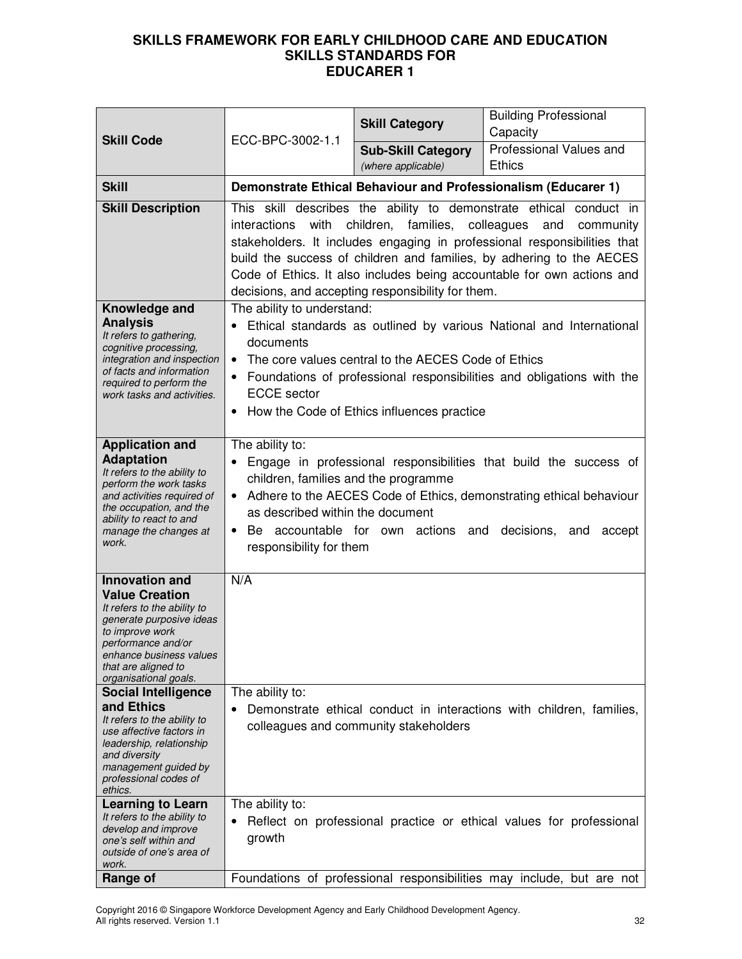| <b>Skill Code</b>                                                                                                                                                                                                             | ECC-BPC-3002-1.1                                                                                                                                                                                                                                                                                                                                                                                                                       | <b>Skill Category</b>                           | <b>Building Professional</b><br>Capacity                                                                                                     |
|-------------------------------------------------------------------------------------------------------------------------------------------------------------------------------------------------------------------------------|----------------------------------------------------------------------------------------------------------------------------------------------------------------------------------------------------------------------------------------------------------------------------------------------------------------------------------------------------------------------------------------------------------------------------------------|-------------------------------------------------|----------------------------------------------------------------------------------------------------------------------------------------------|
|                                                                                                                                                                                                                               |                                                                                                                                                                                                                                                                                                                                                                                                                                        | <b>Sub-Skill Category</b><br>(where applicable) | Professional Values and<br><b>Ethics</b>                                                                                                     |
| <b>Skill</b>                                                                                                                                                                                                                  |                                                                                                                                                                                                                                                                                                                                                                                                                                        |                                                 | Demonstrate Ethical Behaviour and Professionalism (Educarer 1)                                                                               |
| <b>Skill Description</b>                                                                                                                                                                                                      | This skill describes the ability to demonstrate ethical conduct in<br>with<br>children, families,<br>colleagues<br>interactions<br>and<br>community<br>stakeholders. It includes engaging in professional responsibilities that<br>build the success of children and families, by adhering to the AECES<br>Code of Ethics. It also includes being accountable for own actions and<br>decisions, and accepting responsibility for them. |                                                 |                                                                                                                                              |
| Knowledge and<br><b>Analysis</b><br>It refers to gathering,<br>cognitive processing,<br>integration and inspection<br>of facts and information<br>required to perform the<br>work tasks and activities.                       | The ability to understand:<br>Ethical standards as outlined by various National and International<br>documents<br>The core values central to the AECES Code of Ethics<br>$\bullet$<br>Foundations of professional responsibilities and obligations with the<br><b>ECCE</b> sector<br>How the Code of Ethics influences practice<br>٠                                                                                                   |                                                 |                                                                                                                                              |
| <b>Application and</b><br><b>Adaptation</b><br>It refers to the ability to<br>perform the work tasks<br>and activities required of<br>the occupation, and the<br>ability to react to and<br>manage the changes at<br>work.    | The ability to:<br>Engage in professional responsibilities that build the success of<br>children, families and the programme<br>• Adhere to the AECES Code of Ethics, demonstrating ethical behaviour<br>as described within the document<br>Be accountable for own actions and<br>decisions,<br>and<br>accept<br>responsibility for them                                                                                              |                                                 |                                                                                                                                              |
| <b>Innovation and</b><br><b>Value Creation</b><br>It refers to the ability to<br>generate purposive ideas<br>to improve work<br>performance and/or<br>enhance business values<br>that are aligned to<br>organisational goals. | N/A                                                                                                                                                                                                                                                                                                                                                                                                                                    |                                                 |                                                                                                                                              |
| <b>Social Intelligence</b><br>and Ethics<br>It refers to the ability to<br>use affective factors in<br>leadership, relationship<br>and diversity<br>management guided by<br>professional codes of<br>ethics.                  | The ability to:<br>Demonstrate ethical conduct in interactions with children, families,<br>colleagues and community stakeholders                                                                                                                                                                                                                                                                                                       |                                                 |                                                                                                                                              |
| <b>Learning to Learn</b><br>It refers to the ability to<br>develop and improve<br>one's self within and<br>outside of one's area of<br>work.<br>Range of                                                                      | The ability to:<br>growth                                                                                                                                                                                                                                                                                                                                                                                                              |                                                 | Reflect on professional practice or ethical values for professional<br>Foundations of professional responsibilities may include, but are not |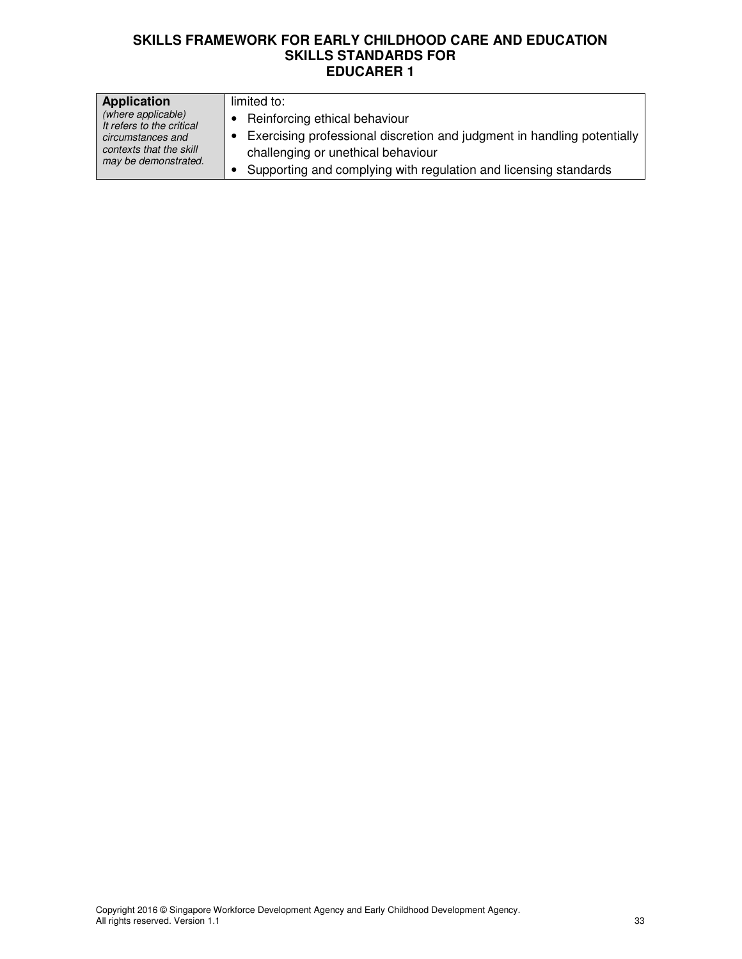| <b>Application</b>                                                   | limited to:                                                                                                   |
|----------------------------------------------------------------------|---------------------------------------------------------------------------------------------------------------|
| (where applicable)<br>It refers to the critical                      | • Reinforcing ethical behaviour                                                                               |
| circumstances and<br>contexts that the skill<br>may be demonstrated. | Exercising professional discretion and judgment in handling potentially<br>challenging or unethical behaviour |
|                                                                      | Supporting and complying with regulation and licensing standards                                              |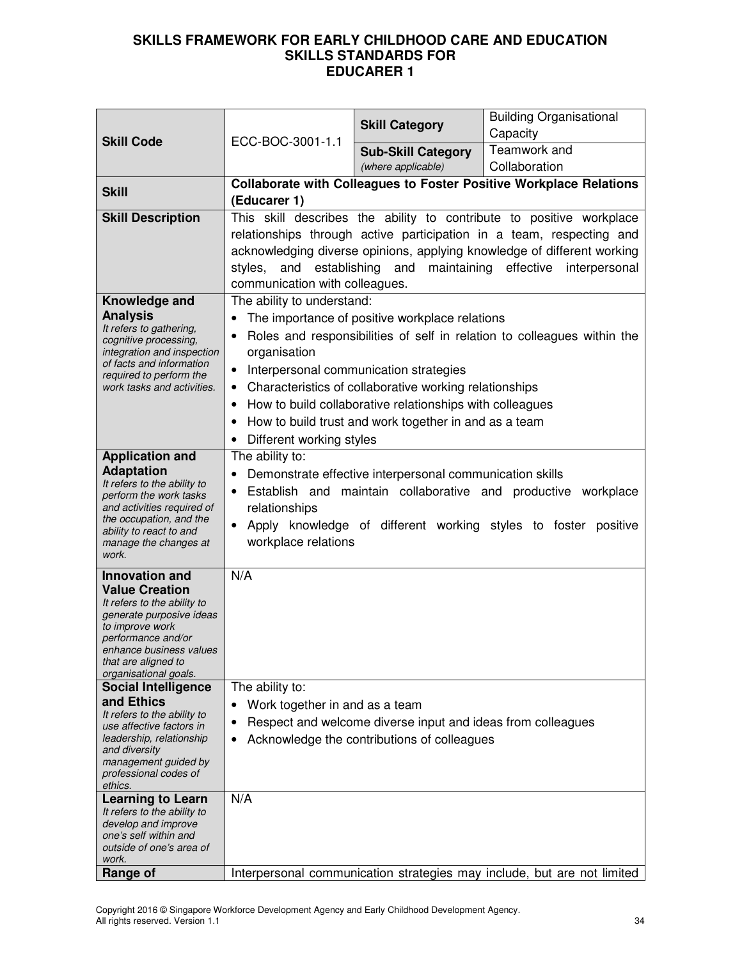| <b>Skill Code</b>                                       |                                                                                                                                                                                                                                                               | <b>Skill Category</b>                                                                                             | <b>Building Organisational</b><br>Capacity                                                                                                   |
|---------------------------------------------------------|---------------------------------------------------------------------------------------------------------------------------------------------------------------------------------------------------------------------------------------------------------------|-------------------------------------------------------------------------------------------------------------------|----------------------------------------------------------------------------------------------------------------------------------------------|
|                                                         | ECC-BOC-3001-1.1                                                                                                                                                                                                                                              | <b>Sub-Skill Category</b>                                                                                         | Teamwork and                                                                                                                                 |
|                                                         |                                                                                                                                                                                                                                                               | (where applicable)                                                                                                | Collaboration                                                                                                                                |
| <b>Skill</b>                                            | (Educarer 1)                                                                                                                                                                                                                                                  |                                                                                                                   | <b>Collaborate with Colleagues to Foster Positive Workplace Relations</b>                                                                    |
| <b>Skill Description</b>                                |                                                                                                                                                                                                                                                               |                                                                                                                   | This skill describes the ability to contribute to positive workplace<br>relationships through active participation in a team, respecting and |
|                                                         |                                                                                                                                                                                                                                                               |                                                                                                                   |                                                                                                                                              |
|                                                         | acknowledging diverse opinions, applying knowledge of different working<br>establishing and<br>maintaining<br>effective<br>styles,<br>and<br>interpersonal                                                                                                    |                                                                                                                   |                                                                                                                                              |
|                                                         | communication with colleagues.                                                                                                                                                                                                                                |                                                                                                                   |                                                                                                                                              |
| Knowledge and                                           | The ability to understand:                                                                                                                                                                                                                                    |                                                                                                                   |                                                                                                                                              |
| <b>Analysis</b><br>It refers to gathering,              |                                                                                                                                                                                                                                                               | The importance of positive workplace relations                                                                    |                                                                                                                                              |
| cognitive processing,                                   | $\bullet$                                                                                                                                                                                                                                                     |                                                                                                                   | Roles and responsibilities of self in relation to colleagues within the                                                                      |
| integration and inspection<br>of facts and information  | organisation                                                                                                                                                                                                                                                  |                                                                                                                   |                                                                                                                                              |
| required to perform the                                 | $\bullet$                                                                                                                                                                                                                                                     | Interpersonal communication strategies                                                                            |                                                                                                                                              |
| work tasks and activities.                              | $\bullet$                                                                                                                                                                                                                                                     | Characteristics of collaborative working relationships                                                            |                                                                                                                                              |
|                                                         | ٠<br>$\bullet$                                                                                                                                                                                                                                                | How to build collaborative relationships with colleagues<br>How to build trust and work together in and as a team |                                                                                                                                              |
|                                                         | Different working styles                                                                                                                                                                                                                                      |                                                                                                                   |                                                                                                                                              |
| <b>Application and</b>                                  | The ability to:                                                                                                                                                                                                                                               |                                                                                                                   |                                                                                                                                              |
| <b>Adaptation</b>                                       | Demonstrate effective interpersonal communication skills<br>Establish and maintain collaborative and productive workplace<br>$\bullet$<br>relationships<br>Apply knowledge of different working styles to foster positive<br>$\bullet$<br>workplace relations |                                                                                                                   |                                                                                                                                              |
| It refers to the ability to<br>perform the work tasks   |                                                                                                                                                                                                                                                               |                                                                                                                   |                                                                                                                                              |
| and activities required of                              |                                                                                                                                                                                                                                                               |                                                                                                                   |                                                                                                                                              |
| the occupation, and the<br>ability to react to and      |                                                                                                                                                                                                                                                               |                                                                                                                   |                                                                                                                                              |
| manage the changes at<br>work.                          |                                                                                                                                                                                                                                                               |                                                                                                                   |                                                                                                                                              |
| <b>Innovation and</b>                                   | N/A                                                                                                                                                                                                                                                           |                                                                                                                   |                                                                                                                                              |
| <b>Value Creation</b><br>It refers to the ability to    |                                                                                                                                                                                                                                                               |                                                                                                                   |                                                                                                                                              |
| generate purposive ideas                                |                                                                                                                                                                                                                                                               |                                                                                                                   |                                                                                                                                              |
| to improve work<br>performance and/or                   |                                                                                                                                                                                                                                                               |                                                                                                                   |                                                                                                                                              |
| enhance business values<br>that are aligned to          |                                                                                                                                                                                                                                                               |                                                                                                                   |                                                                                                                                              |
| organisational goals.                                   |                                                                                                                                                                                                                                                               |                                                                                                                   |                                                                                                                                              |
| <b>Social Intelligence</b>                              | The ability to:                                                                                                                                                                                                                                               |                                                                                                                   |                                                                                                                                              |
| and Ethics<br>It refers to the ability to               | Work together in and as a team<br>$\bullet$                                                                                                                                                                                                                   |                                                                                                                   |                                                                                                                                              |
| use affective factors in<br>leadership, relationship    | ٠                                                                                                                                                                                                                                                             | Respect and welcome diverse input and ideas from colleagues                                                       |                                                                                                                                              |
| and diversity                                           | Acknowledge the contributions of colleagues<br>$\bullet$                                                                                                                                                                                                      |                                                                                                                   |                                                                                                                                              |
| management guided by<br>professional codes of           |                                                                                                                                                                                                                                                               |                                                                                                                   |                                                                                                                                              |
| ethics.                                                 |                                                                                                                                                                                                                                                               |                                                                                                                   |                                                                                                                                              |
| <b>Learning to Learn</b><br>It refers to the ability to | N/A                                                                                                                                                                                                                                                           |                                                                                                                   |                                                                                                                                              |
| develop and improve                                     |                                                                                                                                                                                                                                                               |                                                                                                                   |                                                                                                                                              |
| one's self within and<br>outside of one's area of       |                                                                                                                                                                                                                                                               |                                                                                                                   |                                                                                                                                              |
| work.                                                   |                                                                                                                                                                                                                                                               |                                                                                                                   |                                                                                                                                              |
| Range of                                                |                                                                                                                                                                                                                                                               |                                                                                                                   | Interpersonal communication strategies may include, but are not limited                                                                      |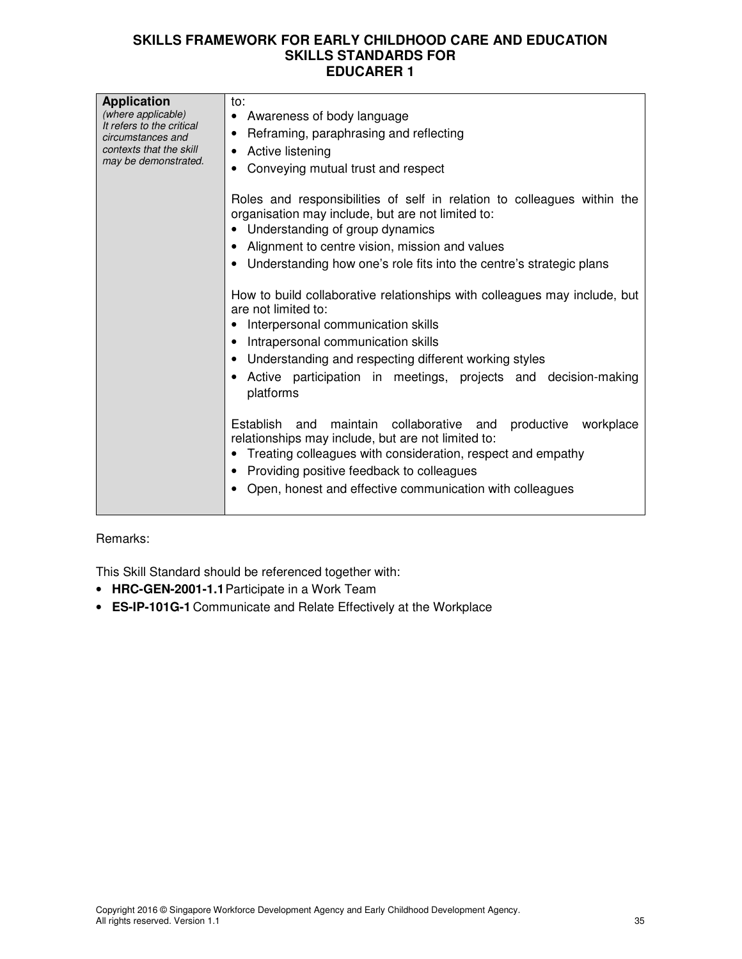| <b>Application</b><br>(where applicable)<br>It refers to the critical<br>circumstances and<br>contexts that the skill<br>may be demonstrated. | to:<br>• Awareness of body language<br>• Reframing, paraphrasing and reflecting<br>• Active listening<br>Conveying mutual trust and respect<br>Roles and responsibilities of self in relation to colleagues within the<br>organisation may include, but are not limited to:<br>• Understanding of group dynamics<br>Alignment to centre vision, mission and values<br>• Understanding how one's role fits into the centre's strategic plans<br>How to build collaborative relationships with colleagues may include, but<br>are not limited to:<br>Interpersonal communication skills<br>Intrapersonal communication skills<br>Understanding and respecting different working styles<br>Active participation in meetings, projects and decision-making<br>platforms<br>Establish and maintain collaborative and<br>productive workplace<br>relationships may include, but are not limited to:<br>• Treating colleagues with consideration, respect and empathy |
|-----------------------------------------------------------------------------------------------------------------------------------------------|----------------------------------------------------------------------------------------------------------------------------------------------------------------------------------------------------------------------------------------------------------------------------------------------------------------------------------------------------------------------------------------------------------------------------------------------------------------------------------------------------------------------------------------------------------------------------------------------------------------------------------------------------------------------------------------------------------------------------------------------------------------------------------------------------------------------------------------------------------------------------------------------------------------------------------------------------------------|
|                                                                                                                                               | Providing positive feedback to colleagues<br>Open, honest and effective communication with colleagues                                                                                                                                                                                                                                                                                                                                                                                                                                                                                                                                                                                                                                                                                                                                                                                                                                                          |

## Remarks:

This Skill Standard should be referenced together with:

- **HRC-GEN-2001-1.1** Participate in a Work Team
- **ES-IP-101G-1** Communicate and Relate Effectively at the Workplace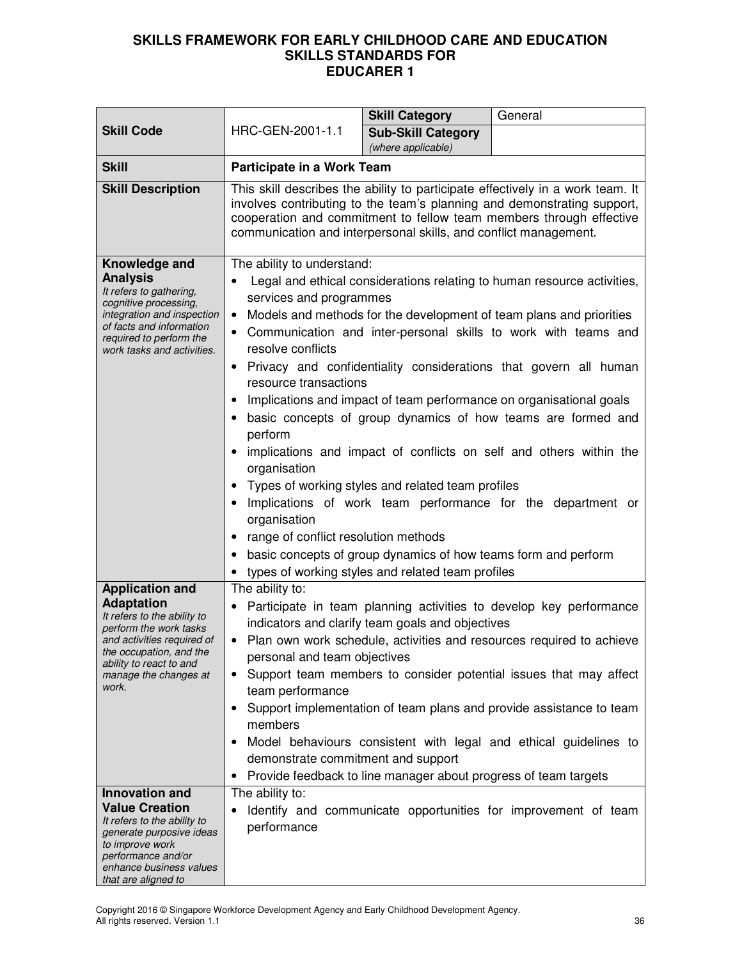|                                                                                                                                                                                                                                   |                                                                                                                                                                                                                                                                                                                                                                                                                                                                                                                                                                                                             | <b>Skill Category</b>                                                                                                                                                    | General                                                                                                                                                                                                                                                                                                                                                                                                                                                                                                                                                          |
|-----------------------------------------------------------------------------------------------------------------------------------------------------------------------------------------------------------------------------------|-------------------------------------------------------------------------------------------------------------------------------------------------------------------------------------------------------------------------------------------------------------------------------------------------------------------------------------------------------------------------------------------------------------------------------------------------------------------------------------------------------------------------------------------------------------------------------------------------------------|--------------------------------------------------------------------------------------------------------------------------------------------------------------------------|------------------------------------------------------------------------------------------------------------------------------------------------------------------------------------------------------------------------------------------------------------------------------------------------------------------------------------------------------------------------------------------------------------------------------------------------------------------------------------------------------------------------------------------------------------------|
| <b>Skill Code</b>                                                                                                                                                                                                                 | HRC-GEN-2001-1.1                                                                                                                                                                                                                                                                                                                                                                                                                                                                                                                                                                                            | <b>Sub-Skill Category</b><br>(where applicable)                                                                                                                          |                                                                                                                                                                                                                                                                                                                                                                                                                                                                                                                                                                  |
| <b>Skill</b>                                                                                                                                                                                                                      | Participate in a Work Team                                                                                                                                                                                                                                                                                                                                                                                                                                                                                                                                                                                  |                                                                                                                                                                          |                                                                                                                                                                                                                                                                                                                                                                                                                                                                                                                                                                  |
| <b>Skill Description</b>                                                                                                                                                                                                          | This skill describes the ability to participate effectively in a work team. It<br>involves contributing to the team's planning and demonstrating support,<br>cooperation and commitment to fellow team members through effective<br>communication and interpersonal skills, and conflict management.                                                                                                                                                                                                                                                                                                        |                                                                                                                                                                          |                                                                                                                                                                                                                                                                                                                                                                                                                                                                                                                                                                  |
| Knowledge and<br><b>Analysis</b><br>It refers to gathering,<br>cognitive processing,<br>integration and inspection<br>of facts and information<br>required to perform the<br>work tasks and activities.<br><b>Application and</b> | The ability to understand:<br>services and programmes<br>$\bullet$<br>resolve conflicts<br>resource transactions<br>perform<br>organisation<br>organisation<br>range of conflict resolution methods<br>The ability to:                                                                                                                                                                                                                                                                                                                                                                                      | Types of working styles and related team profiles<br>basic concepts of group dynamics of how teams form and perform<br>types of working styles and related team profiles | Legal and ethical considerations relating to human resource activities,<br>Models and methods for the development of team plans and priorities<br>Communication and inter-personal skills to work with teams and<br>Privacy and confidentiality considerations that govern all human<br>Implications and impact of team performance on organisational goals<br>basic concepts of group dynamics of how teams are formed and<br>implications and impact of conflicts on self and others within the<br>Implications of work team performance for the department or |
| <b>Adaptation</b><br>It refers to the ability to<br>perform the work tasks<br>and activities required of<br>the occupation, and the<br>ability to react to and<br>manage the changes at<br>work.<br>Innovation and                | Participate in team planning activities to develop key performance<br>indicators and clarify team goals and objectives<br>• Plan own work schedule, activities and resources required to achieve<br>personal and team objectives<br>Support team members to consider potential issues that may affect<br>team performance<br>Support implementation of team plans and provide assistance to team<br>members<br>Model behaviours consistent with legal and ethical guidelines to<br>demonstrate commitment and support<br>Provide feedback to line manager about progress of team targets<br>The ability to: |                                                                                                                                                                          |                                                                                                                                                                                                                                                                                                                                                                                                                                                                                                                                                                  |
| <b>Value Creation</b><br>It refers to the ability to<br>generate purposive ideas<br>to improve work<br>performance and/or<br>enhance business values<br>that are aligned to                                                       | performance                                                                                                                                                                                                                                                                                                                                                                                                                                                                                                                                                                                                 |                                                                                                                                                                          | Identify and communicate opportunities for improvement of team                                                                                                                                                                                                                                                                                                                                                                                                                                                                                                   |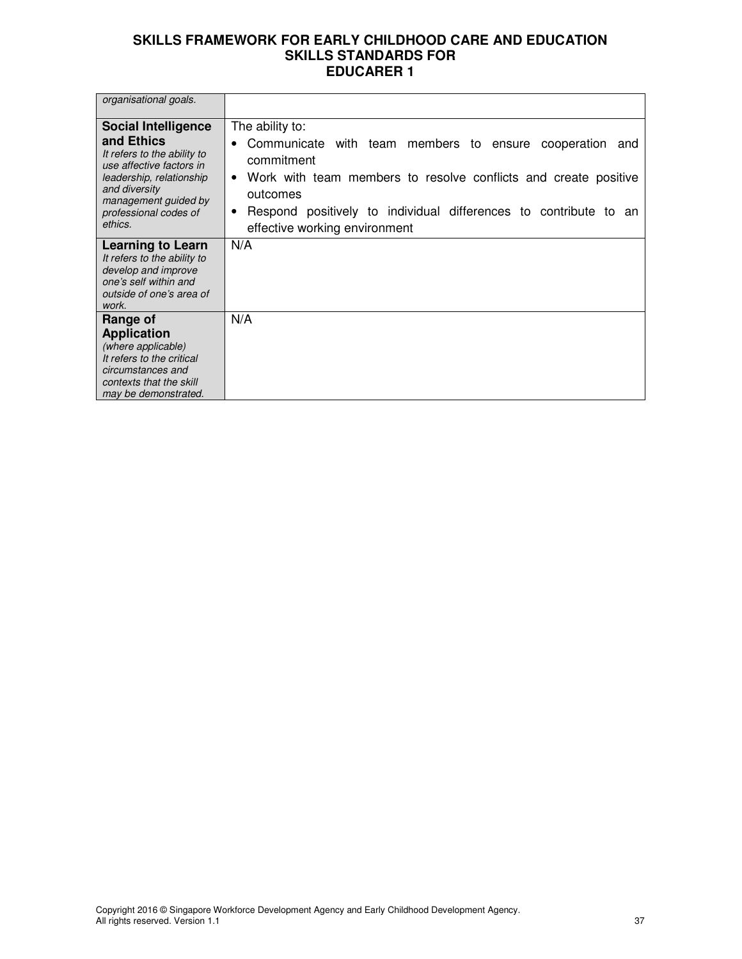| organisational goals.                                                                                                                                                                                        |                                                                                                                                                                                                                                                                                                                |
|--------------------------------------------------------------------------------------------------------------------------------------------------------------------------------------------------------------|----------------------------------------------------------------------------------------------------------------------------------------------------------------------------------------------------------------------------------------------------------------------------------------------------------------|
| <b>Social Intelligence</b><br>and Ethics<br>It refers to the ability to<br>use affective factors in<br>leadership, relationship<br>and diversity<br>management guided by<br>professional codes of<br>ethics. | The ability to:<br>Communicate with team members to ensure cooperation<br>$\bullet$<br>and<br>commitment<br>Work with team members to resolve conflicts and create positive<br>$\bullet$<br>outcomes<br>Respond positively to individual differences to contribute to an<br>٠<br>effective working environment |
| Learning to Learn<br>It refers to the ability to<br>develop and improve<br>one's self within and<br>outside of one's area of<br>work.                                                                        | N/A                                                                                                                                                                                                                                                                                                            |
| Range of<br><b>Application</b><br>(where applicable)<br>It refers to the critical<br>circumstances and<br>contexts that the skill<br>may be demonstrated.                                                    | N/A                                                                                                                                                                                                                                                                                                            |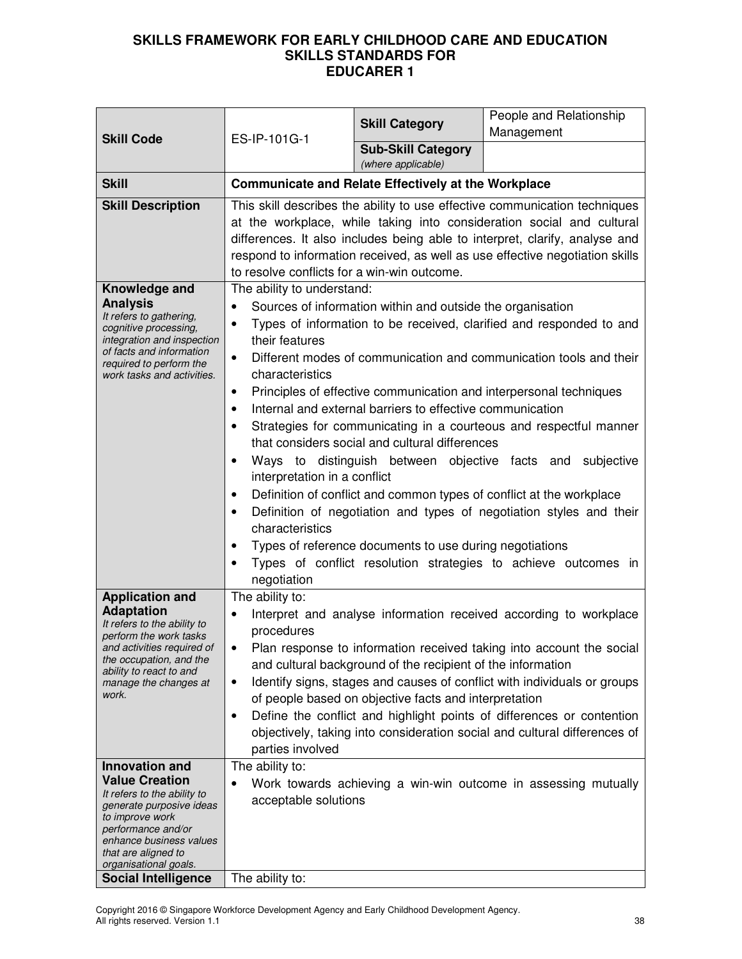| <b>Skill Code</b>                                                                                                                                                                                                                                                                                                                                                                                                                                    | ES-IP-101G-1                                                                                                                                                                                                                                                                                                                                                                                                                                                                                                                                                                                                                                                                                                                                                                                                                                                                                                                                                                                                                                                     | <b>Skill Category</b>                                                                                                | People and Relationship<br>Management                                                                                                                                                                                                                                                                                                                                                                                                         |
|------------------------------------------------------------------------------------------------------------------------------------------------------------------------------------------------------------------------------------------------------------------------------------------------------------------------------------------------------------------------------------------------------------------------------------------------------|------------------------------------------------------------------------------------------------------------------------------------------------------------------------------------------------------------------------------------------------------------------------------------------------------------------------------------------------------------------------------------------------------------------------------------------------------------------------------------------------------------------------------------------------------------------------------------------------------------------------------------------------------------------------------------------------------------------------------------------------------------------------------------------------------------------------------------------------------------------------------------------------------------------------------------------------------------------------------------------------------------------------------------------------------------------|----------------------------------------------------------------------------------------------------------------------|-----------------------------------------------------------------------------------------------------------------------------------------------------------------------------------------------------------------------------------------------------------------------------------------------------------------------------------------------------------------------------------------------------------------------------------------------|
|                                                                                                                                                                                                                                                                                                                                                                                                                                                      |                                                                                                                                                                                                                                                                                                                                                                                                                                                                                                                                                                                                                                                                                                                                                                                                                                                                                                                                                                                                                                                                  | <b>Sub-Skill Category</b><br>(where applicable)                                                                      |                                                                                                                                                                                                                                                                                                                                                                                                                                               |
| <b>Skill</b>                                                                                                                                                                                                                                                                                                                                                                                                                                         | <b>Communicate and Relate Effectively at the Workplace</b>                                                                                                                                                                                                                                                                                                                                                                                                                                                                                                                                                                                                                                                                                                                                                                                                                                                                                                                                                                                                       |                                                                                                                      |                                                                                                                                                                                                                                                                                                                                                                                                                                               |
| <b>Skill Description</b>                                                                                                                                                                                                                                                                                                                                                                                                                             |                                                                                                                                                                                                                                                                                                                                                                                                                                                                                                                                                                                                                                                                                                                                                                                                                                                                                                                                                                                                                                                                  |                                                                                                                      | This skill describes the ability to use effective communication techniques<br>at the workplace, while taking into consideration social and cultural<br>differences. It also includes being able to interpret, clarify, analyse and<br>respond to information received, as well as use effective negotiation skills                                                                                                                            |
| Knowledge and<br><b>Analysis</b><br>It refers to gathering,<br>cognitive processing,<br>integration and inspection<br>of facts and information<br>required to perform the<br>work tasks and activities.                                                                                                                                                                                                                                              | to resolve conflicts for a win-win outcome.<br>The ability to understand:<br>Sources of information within and outside the organisation<br>Types of information to be received, clarified and responded to and<br>$\bullet$<br>their features<br>Different modes of communication and communication tools and their<br>$\bullet$<br>characteristics<br>Principles of effective communication and interpersonal techniques<br>٠<br>Internal and external barriers to effective communication<br>$\bullet$<br>Strategies for communicating in a courteous and respectful manner<br>that considers social and cultural differences<br>Ways to distinguish between objective facts and<br>subjective<br>interpretation in a conflict<br>Definition of conflict and common types of conflict at the workplace<br>Definition of negotiation and types of negotiation styles and their<br>$\bullet$<br>characteristics<br>Types of reference documents to use during negotiations<br>٠<br>Types of conflict resolution strategies to achieve outcomes in<br>negotiation |                                                                                                                      |                                                                                                                                                                                                                                                                                                                                                                                                                                               |
| <b>Application and</b><br><b>Adaptation</b><br>It refers to the ability to<br>perform the work tasks<br>and activities required of<br>the occupation, and the<br>ability to react to and<br>manage the changes at<br>work.<br>Innovation and<br><b>Value Creation</b><br>It refers to the ability to<br>generate purposive ideas<br>to improve work<br>performance and/or<br>enhance business values<br>that are aligned to<br>organisational goals. | The ability to:<br>$\bullet$<br>procedures<br>$\bullet$<br>$\bullet$<br>parties involved<br>The ability to:<br>acceptable solutions                                                                                                                                                                                                                                                                                                                                                                                                                                                                                                                                                                                                                                                                                                                                                                                                                                                                                                                              | and cultural background of the recipient of the information<br>of people based on objective facts and interpretation | Interpret and analyse information received according to workplace<br>Plan response to information received taking into account the social<br>Identify signs, stages and causes of conflict with individuals or groups<br>Define the conflict and highlight points of differences or contention<br>objectively, taking into consideration social and cultural differences of<br>Work towards achieving a win-win outcome in assessing mutually |
| <b>Social Intelligence</b>                                                                                                                                                                                                                                                                                                                                                                                                                           | The ability to:                                                                                                                                                                                                                                                                                                                                                                                                                                                                                                                                                                                                                                                                                                                                                                                                                                                                                                                                                                                                                                                  |                                                                                                                      |                                                                                                                                                                                                                                                                                                                                                                                                                                               |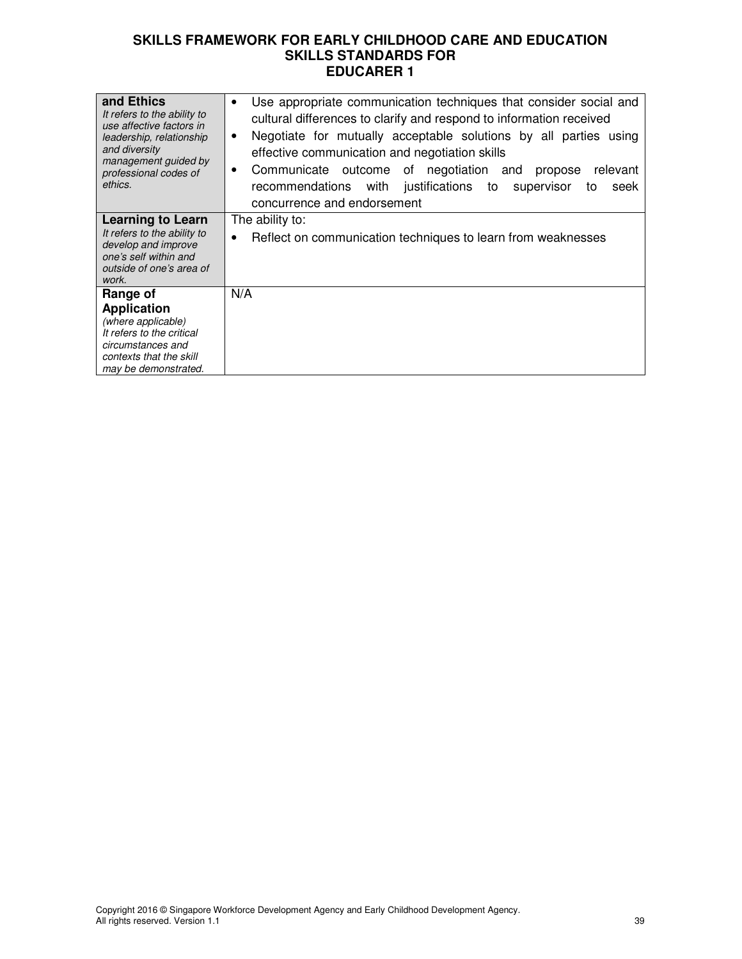| and Ethics<br>It refers to the ability to<br>use affective factors in<br>leadership, relationship<br>and diversity<br>management guided by<br>professional codes of<br>ethics. | Use appropriate communication techniques that consider social and<br>$\bullet$<br>cultural differences to clarify and respond to information received<br>Negotiate for mutually acceptable solutions by all parties using<br>٠<br>effective communication and negotiation skills<br>Communicate outcome of negotiation and<br>relevant<br>propose<br>٠<br>justifications to supervisor<br>recommendations with<br>seek<br>to<br>concurrence and endorsement |
|--------------------------------------------------------------------------------------------------------------------------------------------------------------------------------|-------------------------------------------------------------------------------------------------------------------------------------------------------------------------------------------------------------------------------------------------------------------------------------------------------------------------------------------------------------------------------------------------------------------------------------------------------------|
| <b>Learning to Learn</b><br>It refers to the ability to<br>develop and improve<br>one's self within and<br>outside of one's area of<br>work.                                   | The ability to:<br>Reflect on communication techniques to learn from weaknesses<br>$\bullet$                                                                                                                                                                                                                                                                                                                                                                |
| Range of<br><b>Application</b><br>(where applicable)<br>It refers to the critical<br>circumstances and<br>contexts that the skill<br>may be demonstrated.                      | N/A                                                                                                                                                                                                                                                                                                                                                                                                                                                         |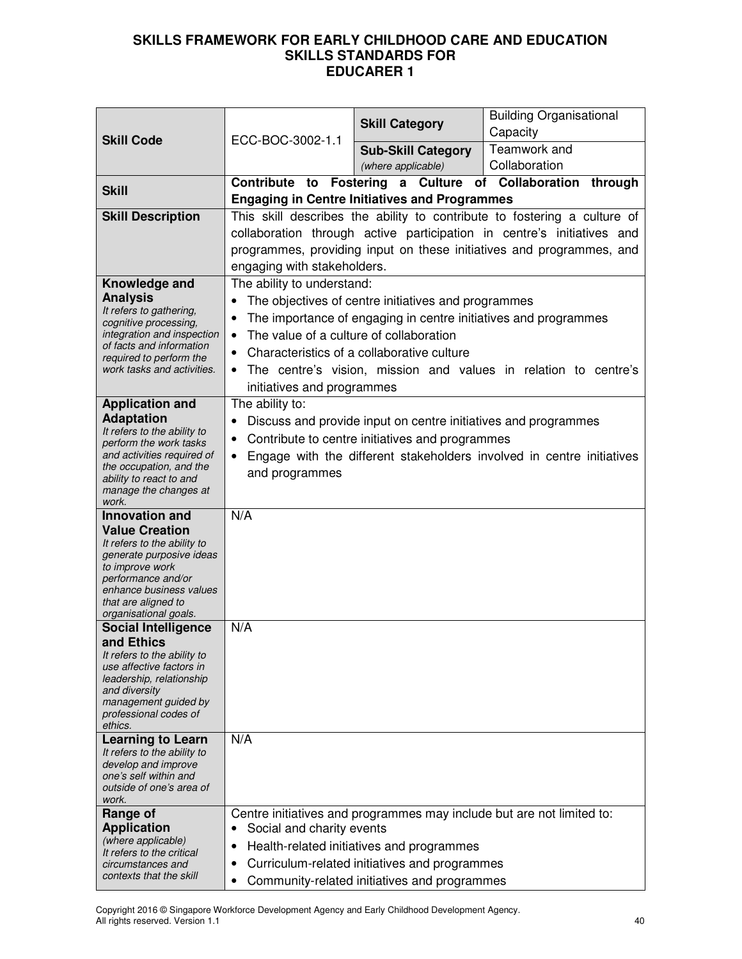|                                                         | ECC-BOC-3002-1.1                                                           | <b>Skill Category</b>                                                                                                                              | <b>Building Organisational</b><br>Capacity                            |  |
|---------------------------------------------------------|----------------------------------------------------------------------------|----------------------------------------------------------------------------------------------------------------------------------------------------|-----------------------------------------------------------------------|--|
| <b>Skill Code</b>                                       |                                                                            | <b>Sub-Skill Category</b>                                                                                                                          | Teamwork and                                                          |  |
|                                                         |                                                                            | (where applicable)                                                                                                                                 | Collaboration                                                         |  |
| <b>Skill</b>                                            | Contribute to                                                              |                                                                                                                                                    | Fostering a Culture of Collaboration through                          |  |
|                                                         |                                                                            | <b>Engaging in Centre Initiatives and Programmes</b>                                                                                               |                                                                       |  |
| <b>Skill Description</b>                                |                                                                            | This skill describes the ability to contribute to fostering a culture of<br>collaboration through active participation in centre's initiatives and |                                                                       |  |
|                                                         |                                                                            |                                                                                                                                                    |                                                                       |  |
|                                                         | programmes, providing input on these initiatives and programmes, and       |                                                                                                                                                    |                                                                       |  |
| Knowledge and                                           | The ability to understand:                                                 | engaging with stakeholders.                                                                                                                        |                                                                       |  |
| <b>Analysis</b>                                         | $\bullet$                                                                  | The objectives of centre initiatives and programmes                                                                                                |                                                                       |  |
| It refers to gathering,<br>cognitive processing,        | $\bullet$                                                                  | The importance of engaging in centre initiatives and programmes                                                                                    |                                                                       |  |
| integration and inspection                              | The value of a culture of collaboration<br>$\bullet$                       |                                                                                                                                                    |                                                                       |  |
| of facts and information<br>required to perform the     | $\bullet$                                                                  | Characteristics of a collaborative culture                                                                                                         |                                                                       |  |
| work tasks and activities.                              | $\bullet$                                                                  |                                                                                                                                                    | The centre's vision, mission and values in relation to centre's       |  |
|                                                         | initiatives and programmes                                                 |                                                                                                                                                    |                                                                       |  |
| <b>Application and</b>                                  | The ability to:                                                            |                                                                                                                                                    |                                                                       |  |
| <b>Adaptation</b><br>It refers to the ability to        |                                                                            | Discuss and provide input on centre initiatives and programmes                                                                                     |                                                                       |  |
| perform the work tasks                                  | $\bullet$                                                                  | Contribute to centre initiatives and programmes                                                                                                    |                                                                       |  |
| and activities required of<br>the occupation, and the   | Engage with the different stakeholders involved in centre initiatives<br>٠ |                                                                                                                                                    |                                                                       |  |
| ability to react to and                                 | and programmes                                                             |                                                                                                                                                    |                                                                       |  |
| manage the changes at<br>work.                          |                                                                            |                                                                                                                                                    |                                                                       |  |
| <b>Innovation and</b>                                   | N/A                                                                        |                                                                                                                                                    |                                                                       |  |
| <b>Value Creation</b><br>It refers to the ability to    |                                                                            |                                                                                                                                                    |                                                                       |  |
| generate purposive ideas                                |                                                                            |                                                                                                                                                    |                                                                       |  |
| to improve work<br>performance and/or                   |                                                                            |                                                                                                                                                    |                                                                       |  |
| enhance business values                                 |                                                                            |                                                                                                                                                    |                                                                       |  |
| that are aligned to<br>organisational goals.            |                                                                            |                                                                                                                                                    |                                                                       |  |
| <b>Social Intelligence</b>                              | N/A                                                                        |                                                                                                                                                    |                                                                       |  |
| and Ethics                                              |                                                                            |                                                                                                                                                    |                                                                       |  |
| It refers to the ability to<br>use affective factors in |                                                                            |                                                                                                                                                    |                                                                       |  |
| leadership, relationship<br>and diversity               |                                                                            |                                                                                                                                                    |                                                                       |  |
| management guided by                                    |                                                                            |                                                                                                                                                    |                                                                       |  |
| professional codes of<br>ethics.                        |                                                                            |                                                                                                                                                    |                                                                       |  |
| <b>Learning to Learn</b>                                | N/A                                                                        |                                                                                                                                                    |                                                                       |  |
| It refers to the ability to<br>develop and improve      |                                                                            |                                                                                                                                                    |                                                                       |  |
| one's self within and                                   |                                                                            |                                                                                                                                                    |                                                                       |  |
| outside of one's area of<br>work.                       |                                                                            |                                                                                                                                                    |                                                                       |  |
| Range of                                                |                                                                            |                                                                                                                                                    | Centre initiatives and programmes may include but are not limited to: |  |
| <b>Application</b>                                      | Social and charity events                                                  |                                                                                                                                                    |                                                                       |  |
| (where applicable)<br>It refers to the critical         | ٠                                                                          | Health-related initiatives and programmes                                                                                                          |                                                                       |  |
| circumstances and<br>contexts that the skill            | ٠                                                                          | Curriculum-related initiatives and programmes                                                                                                      |                                                                       |  |
|                                                         | ٠                                                                          | Community-related initiatives and programmes                                                                                                       |                                                                       |  |

Copyright 2016 © Singapore Workforce Development Agency and Early Childhood Development Agency. All rights reserved. Version 1.1 40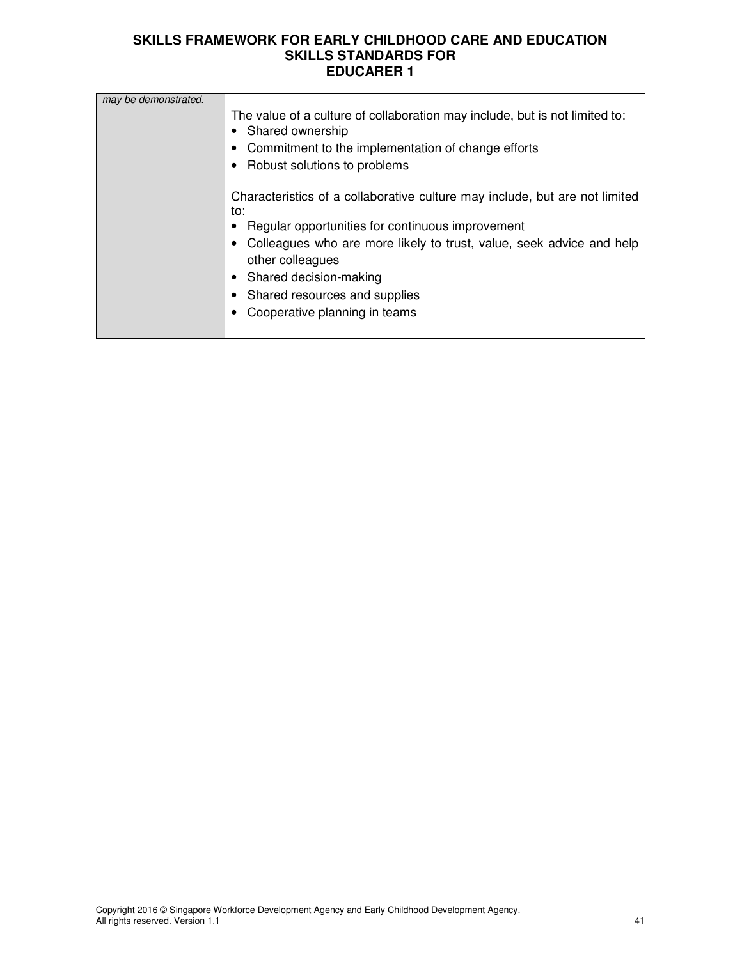| may be demonstrated. |                                                                                                                                                                                       |
|----------------------|---------------------------------------------------------------------------------------------------------------------------------------------------------------------------------------|
|                      | The value of a culture of collaboration may include, but is not limited to:<br>Shared ownership<br>Commitment to the implementation of change efforts<br>Robust solutions to problems |
|                      | Characteristics of a collaborative culture may include, but are not limited<br>to:                                                                                                    |
|                      | Regular opportunities for continuous improvement                                                                                                                                      |
|                      | Colleagues who are more likely to trust, value, seek advice and help<br>other colleagues                                                                                              |
|                      | Shared decision-making                                                                                                                                                                |
|                      | Shared resources and supplies                                                                                                                                                         |
|                      | Cooperative planning in teams                                                                                                                                                         |
|                      |                                                                                                                                                                                       |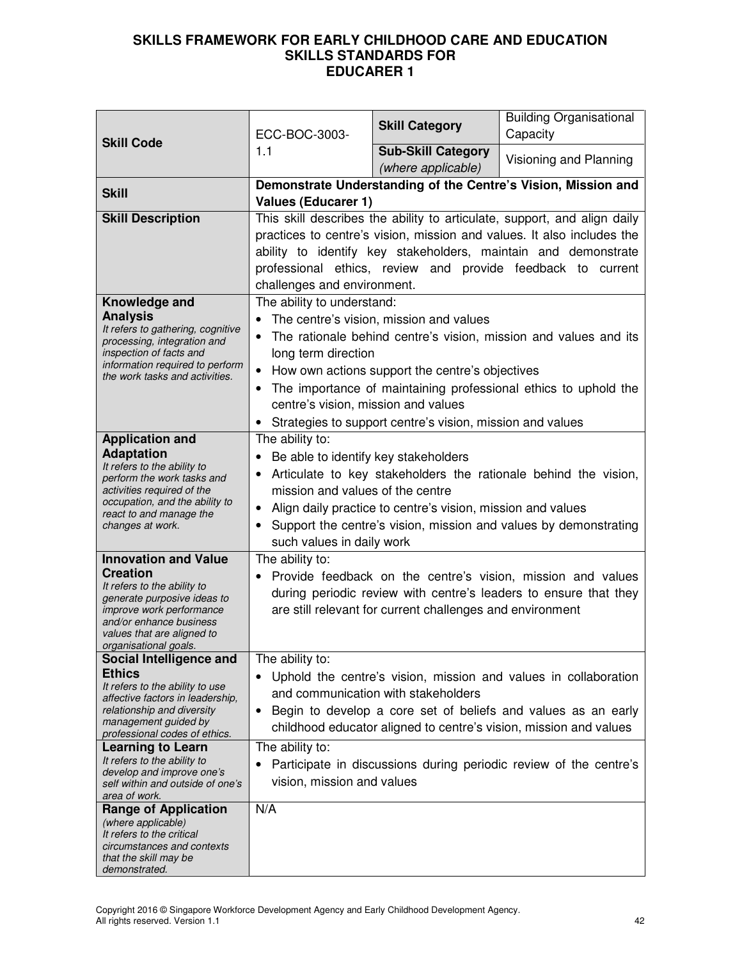|                                                              | ECC-BOC-3003-                                     | <b>Skill Category</b>                                       | <b>Building Organisational</b><br>Capacity                               |
|--------------------------------------------------------------|---------------------------------------------------|-------------------------------------------------------------|--------------------------------------------------------------------------|
| <b>Skill Code</b>                                            | 1.1                                               | <b>Sub-Skill Category</b><br>(where applicable)             | Visioning and Planning                                                   |
| <b>Skill</b>                                                 |                                                   |                                                             | Demonstrate Understanding of the Centre's Vision, Mission and            |
|                                                              | <b>Values (Educarer 1)</b>                        |                                                             |                                                                          |
| <b>Skill Description</b>                                     |                                                   |                                                             | This skill describes the ability to articulate, support, and align daily |
|                                                              |                                                   |                                                             | practices to centre's vision, mission and values. It also includes the   |
|                                                              |                                                   |                                                             | ability to identify key stakeholders, maintain and demonstrate           |
|                                                              |                                                   |                                                             | professional ethics, review and provide feedback to current              |
|                                                              | challenges and environment.                       |                                                             |                                                                          |
| Knowledge and                                                | The ability to understand:                        |                                                             |                                                                          |
| <b>Analysis</b><br>It refers to gathering, cognitive         |                                                   | The centre's vision, mission and values                     |                                                                          |
| processing, integration and                                  |                                                   |                                                             | The rationale behind centre's vision, mission and values and its         |
| inspection of facts and<br>information required to perform   | long term direction                               |                                                             |                                                                          |
| the work tasks and activities.                               | $\bullet$                                         | How own actions support the centre's objectives             |                                                                          |
|                                                              |                                                   |                                                             | The importance of maintaining professional ethics to uphold the          |
|                                                              | centre's vision, mission and values               |                                                             |                                                                          |
|                                                              |                                                   | • Strategies to support centre's vision, mission and values |                                                                          |
| <b>Application and</b>                                       | The ability to:                                   |                                                             |                                                                          |
| <b>Adaptation</b><br>It refers to the ability to             | Be able to identify key stakeholders<br>$\bullet$ |                                                             |                                                                          |
| perform the work tasks and                                   |                                                   |                                                             | Articulate to key stakeholders the rationale behind the vision,          |
| activities required of the<br>occupation, and the ability to | mission and values of the centre                  |                                                             |                                                                          |
| react to and manage the                                      | $\bullet$                                         | Align daily practice to centre's vision, mission and values |                                                                          |
| changes at work.                                             |                                                   |                                                             | Support the centre's vision, mission and values by demonstrating         |
|                                                              | such values in daily work                         |                                                             |                                                                          |
| <b>Innovation and Value</b>                                  | The ability to:                                   |                                                             |                                                                          |
| <b>Creation</b><br>It refers to the ability to               |                                                   |                                                             | Provide feedback on the centre's vision, mission and values              |
| generate purposive ideas to                                  |                                                   |                                                             | during periodic review with centre's leaders to ensure that they         |
| <i>improve work performance</i><br>and/or enhance business   |                                                   | are still relevant for current challenges and environment   |                                                                          |
| values that are aligned to                                   |                                                   |                                                             |                                                                          |
| organisational goals.                                        |                                                   |                                                             |                                                                          |
| Social Intelligence and<br><b>Ethics</b>                     | The ability to:                                   |                                                             |                                                                          |
| It refers to the ability to use                              |                                                   | and communication with stakeholders                         | Uphold the centre's vision, mission and values in collaboration          |
| affective factors in leadership,                             |                                                   |                                                             |                                                                          |
| relationship and diversity<br>management guided by           | $\bullet$                                         |                                                             | Begin to develop a core set of beliefs and values as an early            |
| professional codes of ethics.                                |                                                   |                                                             | childhood educator aligned to centre's vision, mission and values        |
| Learning to Learn<br>It refers to the ability to             | The ability to:                                   |                                                             |                                                                          |
| develop and improve one's                                    |                                                   |                                                             | Participate in discussions during periodic review of the centre's        |
| self within and outside of one's<br>area of work.            | vision, mission and values                        |                                                             |                                                                          |
| <b>Range of Application</b>                                  | N/A                                               |                                                             |                                                                          |
| (where applicable)                                           |                                                   |                                                             |                                                                          |
| It refers to the critical<br>circumstances and contexts      |                                                   |                                                             |                                                                          |
| that the skill may be                                        |                                                   |                                                             |                                                                          |
| demonstrated.                                                |                                                   |                                                             |                                                                          |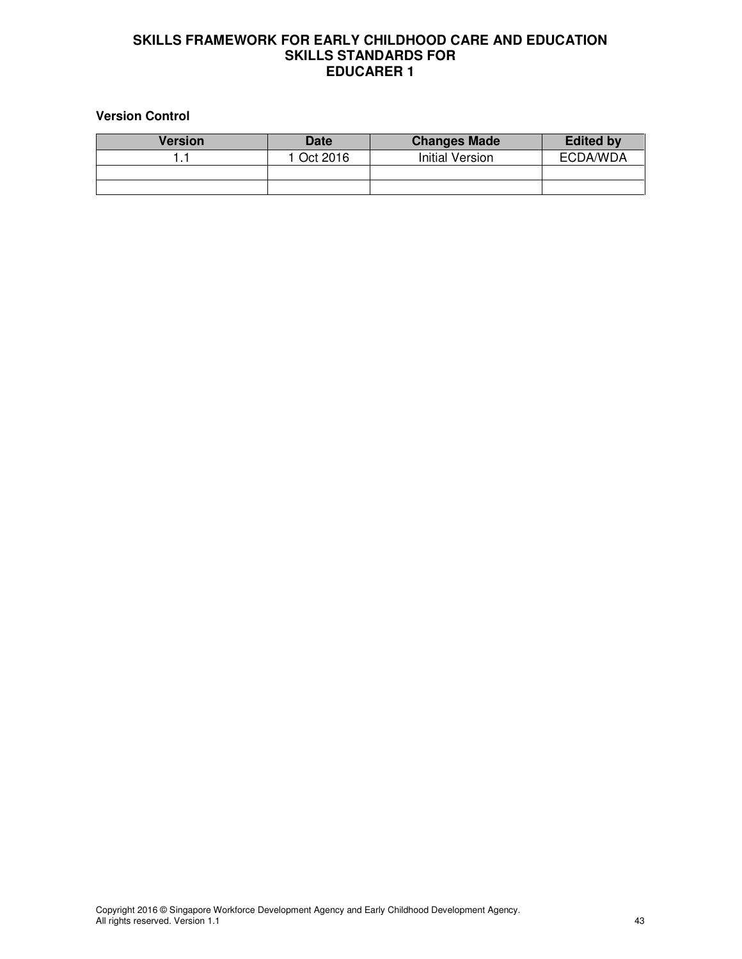#### **Version Control**

| <b>Version</b> | <b>Date</b> | <b>Changes Made</b> | <b>Edited by</b> |
|----------------|-------------|---------------------|------------------|
|                | 1 Oct 2016  | Initial Version     | ECDA/WDA         |
|                |             |                     |                  |
|                |             |                     |                  |